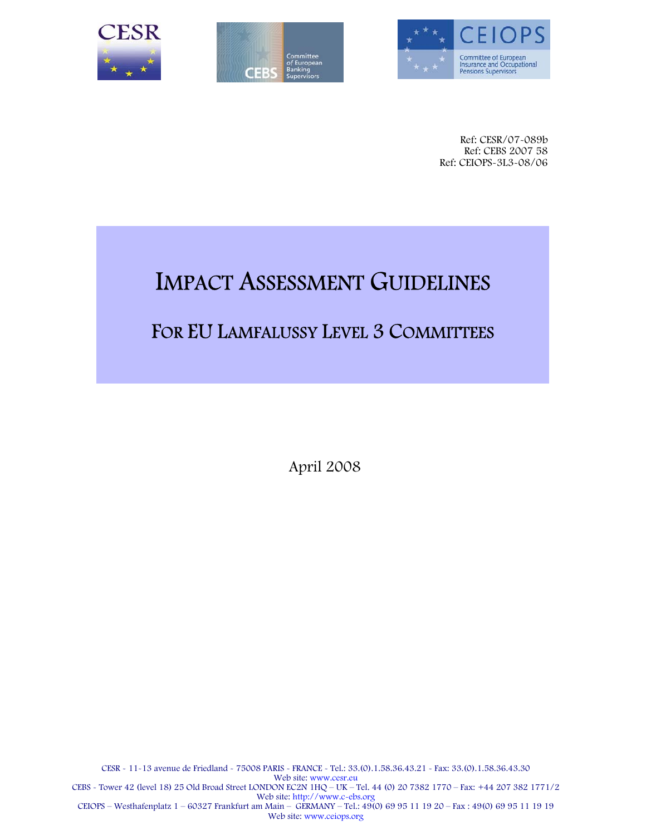





Ref: CESR/07-089b Ref: CEBS 2007 58 Ref: CEIOPS-3L3-08/06

# IMPACT ASSESSMENT GUIDELINES

### FOR EU LAMFALUSSY LEVEL 3 COMMITTEES

April 2008

CESR - 11-13 avenue de Friedland - 75008 PARIS - FRANCE - Tel.: 33.(0).1.58.36.43.21 - Fax: 33.(0).1.58.36.43.30 Web site: www.cesr.eu CEBS - Tower 42 (level 18) 25 Old Broad Street LONDON EC2N 1HQ – UK – Tel. 44 (0) 20 7382 1770 – Fax: +44 207 382 1771/2 Web site: http://www.c-ebs.org CEIOPS – Westhafenplatz 1 – 60327 Frankfurt am Main – GERMANY – Tel.: 49(0) 69 95 11 19 20 – Fax : 49(0) 69 95 11 19 19 Web site: www.ceiops.org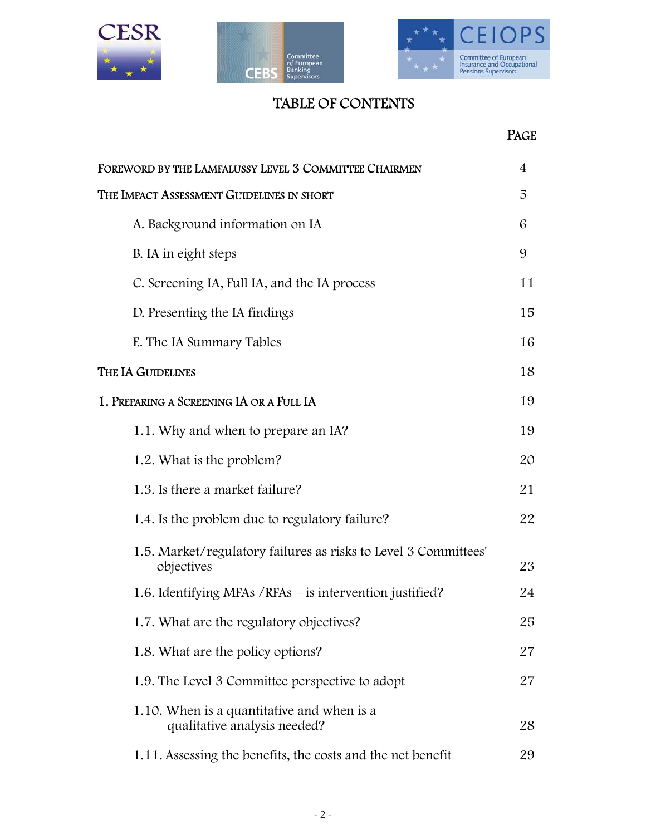





### TABLE OF CONTENTS

|                                                                               | <b>PAGE</b> |
|-------------------------------------------------------------------------------|-------------|
| FOREWORD BY THE LAMFALUSSY LEVEL 3 COMMITTEE CHAIRMEN                         | 4           |
| The Impact Assessment Guidelines in short                                     | 5           |
| A. Background information on IA                                               | 6           |
| B. IA in eight steps                                                          | 9           |
| C. Screening IA, Full IA, and the IA process                                  | 11          |
| D. Presenting the IA findings                                                 | 15          |
| E. The IA Summary Tables                                                      | 16          |
| THE IA GUIDELINES                                                             | 18          |
| 1. PREPARING A SCREENING IA OR A FULL IA                                      | 19          |
| 1.1. Why and when to prepare an IA?                                           | 19          |
| 1.2. What is the problem?                                                     | 20          |
| 1.3. Is there a market failure?                                               | 21          |
| 1.4. Is the problem due to regulatory failure?                                | 22          |
| 1.5. Market/regulatory failures as risks to Level 3 Committees'<br>objectives | 23          |
| 1.6. Identifying MFAs / RFAs – is intervention justified?                     | 24          |
| 1.7. What are the regulatory objectives?                                      | 25          |
| 1.8. What are the policy options?                                             | 27          |
| 1.9. The Level 3 Committee perspective to adopt                               | 27          |
| 1.10. When is a quantitative and when is a<br>qualitative analysis needed?    | 28          |
| 1.11. Assessing the benefits, the costs and the net benefit                   | 29          |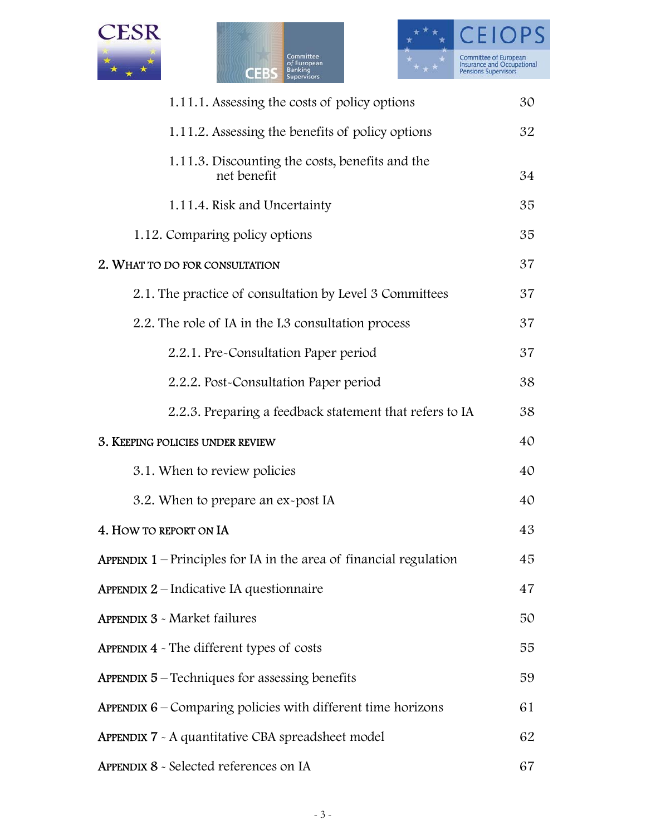





| 1.11.1. Assessing the costs of policy options                             | 30 |
|---------------------------------------------------------------------------|----|
| 1.11.2. Assessing the benefits of policy options                          | 32 |
| 1.11.3. Discounting the costs, benefits and the<br>net benefit            | 34 |
| 1.11.4. Risk and Uncertainty                                              | 35 |
| 1.12. Comparing policy options                                            | 35 |
| 2. WHAT TO DO FOR CONSULTATION                                            | 37 |
| 2.1. The practice of consultation by Level 3 Committees                   | 37 |
| 2.2. The role of IA in the L3 consultation process                        | 37 |
| 2.2.1. Pre-Consultation Paper period                                      | 37 |
| 2.2.2. Post-Consultation Paper period                                     | 38 |
| 2.2.3. Preparing a feedback statement that refers to IA                   | 38 |
| 3. KEEPING POLICIES UNDER REVIEW                                          | 40 |
| 3.1. When to review policies                                              | 40 |
| 3.2. When to prepare an ex-post IA                                        | 40 |
| 4. HOW TO REPORT ON IA                                                    | 43 |
| <b>APPENDIX 1</b> – Principles for IA in the area of financial regulation | 45 |
| <b>APPENDIX 2</b> – Indicative IA questionnaire                           | 47 |
| <b>APPENDIX 3 - Market failures</b>                                       | 50 |
| <b>APPENDIX 4</b> - The different types of costs                          | 55 |
| <b>APPENDIX 5</b> – Techniques for assessing benefits                     | 59 |
| <b>APPENDIX 6</b> – Comparing policies with different time horizons       | 61 |
| APPENDIX 7 - A quantitative CBA spreadsheet model                         | 62 |
| APPENDIX 8 - Selected references on IA                                    | 67 |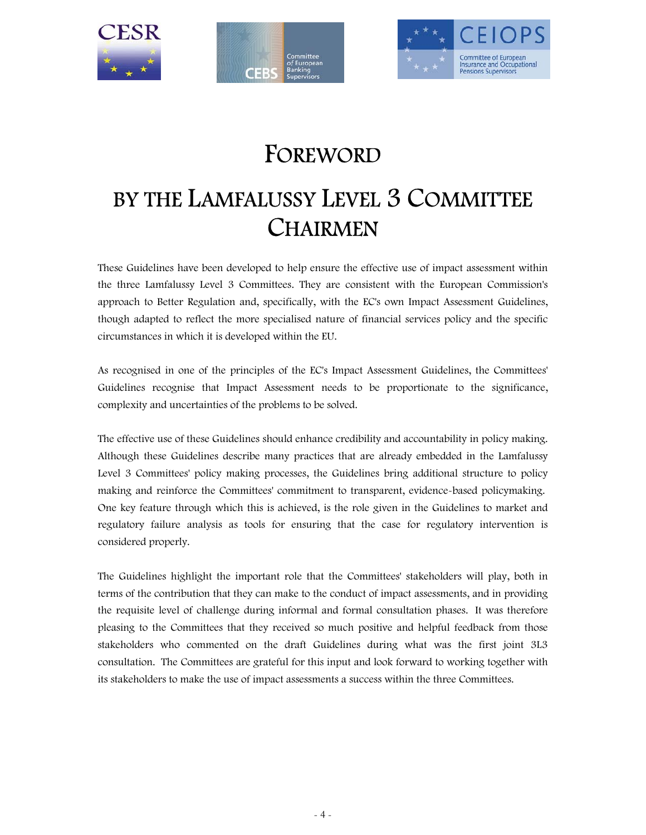





## FOREWORD

# BY THE LAMFALUSSY LEVEL 3 COMMITTEE **CHAIRMEN**

These Guidelines have been developed to help ensure the effective use of impact assessment within the three Lamfalussy Level 3 Committees. They are consistent with the European Commission's approach to Better Regulation and, specifically, with the EC's own Impact Assessment Guidelines, though adapted to reflect the more specialised nature of financial services policy and the specific circumstances in which it is developed within the EU.

As recognised in one of the principles of the EC's Impact Assessment Guidelines, the Committees' Guidelines recognise that Impact Assessment needs to be proportionate to the significance, complexity and uncertainties of the problems to be solved.

The effective use of these Guidelines should enhance credibility and accountability in policy making. Although these Guidelines describe many practices that are already embedded in the Lamfalussy Level 3 Committees' policy making processes, the Guidelines bring additional structure to policy making and reinforce the Committees' commitment to transparent, evidence-based policymaking. One key feature through which this is achieved, is the role given in the Guidelines to market and regulatory failure analysis as tools for ensuring that the case for regulatory intervention is considered properly.

The Guidelines highlight the important role that the Committees' stakeholders will play, both in terms of the contribution that they can make to the conduct of impact assessments, and in providing the requisite level of challenge during informal and formal consultation phases. It was therefore pleasing to the Committees that they received so much positive and helpful feedback from those stakeholders who commented on the draft Guidelines during what was the first joint 3L3 consultation. The Committees are grateful for this input and look forward to working together with its stakeholders to make the use of impact assessments a success within the three Committees.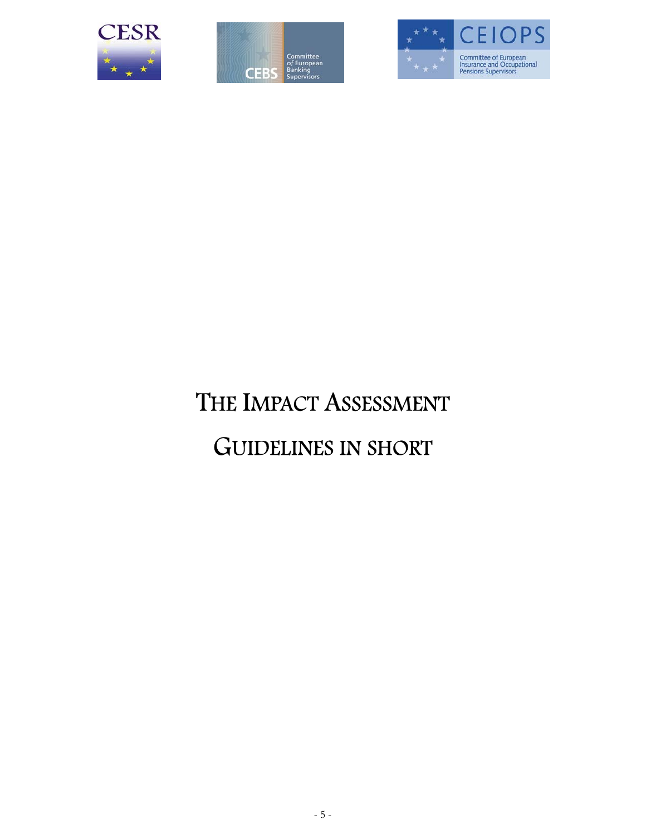





# THE IMPACT ASSESSMENT GUIDELINES IN SHORT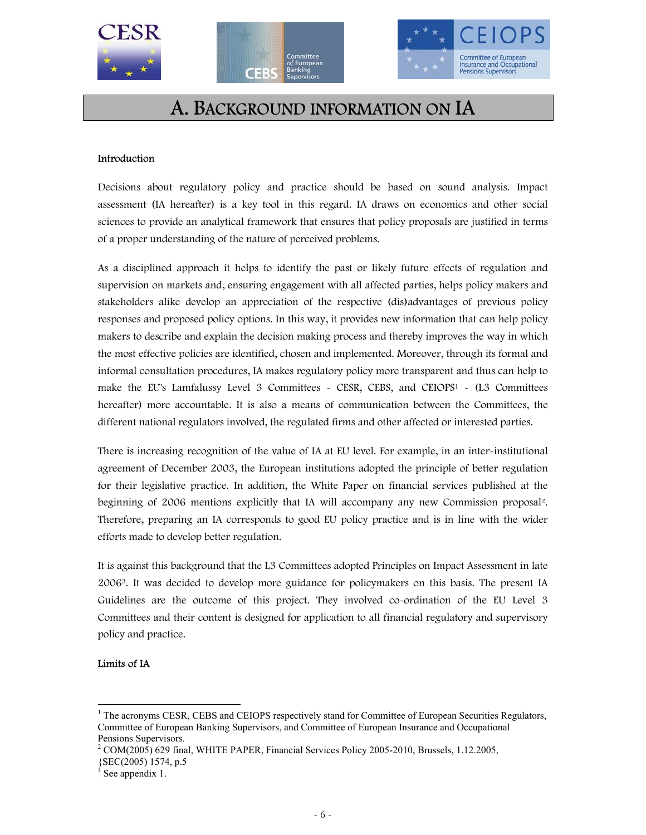





### A. BACKGROUND INFORMATION ON IA

#### Introduction

Decisions about regulatory policy and practice should be based on sound analysis. Impact assessment (IA hereafter) is a key tool in this regard. IA draws on economics and other social sciences to provide an analytical framework that ensures that policy proposals are justified in terms of a proper understanding of the nature of perceived problems.

As a disciplined approach it helps to identify the past or likely future effects of regulation and supervision on markets and, ensuring engagement with all affected parties, helps policy makers and stakeholders alike develop an appreciation of the respective (dis)advantages of previous policy responses and proposed policy options. In this way, it provides new information that can help policy makers to describe and explain the decision making process and thereby improves the way in which the most effective policies are identified, chosen and implemented. Moreover, through its formal and informal consultation procedures, IA makes regulatory policy more transparent and thus can help to make the EU's Lamfalussy Level 3 Committees - CESR, CEBS, and CEIOPS1 - (L3 Committees hereafter) more accountable. It is also a means of communication between the Committees, the different national regulators involved, the regulated firms and other affected or interested parties.

There is increasing recognition of the value of IA at EU level. For example, in an inter-institutional agreement of December 2003, the European institutions adopted the principle of better regulation for their legislative practice. In addition, the White Paper on financial services published at the beginning of 2006 mentions explicitly that IA will accompany any new Commission proposal2. Therefore, preparing an IA corresponds to good EU policy practice and is in line with the wider efforts made to develop better regulation.

It is against this background that the L3 Committees adopted Principles on Impact Assessment in late 20063. It was decided to develop more guidance for policymakers on this basis. The present IA Guidelines are the outcome of this project. They involved co-ordination of the EU Level 3 Committees and their content is designed for application to all financial regulatory and supervisory policy and practice.

#### Limits of IA

 $\ddot{ }$ 

<sup>&</sup>lt;sup>1</sup> The acronyms CESR, CEBS and CEIOPS respectively stand for Committee of European Securities Regulators, Committee of European Banking Supervisors, and Committee of European Insurance and Occupational Pensions Supervisors.

 $2^2$  COM(2005) 629 final, WHITE PAPER, Financial Services Policy 2005-2010, Brussels, 1.12.2005,

<sup>{</sup>SEC(2005) 1574, p.5

 $3$  See appendix 1.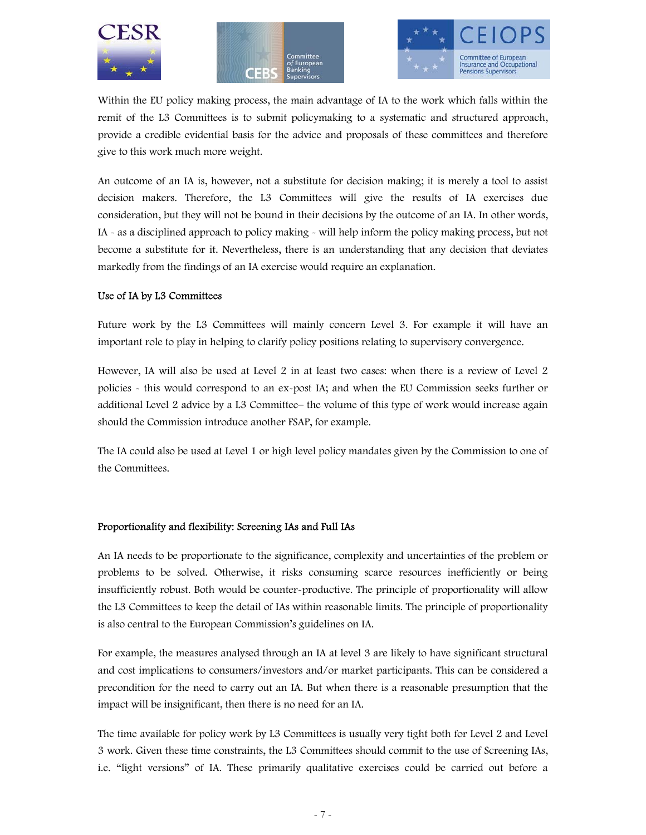





Within the EU policy making process, the main advantage of IA to the work which falls within the remit of the L3 Committees is to submit policymaking to a systematic and structured approach, provide a credible evidential basis for the advice and proposals of these committees and therefore give to this work much more weight.

An outcome of an IA is, however, not a substitute for decision making; it is merely a tool to assist decision makers. Therefore, the L3 Committees will give the results of IA exercises due consideration, but they will not be bound in their decisions by the outcome of an IA. In other words, IA - as a disciplined approach to policy making - will help inform the policy making process, but not become a substitute for it. Nevertheless, there is an understanding that any decision that deviates markedly from the findings of an IA exercise would require an explanation.

#### Use of IA by L3 Committees

Future work by the L3 Committees will mainly concern Level 3. For example it will have an important role to play in helping to clarify policy positions relating to supervisory convergence.

However, IA will also be used at Level 2 in at least two cases: when there is a review of Level 2 policies - this would correspond to an ex-post IA; and when the EU Commission seeks further or additional Level 2 advice by a L3 Committee– the volume of this type of work would increase again should the Commission introduce another FSAP, for example.

The IA could also be used at Level 1 or high level policy mandates given by the Commission to one of the Committees.

#### Proportionality and flexibility: Screening IAs and Full IAs

An IA needs to be proportionate to the significance, complexity and uncertainties of the problem or problems to be solved. Otherwise, it risks consuming scarce resources inefficiently or being insufficiently robust. Both would be counter-productive. The principle of proportionality will allow the L3 Committees to keep the detail of IAs within reasonable limits. The principle of proportionality is also central to the European Commission's guidelines on IA.

For example, the measures analysed through an IA at level 3 are likely to have significant structural and cost implications to consumers/investors and/or market participants. This can be considered a precondition for the need to carry out an IA. But when there is a reasonable presumption that the impact will be insignificant, then there is no need for an IA.

The time available for policy work by L3 Committees is usually very tight both for Level 2 and Level 3 work. Given these time constraints, the L3 Committees should commit to the use of Screening IAs, i.e. "light versions" of IA. These primarily qualitative exercises could be carried out before a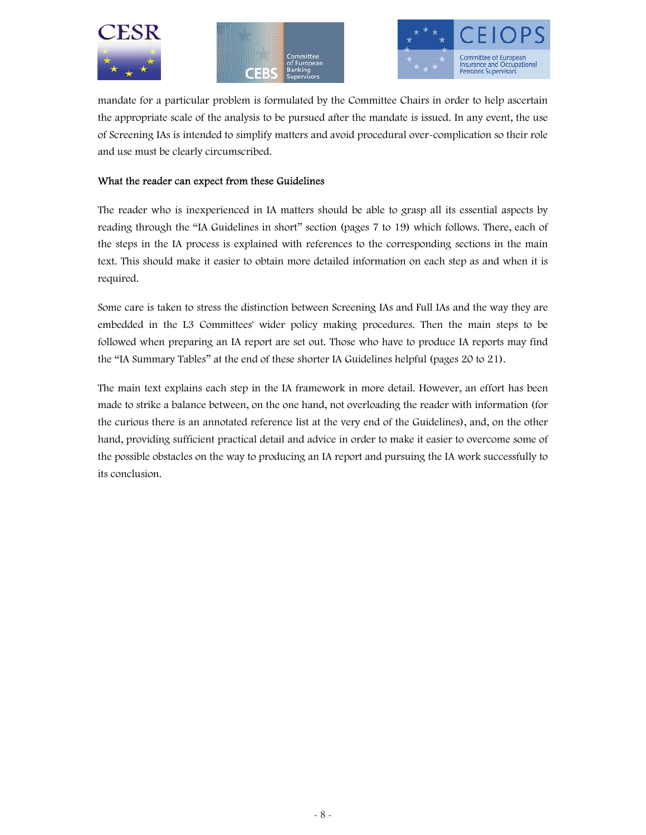





mandate for a particular problem is formulated by the Committee Chairs in order to help ascertain the appropriate scale of the analysis to be pursued after the mandate is issued. In any event, the use of Screening IAs is intended to simplify matters and avoid procedural over-complication so their role and use must be clearly circumscribed.

#### What the reader can expect from these Guidelines

The reader who is inexperienced in IA matters should be able to grasp all its essential aspects by reading through the "IA Guidelines in short" section (pages 7 to 19) which follows. There, each of the steps in the IA process is explained with references to the corresponding sections in the main text. This should make it easier to obtain more detailed information on each step as and when it is required.

Some care is taken to stress the distinction between Screening IAs and Full IAs and the way they are embedded in the L3 Committees' wider policy making procedures. Then the main steps to be followed when preparing an IA report are set out. Those who have to produce IA reports may find the "IA Summary Tables" at the end of these shorter IA Guidelines helpful (pages 20 to 21).

The main text explains each step in the IA framework in more detail. However, an effort has been made to strike a balance between, on the one hand, not overloading the reader with information (for the curious there is an annotated reference list at the very end of the Guidelines), and, on the other hand, providing sufficient practical detail and advice in order to make it easier to overcome some of the possible obstacles on the way to producing an IA report and pursuing the IA work successfully to its conclusion.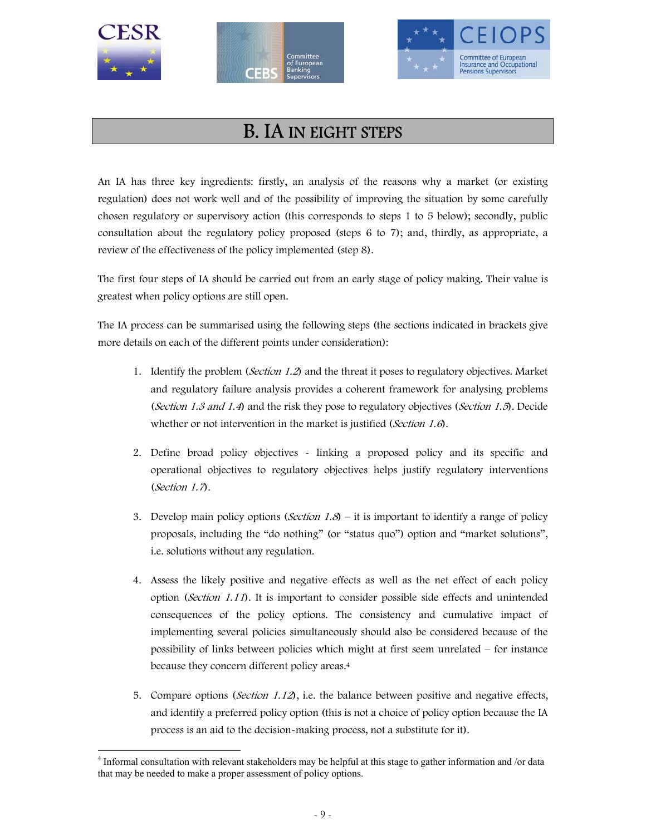





### B. IA IN EIGHT STEPS

An IA has three key ingredients: firstly, an analysis of the reasons why a market (or existing regulation) does not work well and of the possibility of improving the situation by some carefully chosen regulatory or supervisory action (this corresponds to steps 1 to 5 below); secondly, public consultation about the regulatory policy proposed (steps 6 to 7); and, thirdly, as appropriate, a review of the effectiveness of the policy implemented (step 8).

The first four steps of IA should be carried out from an early stage of policy making. Their value is greatest when policy options are still open.

The IA process can be summarised using the following steps (the sections indicated in brackets give more details on each of the different points under consideration):

- 1. Identify the problem (Section 1.2) and the threat it poses to regulatory objectives. Market and regulatory failure analysis provides a coherent framework for analysing problems (Section 1.3 and 1.4) and the risk they pose to regulatory objectives (Section 1.5). Decide whether or not intervention in the market is justified (Section 1.6).
- 2. Define broad policy objectives linking a proposed policy and its specific and operational objectives to regulatory objectives helps justify regulatory interventions (Section 1.7).
- 3. Develop main policy options (*Section 1.8*) it is important to identify a range of policy proposals, including the "do nothing" (or "status quo") option and "market solutions", i.e. solutions without any regulation.
- 4. Assess the likely positive and negative effects as well as the net effect of each policy option (Section 1.11). It is important to consider possible side effects and unintended consequences of the policy options. The consistency and cumulative impact of implementing several policies simultaneously should also be considered because of the possibility of links between policies which might at first seem unrelated – for instance because they concern different policy areas.4
- 5. Compare options (*Section 1.12*), i.e. the balance between positive and negative effects, and identify a preferred policy option (this is not a choice of policy option because the IA process is an aid to the decision-making process, not a substitute for it).

<sup>-</sup><sup>4</sup> Informal consultation with relevant stakeholders may be helpful at this stage to gather information and /or data that may be needed to make a proper assessment of policy options.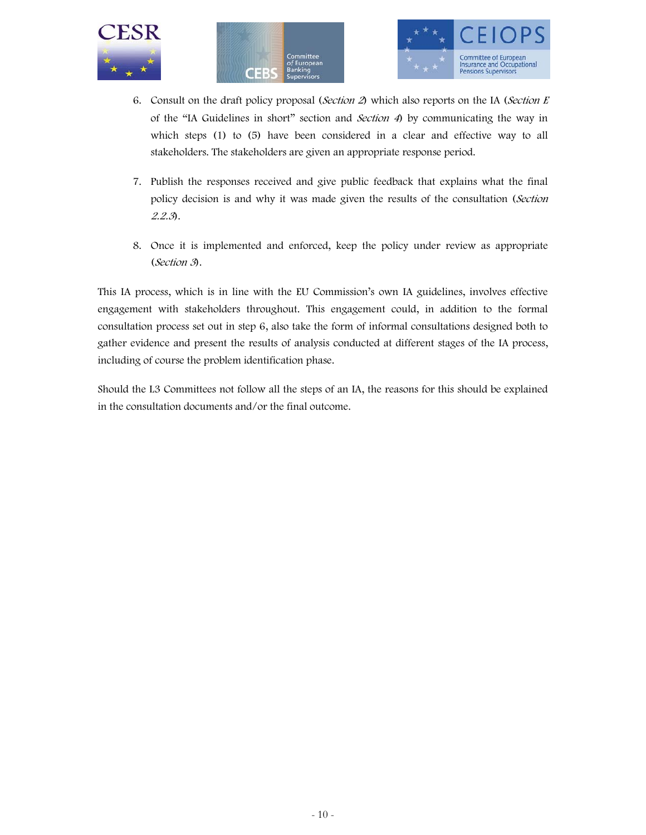





- 6. Consult on the draft policy proposal (Section 2) which also reports on the IA (Section E of the "IA Guidelines in short" section and Section 4) by communicating the way in which steps (1) to (5) have been considered in a clear and effective way to all stakeholders. The stakeholders are given an appropriate response period.
- 7. Publish the responses received and give public feedback that explains what the final policy decision is and why it was made given the results of the consultation (Section 2.2.3).
- 8. Once it is implemented and enforced, keep the policy under review as appropriate (Section 3).

This IA process, which is in line with the EU Commission's own IA guidelines, involves effective engagement with stakeholders throughout. This engagement could, in addition to the formal consultation process set out in step 6, also take the form of informal consultations designed both to gather evidence and present the results of analysis conducted at different stages of the IA process, including of course the problem identification phase.

Should the L3 Committees not follow all the steps of an IA, the reasons for this should be explained in the consultation documents and/or the final outcome.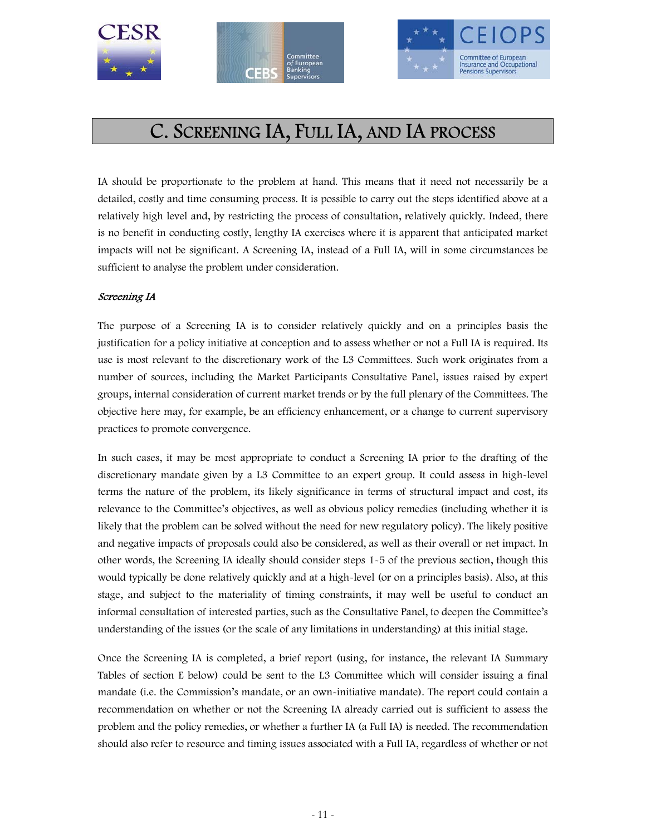





### C. SCREENING IA, FULL IA, AND IA PROCESS

IA should be proportionate to the problem at hand. This means that it need not necessarily be a detailed, costly and time consuming process. It is possible to carry out the steps identified above at a relatively high level and, by restricting the process of consultation, relatively quickly. Indeed, there is no benefit in conducting costly, lengthy IA exercises where it is apparent that anticipated market impacts will not be significant. A Screening IA, instead of a Full IA, will in some circumstances be sufficient to analyse the problem under consideration.

#### Screening IA

The purpose of a Screening IA is to consider relatively quickly and on a principles basis the justification for a policy initiative at conception and to assess whether or not a Full IA is required. Its use is most relevant to the discretionary work of the L3 Committees. Such work originates from a number of sources, including the Market Participants Consultative Panel, issues raised by expert groups, internal consideration of current market trends or by the full plenary of the Committees. The objective here may, for example, be an efficiency enhancement, or a change to current supervisory practices to promote convergence.

In such cases, it may be most appropriate to conduct a Screening IA prior to the drafting of the discretionary mandate given by a L3 Committee to an expert group. It could assess in high-level terms the nature of the problem, its likely significance in terms of structural impact and cost, its relevance to the Committee's objectives, as well as obvious policy remedies (including whether it is likely that the problem can be solved without the need for new regulatory policy). The likely positive and negative impacts of proposals could also be considered, as well as their overall or net impact. In other words, the Screening IA ideally should consider steps 1-5 of the previous section, though this would typically be done relatively quickly and at a high-level (or on a principles basis). Also, at this stage, and subject to the materiality of timing constraints, it may well be useful to conduct an informal consultation of interested parties, such as the Consultative Panel, to deepen the Committee's understanding of the issues (or the scale of any limitations in understanding) at this initial stage.

Once the Screening IA is completed, a brief report (using, for instance, the relevant IA Summary Tables of section E below) could be sent to the L3 Committee which will consider issuing a final mandate (i.e. the Commission's mandate, or an own-initiative mandate). The report could contain a recommendation on whether or not the Screening IA already carried out is sufficient to assess the problem and the policy remedies, or whether a further IA (a Full IA) is needed. The recommendation should also refer to resource and timing issues associated with a Full IA, regardless of whether or not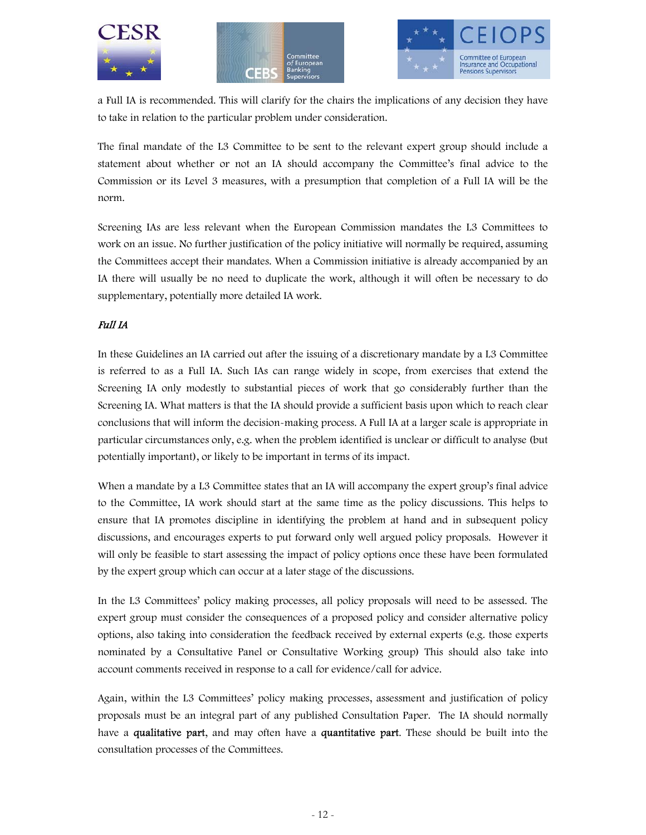





a Full IA is recommended. This will clarify for the chairs the implications of any decision they have to take in relation to the particular problem under consideration.

The final mandate of the L3 Committee to be sent to the relevant expert group should include a statement about whether or not an IA should accompany the Committee's final advice to the Commission or its Level 3 measures, with a presumption that completion of a Full IA will be the norm.

Screening IAs are less relevant when the European Commission mandates the L3 Committees to work on an issue. No further justification of the policy initiative will normally be required, assuming the Committees accept their mandates. When a Commission initiative is already accompanied by an IA there will usually be no need to duplicate the work, although it will often be necessary to do supplementary, potentially more detailed IA work.

#### Full IA

In these Guidelines an IA carried out after the issuing of a discretionary mandate by a L3 Committee is referred to as a Full IA. Such IAs can range widely in scope, from exercises that extend the Screening IA only modestly to substantial pieces of work that go considerably further than the Screening IA. What matters is that the IA should provide a sufficient basis upon which to reach clear conclusions that will inform the decision-making process. A Full IA at a larger scale is appropriate in particular circumstances only, e.g. when the problem identified is unclear or difficult to analyse (but potentially important), or likely to be important in terms of its impact.

When a mandate by a L3 Committee states that an IA will accompany the expert group's final advice to the Committee, IA work should start at the same time as the policy discussions. This helps to ensure that IA promotes discipline in identifying the problem at hand and in subsequent policy discussions, and encourages experts to put forward only well argued policy proposals. However it will only be feasible to start assessing the impact of policy options once these have been formulated by the expert group which can occur at a later stage of the discussions.

In the L3 Committees' policy making processes, all policy proposals will need to be assessed. The expert group must consider the consequences of a proposed policy and consider alternative policy options, also taking into consideration the feedback received by external experts (e.g. those experts nominated by a Consultative Panel or Consultative Working group) This should also take into account comments received in response to a call for evidence/call for advice.

Again, within the L3 Committees' policy making processes, assessment and justification of policy proposals must be an integral part of any published Consultation Paper. The IA should normally have a qualitative part, and may often have a quantitative part. These should be built into the consultation processes of the Committees.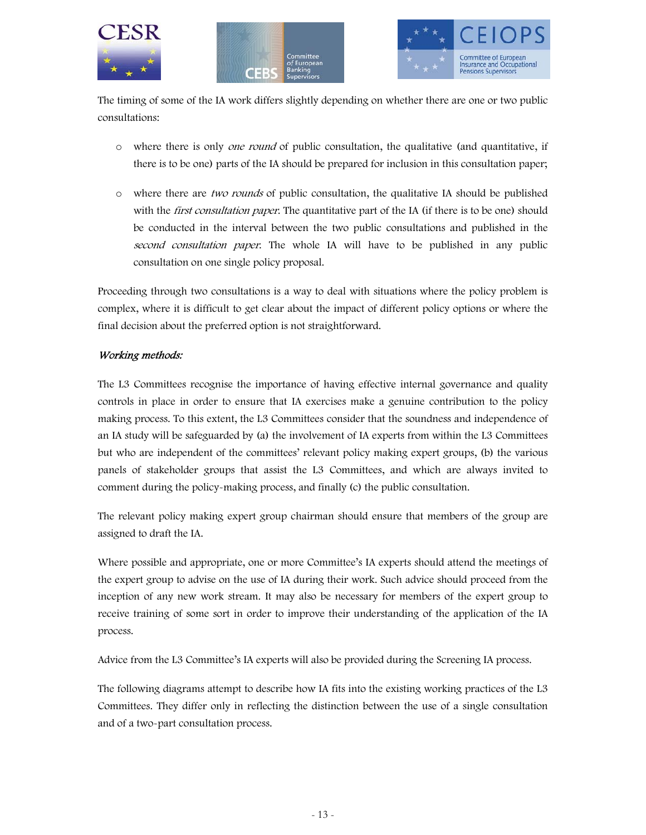





The timing of some of the IA work differs slightly depending on whether there are one or two public consultations:

- $\circ$  where there is only *one round* of public consultation, the qualitative (and quantitative, if there is to be one) parts of the IA should be prepared for inclusion in this consultation paper;
- o where there are two rounds of public consultation, the qualitative IA should be published with the *first consultation paper*. The quantitative part of the IA (if there is to be one) should be conducted in the interval between the two public consultations and published in the second consultation paper. The whole IA will have to be published in any public consultation on one single policy proposal.

Proceeding through two consultations is a way to deal with situations where the policy problem is complex, where it is difficult to get clear about the impact of different policy options or where the final decision about the preferred option is not straightforward.

#### Working methods:

The L3 Committees recognise the importance of having effective internal governance and quality controls in place in order to ensure that IA exercises make a genuine contribution to the policy making process. To this extent, the L3 Committees consider that the soundness and independence of an IA study will be safeguarded by (a) the involvement of IA experts from within the L3 Committees but who are independent of the committees' relevant policy making expert groups, (b) the various panels of stakeholder groups that assist the L3 Committees, and which are always invited to comment during the policy-making process, and finally (c) the public consultation.

The relevant policy making expert group chairman should ensure that members of the group are assigned to draft the IA.

Where possible and appropriate, one or more Committee's IA experts should attend the meetings of the expert group to advise on the use of IA during their work. Such advice should proceed from the inception of any new work stream. It may also be necessary for members of the expert group to receive training of some sort in order to improve their understanding of the application of the IA process.

Advice from the L3 Committee's IA experts will also be provided during the Screening IA process.

The following diagrams attempt to describe how IA fits into the existing working practices of the L3 Committees. They differ only in reflecting the distinction between the use of a single consultation and of a two-part consultation process.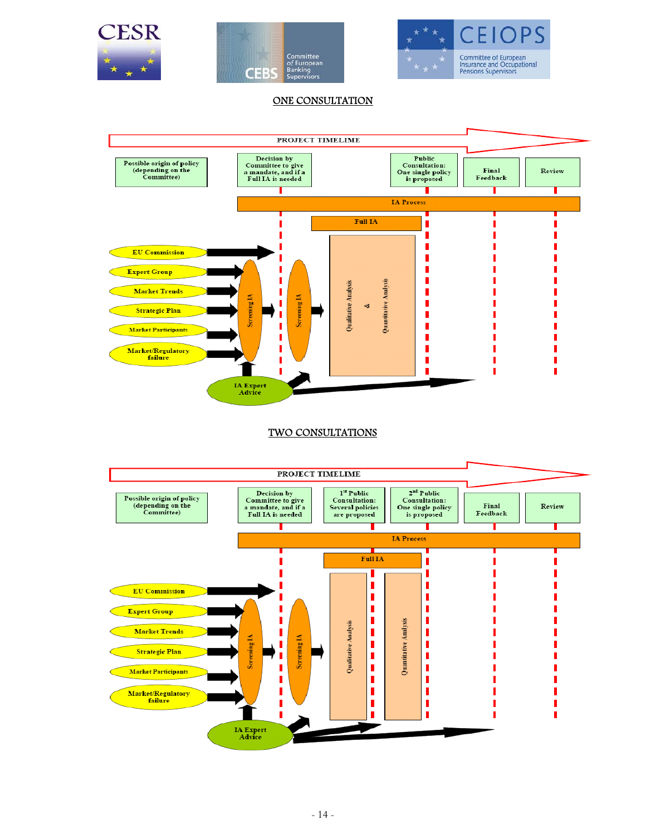





#### ONE CONSULTATION



#### TWO CONSULTATIONS

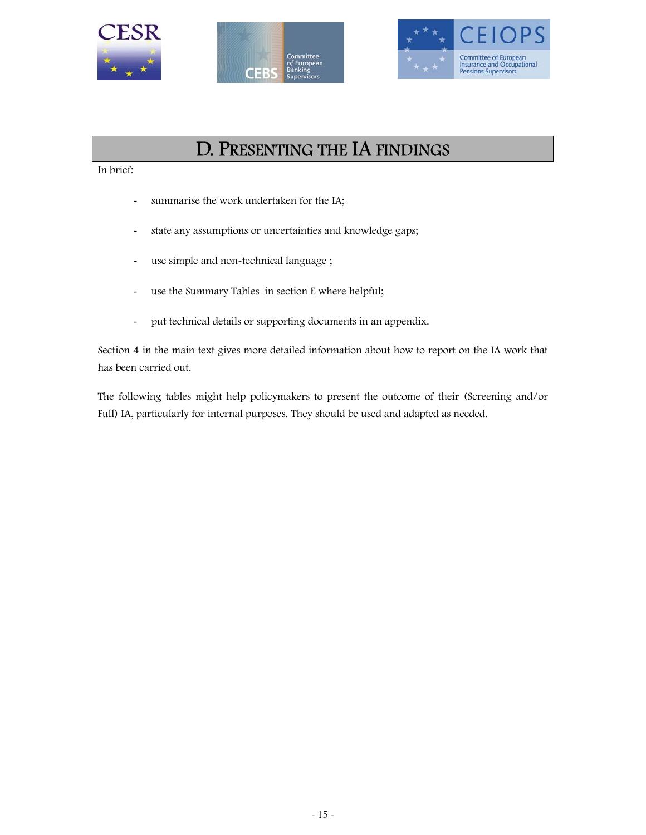





### D. PRESENTING THE IA FINDINGS

In brief:

- summarise the work undertaken for the IA;
- state any assumptions or uncertainties and knowledge gaps;
- use simple and non-technical language ;
- use the Summary Tables in section E where helpful;
- put technical details or supporting documents in an appendix.

Section 4 in the main text gives more detailed information about how to report on the IA work that has been carried out.

The following tables might help policymakers to present the outcome of their (Screening and/or Full) IA, particularly for internal purposes. They should be used and adapted as needed.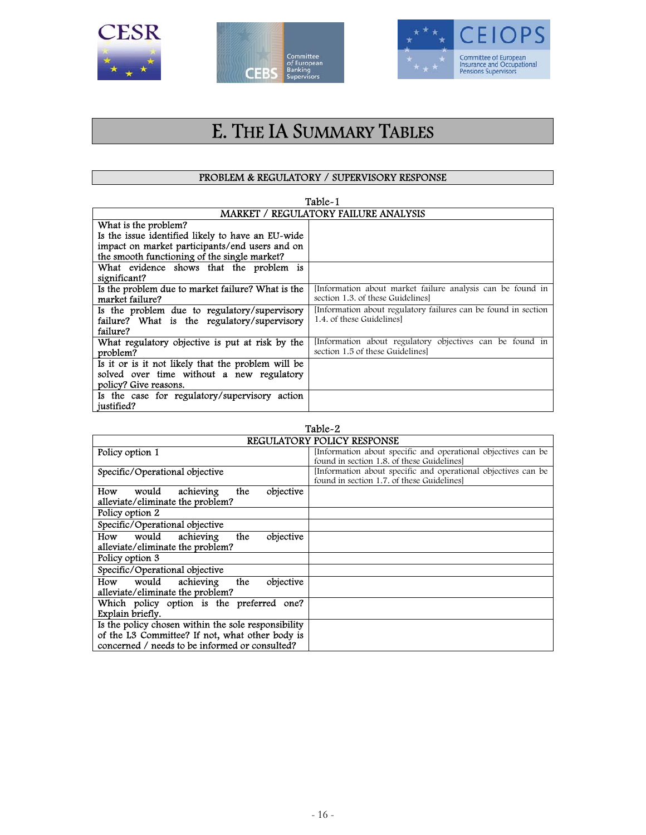





### E. THE IA SUMMARY TABLES

#### PROBLEM & REGULATORY / SUPERVISORY RESPONSE

| Table-1                                            |                                                               |  |  |  |
|----------------------------------------------------|---------------------------------------------------------------|--|--|--|
| <b>MARKET / REGULATORY FAILURE ANALYSIS</b>        |                                                               |  |  |  |
| What is the problem?                               |                                                               |  |  |  |
| Is the issue identified likely to have an EU-wide  |                                                               |  |  |  |
| impact on market participants/end users and on     |                                                               |  |  |  |
| the smooth functioning of the single market?       |                                                               |  |  |  |
| What evidence shows that the problem is            |                                                               |  |  |  |
| significant?                                       |                                                               |  |  |  |
| Is the problem due to market failure? What is the  | Information about market failure analysis can be found in     |  |  |  |
| market failure?                                    | section 1.3. of these Guidelines                              |  |  |  |
| Is the problem due to regulatory/supervisory       | Information about regulatory failures can be found in section |  |  |  |
| failure? What is the regulatory/supervisory        | 1.4. of these Guidelines                                      |  |  |  |
| failure?                                           |                                                               |  |  |  |
| What regulatory objective is put at risk by the    | Information about regulatory objectives can be found in       |  |  |  |
| problem?                                           | section 1.5 of these Guidelines                               |  |  |  |
| Is it or is it not likely that the problem will be |                                                               |  |  |  |
| solved over time without a new regulatory          |                                                               |  |  |  |
| policy? Give reasons.                              |                                                               |  |  |  |
| Is the case for regulatory/supervisory action      |                                                               |  |  |  |
| justified?                                         |                                                               |  |  |  |

| Table-2                                                                                                                                                  |                                                                                                           |  |  |  |
|----------------------------------------------------------------------------------------------------------------------------------------------------------|-----------------------------------------------------------------------------------------------------------|--|--|--|
| <b>REGULATORY POLICY RESPONSE</b>                                                                                                                        |                                                                                                           |  |  |  |
| Policy option 1                                                                                                                                          | Information about specific and operational objectives can be<br>found in section 1.8, of these Guidelines |  |  |  |
| Specific/Operational objective                                                                                                                           | Information about specific and operational objectives can be<br>found in section 1.7, of these Guidelines |  |  |  |
| achieving<br>would<br>the<br>objective<br>How<br>alleviate/eliminate the problem?                                                                        |                                                                                                           |  |  |  |
| Policy option 2                                                                                                                                          |                                                                                                           |  |  |  |
| Specific/Operational objective                                                                                                                           |                                                                                                           |  |  |  |
| objective<br>would<br>achieving<br>the<br>How<br>alleviate/eliminate the problem?                                                                        |                                                                                                           |  |  |  |
| Policy option 3                                                                                                                                          |                                                                                                           |  |  |  |
| Specific/Operational objective                                                                                                                           |                                                                                                           |  |  |  |
| would<br>achieving<br>the<br>objective<br>How<br>alleviate/eliminate the problem?                                                                        |                                                                                                           |  |  |  |
| Which policy option is the preferred one?<br>Explain briefly.                                                                                            |                                                                                                           |  |  |  |
| Is the policy chosen within the sole responsibility<br>of the L3 Committee? If not, what other body is<br>concerned / needs to be informed or consulted? |                                                                                                           |  |  |  |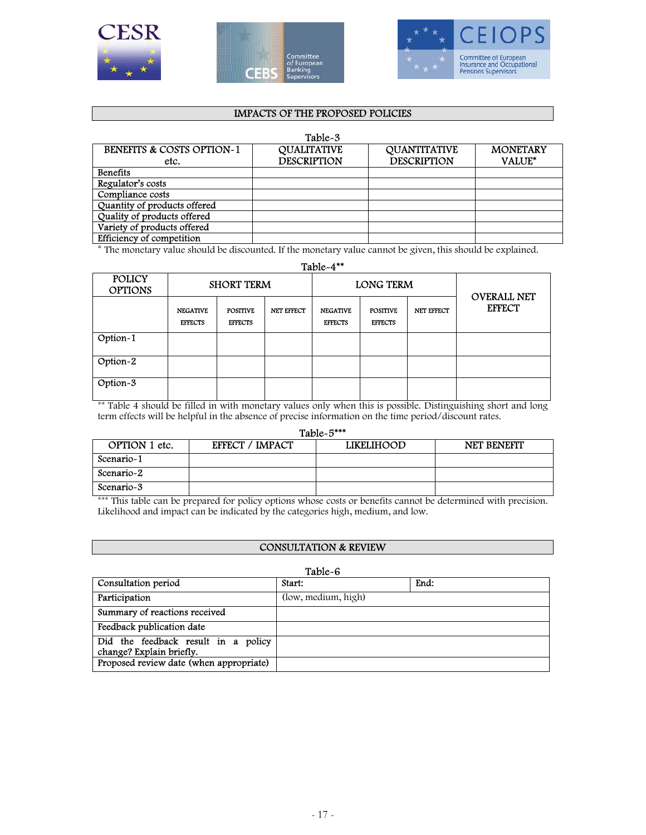





#### IMPACTS OF THE PROPOSED POLICIES

#### Table-3

| <b>BENEFITS &amp; COSTS OPTION-1</b> | <b>QUALITATIVE</b> | <b>QUANTITATIVE</b> | <b>MONETARY</b> |
|--------------------------------------|--------------------|---------------------|-----------------|
| etc.                                 | <b>DESCRIPTION</b> | <b>DESCRIPTION</b>  | <b>VALUE*</b>   |
| <b>Benefits</b>                      |                    |                     |                 |
| Regulator's costs                    |                    |                     |                 |
| Compliance costs                     |                    |                     |                 |
| Quantity of products offered         |                    |                     |                 |
| Quality of products offered          |                    |                     |                 |
| Variety of products offered          |                    |                     |                 |
| Efficiency of competition            |                    |                     |                 |

\* The monetary value should be discounted. If the monetary value cannot be given, this should be explained.

Table-4\*\*

| <b>POLICY</b><br><b>OPTIONS</b> |                                   | <b>SHORT TERM</b>                 |            | <b>LONG TERM</b>                  |                                   | <b>OVERALL NET</b> |               |
|---------------------------------|-----------------------------------|-----------------------------------|------------|-----------------------------------|-----------------------------------|--------------------|---------------|
|                                 | <b>NEGATIVE</b><br><b>EFFECTS</b> | <b>POSITIVE</b><br><b>EFFECTS</b> | NET EFFECT | <b>NEGATIVE</b><br><b>EFFECTS</b> | <b>POSITIVE</b><br><b>EFFECTS</b> | NET EFFECT         | <b>EFFECT</b> |
| Option-1                        |                                   |                                   |            |                                   |                                   |                    |               |
| $\overline{\text{Option-2}}$    |                                   |                                   |            |                                   |                                   |                    |               |
| Option-3                        |                                   |                                   |            |                                   |                                   |                    |               |

\*\* Table 4 should be filled in with monetary values only when this is possible. Distinguishing short and long term effects will be helpful in the absence of precise information on the time period/discount rates.

#### Table-5\*\*\*

| --------------- |                        |                   |                    |  |  |  |
|-----------------|------------------------|-------------------|--------------------|--|--|--|
| OPTION 1 etc.   | <b>EFFECT / IMPACT</b> | <b>LIKELIHOOD</b> | <b>NET BENEFIT</b> |  |  |  |
| Scenario-1      |                        |                   |                    |  |  |  |
| Scenario-2      |                        |                   |                    |  |  |  |
| Scenario-3      |                        |                   |                    |  |  |  |

\*\*\* This table can be prepared for policy options whose costs or benefits cannot be determined with precision. Likelihood and impact can be indicated by the categories high, medium, and low.

#### CONSULTATION & REVIEW

| Table-6                                                         |                     |      |  |  |
|-----------------------------------------------------------------|---------------------|------|--|--|
| Consultation period                                             | Start:              | End: |  |  |
| Participation                                                   | (low, medium, high) |      |  |  |
| Summary of reactions received                                   |                     |      |  |  |
| Feedback publication date                                       |                     |      |  |  |
| Did the feedback result in a policy<br>change? Explain briefly. |                     |      |  |  |
| Proposed review date (when appropriate)                         |                     |      |  |  |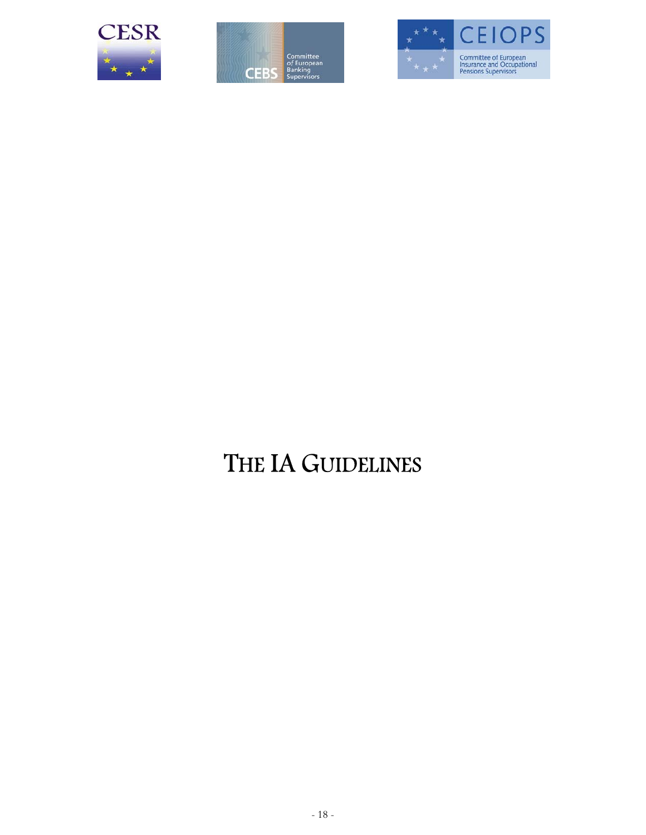





# THE IA GUIDELINES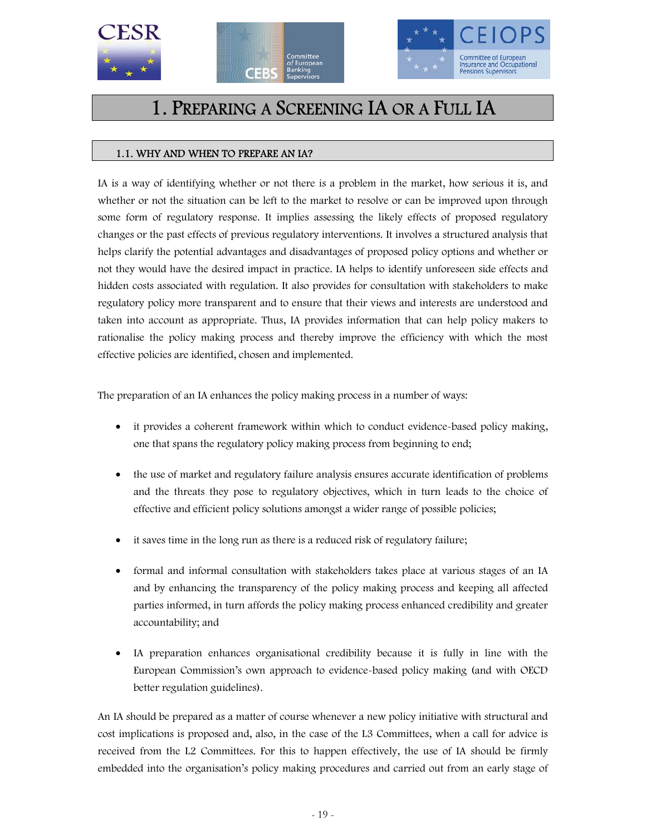





### 1. PREPARING A SCREENING IA OR A FULL IA

#### 1.1. WHY AND WHEN TO PREPARE AN IA?

IA is a way of identifying whether or not there is a problem in the market, how serious it is, and whether or not the situation can be left to the market to resolve or can be improved upon through some form of regulatory response. It implies assessing the likely effects of proposed regulatory changes or the past effects of previous regulatory interventions. It involves a structured analysis that helps clarify the potential advantages and disadvantages of proposed policy options and whether or not they would have the desired impact in practice. IA helps to identify unforeseen side effects and hidden costs associated with regulation. It also provides for consultation with stakeholders to make regulatory policy more transparent and to ensure that their views and interests are understood and taken into account as appropriate. Thus, IA provides information that can help policy makers to rationalise the policy making process and thereby improve the efficiency with which the most effective policies are identified, chosen and implemented.

The preparation of an IA enhances the policy making process in a number of ways:

- it provides a coherent framework within which to conduct evidence-based policy making, one that spans the regulatory policy making process from beginning to end;
- the use of market and regulatory failure analysis ensures accurate identification of problems and the threats they pose to regulatory objectives, which in turn leads to the choice of effective and efficient policy solutions amongst a wider range of possible policies;
- it saves time in the long run as there is a reduced risk of regulatory failure;
- formal and informal consultation with stakeholders takes place at various stages of an IA and by enhancing the transparency of the policy making process and keeping all affected parties informed, in turn affords the policy making process enhanced credibility and greater accountability; and
- IA preparation enhances organisational credibility because it is fully in line with the European Commission's own approach to evidence-based policy making (and with OECD better regulation guidelines).

An IA should be prepared as a matter of course whenever a new policy initiative with structural and cost implications is proposed and, also, in the case of the L3 Committees, when a call for advice is received from the L2 Committees. For this to happen effectively, the use of IA should be firmly embedded into the organisation's policy making procedures and carried out from an early stage of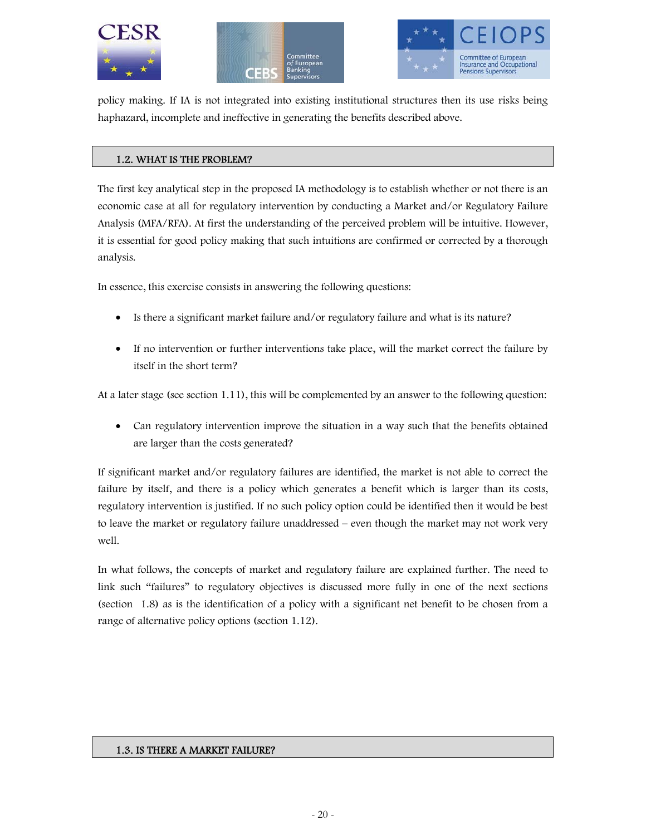





policy making. If IA is not integrated into existing institutional structures then its use risks being haphazard, incomplete and ineffective in generating the benefits described above.

#### 1.2. WHAT IS THE PROBLEM?

The first key analytical step in the proposed IA methodology is to establish whether or not there is an economic case at all for regulatory intervention by conducting a Market and/or Regulatory Failure Analysis (MFA/RFA). At first the understanding of the perceived problem will be intuitive. However, it is essential for good policy making that such intuitions are confirmed or corrected by a thorough analysis.

In essence, this exercise consists in answering the following questions:

- Is there a significant market failure and/or regulatory failure and what is its nature?
- If no intervention or further interventions take place, will the market correct the failure by itself in the short term?

At a later stage (see section 1.11), this will be complemented by an answer to the following question:

• Can regulatory intervention improve the situation in a way such that the benefits obtained are larger than the costs generated?

If significant market and/or regulatory failures are identified, the market is not able to correct the failure by itself, and there is a policy which generates a benefit which is larger than its costs, regulatory intervention is justified. If no such policy option could be identified then it would be best to leave the market or regulatory failure unaddressed – even though the market may not work very well.

In what follows, the concepts of market and regulatory failure are explained further. The need to link such "failures" to regulatory objectives is discussed more fully in one of the next sections (section 1.8) as is the identification of a policy with a significant net benefit to be chosen from a range of alternative policy options (section 1.12).

#### 1.3. IS THERE A MARKET FAILURE?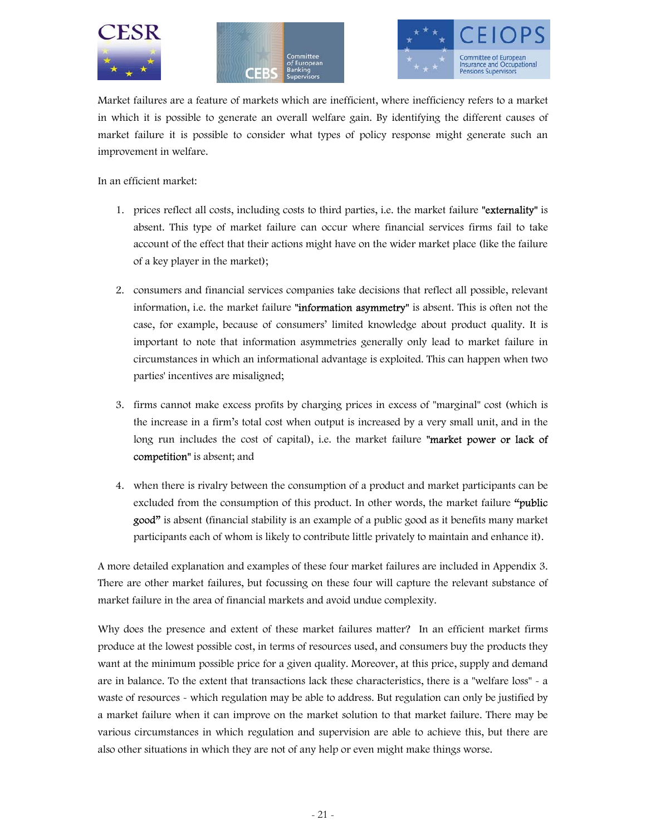





Market failures are a feature of markets which are inefficient, where inefficiency refers to a market in which it is possible to generate an overall welfare gain. By identifying the different causes of market failure it is possible to consider what types of policy response might generate such an improvement in welfare.

In an efficient market:

- 1. prices reflect all costs, including costs to third parties, i.e. the market failure "externality" is absent. This type of market failure can occur where financial services firms fail to take account of the effect that their actions might have on the wider market place (like the failure of a key player in the market);
- 2. consumers and financial services companies take decisions that reflect all possible, relevant information, i.e. the market failure "information asymmetry" is absent. This is often not the case, for example, because of consumers' limited knowledge about product quality. It is important to note that information asymmetries generally only lead to market failure in circumstances in which an informational advantage is exploited. This can happen when two parties' incentives are misaligned;
- 3. firms cannot make excess profits by charging prices in excess of "marginal" cost (which is the increase in a firm's total cost when output is increased by a very small unit, and in the long run includes the cost of capital), i.e. the market failure "market power or lack of competition" is absent; and
- 4. when there is rivalry between the consumption of a product and market participants can be excluded from the consumption of this product. In other words, the market failure "public good" is absent (financial stability is an example of a public good as it benefits many market participants each of whom is likely to contribute little privately to maintain and enhance it).

A more detailed explanation and examples of these four market failures are included in Appendix 3. There are other market failures, but focussing on these four will capture the relevant substance of market failure in the area of financial markets and avoid undue complexity.

Why does the presence and extent of these market failures matter? In an efficient market firms produce at the lowest possible cost, in terms of resources used, and consumers buy the products they want at the minimum possible price for a given quality. Moreover, at this price, supply and demand are in balance. To the extent that transactions lack these characteristics, there is a "welfare loss" - a waste of resources - which regulation may be able to address. But regulation can only be justified by a market failure when it can improve on the market solution to that market failure. There may be various circumstances in which regulation and supervision are able to achieve this, but there are also other situations in which they are not of any help or even might make things worse.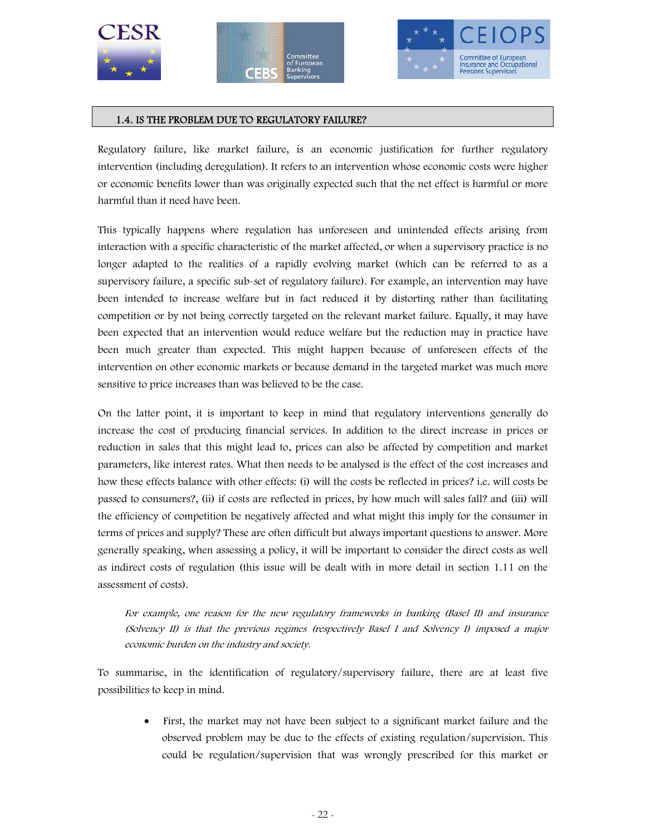





#### 1.4. IS THE PROBLEM DUE TO REGULATORY FAILURE?

Regulatory failure, like market failure, is an economic justification for further regulatory intervention (including deregulation). It refers to an intervention whose economic costs were higher or economic benefits lower than was originally expected such that the net effect is harmful or more harmful than it need have been.

This typically happens where regulation has unforeseen and unintended effects arising from interaction with a specific characteristic of the market affected, or when a supervisory practice is no longer adapted to the realities of a rapidly evolving market (which can be referred to as a supervisory failure, a specific sub-set of regulatory failure). For example, an intervention may have been intended to increase welfare but in fact reduced it by distorting rather than facilitating competition or by not being correctly targeted on the relevant market failure. Equally, it may have been expected that an intervention would reduce welfare but the reduction may in practice have been much greater than expected. This might happen because of unforeseen effects of the intervention on other economic markets or because demand in the targeted market was much more sensitive to price increases than was believed to be the case.

On the latter point, it is important to keep in mind that regulatory interventions generally do increase the cost of producing financial services. In addition to the direct increase in prices or reduction in sales that this might lead to, prices can also be affected by competition and market parameters, like interest rates. What then needs to be analysed is the effect of the cost increases and how these effects balance with other effects: (i) will the costs be reflected in prices? i.e. will costs be passed to consumers?, (ii) if costs are reflected in prices, by how much will sales fall? and (iii) will the efficiency of competition be negatively affected and what might this imply for the consumer in terms of prices and supply? These are often difficult but always important questions to answer. More generally speaking, when assessing a policy, it will be important to consider the direct costs as well as indirect costs of regulation (this issue will be dealt with in more detail in section 1.11 on the assessment of costs).

For example, one reason for the new regulatory frameworks in banking (Basel II) and insurance (Solvency II) is that the previous regimes (respectively Basel I and Solvency I) imposed a major economic burden on the industry and society.

To summarise, in the identification of regulatory/supervisory failure, there are at least five possibilities to keep in mind.

> • First, the market may not have been subject to a significant market failure and the observed problem may be due to the effects of existing regulation/supervision. This could be regulation/supervision that was wrongly prescribed for this market or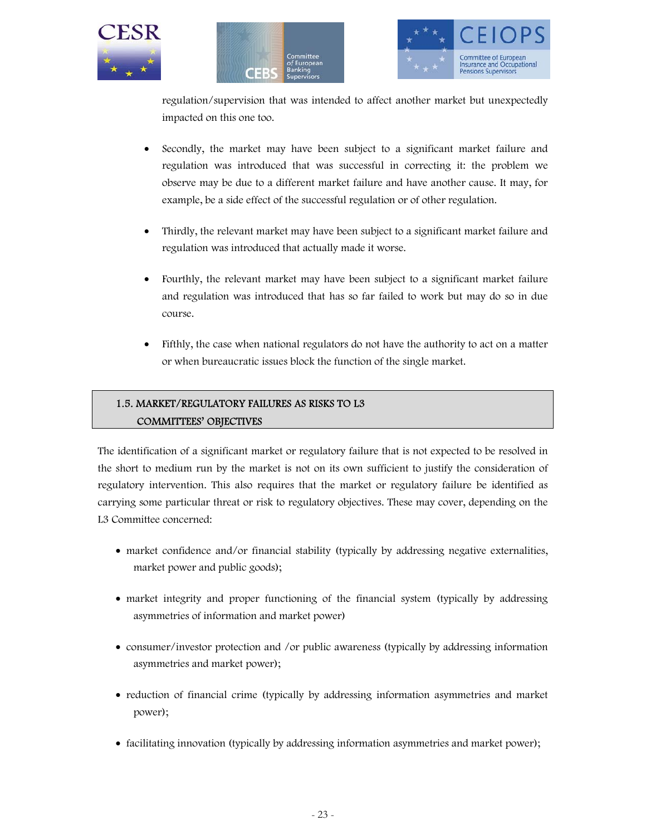





regulation/supervision that was intended to affect another market but unexpectedly impacted on this one too.

- Secondly, the market may have been subject to a significant market failure and regulation was introduced that was successful in correcting it: the problem we observe may be due to a different market failure and have another cause. It may, for example, be a side effect of the successful regulation or of other regulation.
- Thirdly, the relevant market may have been subject to a significant market failure and regulation was introduced that actually made it worse.
- Fourthly, the relevant market may have been subject to a significant market failure and regulation was introduced that has so far failed to work but may do so in due course.
- Fifthly, the case when national regulators do not have the authority to act on a matter or when bureaucratic issues block the function of the single market.

#### 1.5. MARKET/REGULATORY FAILURES AS RISKS TO L3 COMMITTEES' OBJECTIVES

The identification of a significant market or regulatory failure that is not expected to be resolved in the short to medium run by the market is not on its own sufficient to justify the consideration of regulatory intervention. This also requires that the market or regulatory failure be identified as carrying some particular threat or risk to regulatory objectives. These may cover, depending on the L3 Committee concerned:

- market confidence and/or financial stability (typically by addressing negative externalities, market power and public goods);
- market integrity and proper functioning of the financial system (typically by addressing asymmetries of information and market power)
- consumer/investor protection and /or public awareness (typically by addressing information asymmetries and market power);
- reduction of financial crime (typically by addressing information asymmetries and market power);
- facilitating innovation (typically by addressing information asymmetries and market power);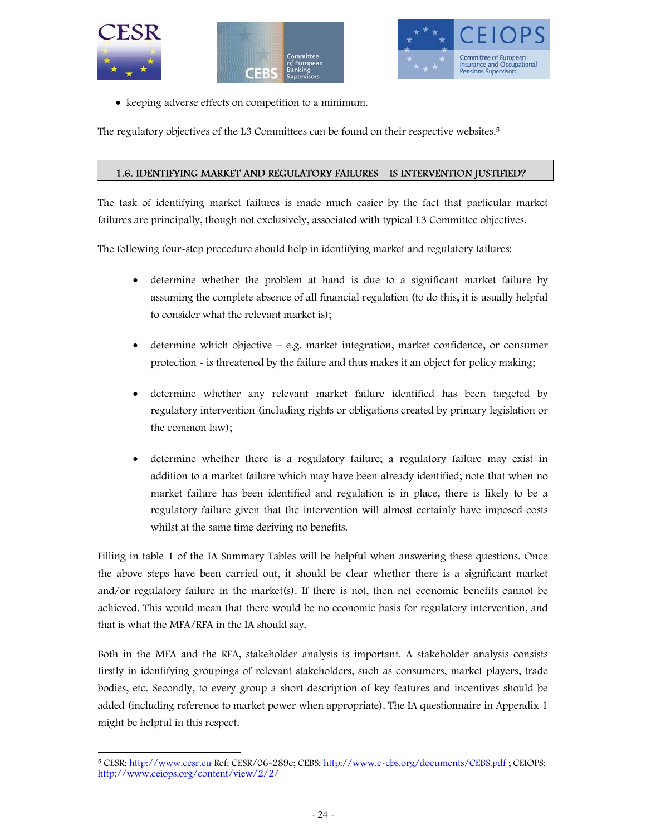





• keeping adverse effects on competition to a minimum.

The regulatory objectives of the L3 Committees can be found on their respective websites.5

#### 1.6. IDENTIFYING MARKET AND REGULATORY FAILURES – IS INTERVENTION JUSTIFIED?

The task of identifying market failures is made much easier by the fact that particular market failures are principally, though not exclusively, associated with typical L3 Committee objectives.

The following four-step procedure should help in identifying market and regulatory failures:

- determine whether the problem at hand is due to a significant market failure by assuming the complete absence of all financial regulation (to do this, it is usually helpful to consider what the relevant market is);
- determine which objective e.g. market integration, market confidence, or consumer protection - is threatened by the failure and thus makes it an object for policy making;
- determine whether any relevant market failure identified has been targeted by regulatory intervention (including rights or obligations created by primary legislation or the common law);
- determine whether there is a regulatory failure; a regulatory failure may exist in addition to a market failure which may have been already identified; note that when no market failure has been identified and regulation is in place, there is likely to be a regulatory failure given that the intervention will almost certainly have imposed costs whilst at the same time deriving no benefits.

Filling in table 1 of the IA Summary Tables will be helpful when answering these questions. Once the above steps have been carried out, it should be clear whether there is a significant market and/or regulatory failure in the market(s). If there is not, then net economic benefits cannot be achieved. This would mean that there would be no economic basis for regulatory intervention, and that is what the MFA/RFA in the IA should say.

Both in the MFA and the RFA, stakeholder analysis is important. A stakeholder analysis consists firstly in identifying groupings of relevant stakeholders, such as consumers, market players, trade bodies, etc. Secondly, to every group a short description of key features and incentives should be added (including reference to market power when appropriate). The IA questionnaire in Appendix 1 might be helpful in this respect.

 $\overline{a}$ 5 CESR: http://www.cesr.eu Ref: CESR/06-289c; CEBS: http://www.c-ebs.org/documents/CEBS.pdf ; CEIOPS: http://www.ceiops.org/content/view/2/2/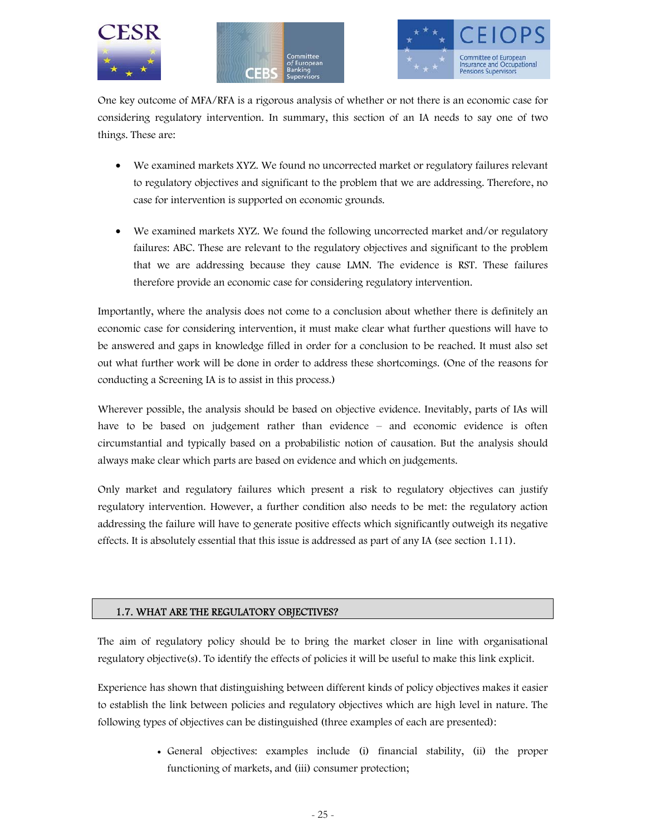





One key outcome of MFA/RFA is a rigorous analysis of whether or not there is an economic case for considering regulatory intervention. In summary, this section of an IA needs to say one of two things. These are:

- We examined markets XYZ. We found no uncorrected market or regulatory failures relevant to regulatory objectives and significant to the problem that we are addressing. Therefore, no case for intervention is supported on economic grounds.
- We examined markets XYZ. We found the following uncorrected market and/or regulatory failures: ABC. These are relevant to the regulatory objectives and significant to the problem that we are addressing because they cause LMN. The evidence is RST. These failures therefore provide an economic case for considering regulatory intervention.

Importantly, where the analysis does not come to a conclusion about whether there is definitely an economic case for considering intervention, it must make clear what further questions will have to be answered and gaps in knowledge filled in order for a conclusion to be reached. It must also set out what further work will be done in order to address these shortcomings. (One of the reasons for conducting a Screening IA is to assist in this process.)

Wherever possible, the analysis should be based on objective evidence. Inevitably, parts of IAs will have to be based on judgement rather than evidence – and economic evidence is often circumstantial and typically based on a probabilistic notion of causation. But the analysis should always make clear which parts are based on evidence and which on judgements.

Only market and regulatory failures which present a risk to regulatory objectives can justify regulatory intervention. However, a further condition also needs to be met: the regulatory action addressing the failure will have to generate positive effects which significantly outweigh its negative effects. It is absolutely essential that this issue is addressed as part of any IA (see section 1.11).

#### 1.7. WHAT ARE THE REGULATORY OBJECTIVES?

The aim of regulatory policy should be to bring the market closer in line with organisational regulatory objective(s). To identify the effects of policies it will be useful to make this link explicit.

Experience has shown that distinguishing between different kinds of policy objectives makes it easier to establish the link between policies and regulatory objectives which are high level in nature. The following types of objectives can be distinguished (three examples of each are presented):

> • General objectives: examples include (i) financial stability, (ii) the proper functioning of markets, and (iii) consumer protection;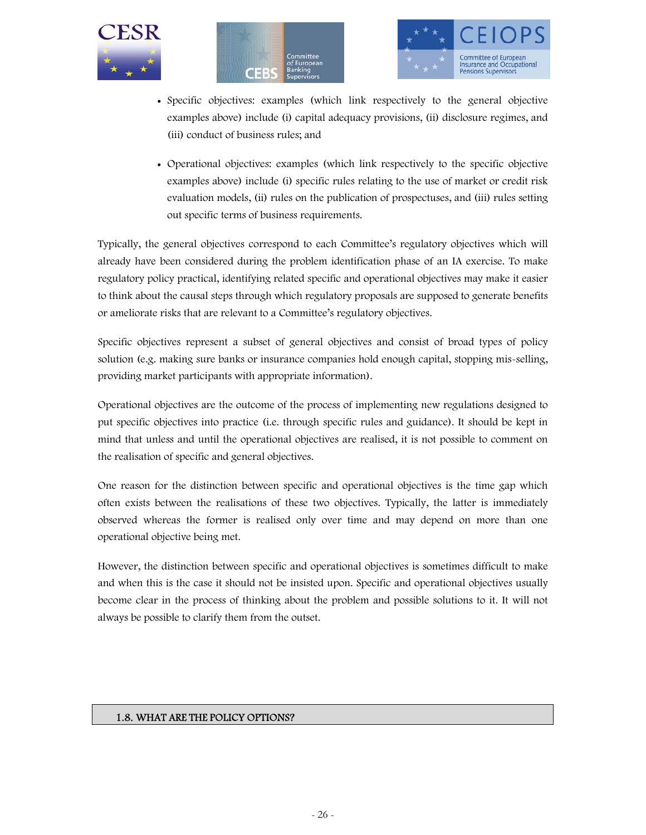





- Specific objectives: examples (which link respectively to the general objective examples above) include (i) capital adequacy provisions, (ii) disclosure regimes, and (iii) conduct of business rules; and
- Operational objectives: examples (which link respectively to the specific objective examples above) include (i) specific rules relating to the use of market or credit risk evaluation models, (ii) rules on the publication of prospectuses, and (iii) rules setting out specific terms of business requirements.

Typically, the general objectives correspond to each Committee's regulatory objectives which will already have been considered during the problem identification phase of an IA exercise. To make regulatory policy practical, identifying related specific and operational objectives may make it easier to think about the causal steps through which regulatory proposals are supposed to generate benefits or ameliorate risks that are relevant to a Committee's regulatory objectives.

Specific objectives represent a subset of general objectives and consist of broad types of policy solution (e.g. making sure banks or insurance companies hold enough capital, stopping mis-selling, providing market participants with appropriate information).

Operational objectives are the outcome of the process of implementing new regulations designed to put specific objectives into practice (i.e. through specific rules and guidance). It should be kept in mind that unless and until the operational objectives are realised, it is not possible to comment on the realisation of specific and general objectives.

One reason for the distinction between specific and operational objectives is the time gap which often exists between the realisations of these two objectives. Typically, the latter is immediately observed whereas the former is realised only over time and may depend on more than one operational objective being met.

However, the distinction between specific and operational objectives is sometimes difficult to make and when this is the case it should not be insisted upon. Specific and operational objectives usually become clear in the process of thinking about the problem and possible solutions to it. It will not always be possible to clarify them from the outset.

#### 1.8. WHAT ARE THE POLICY OPTIONS?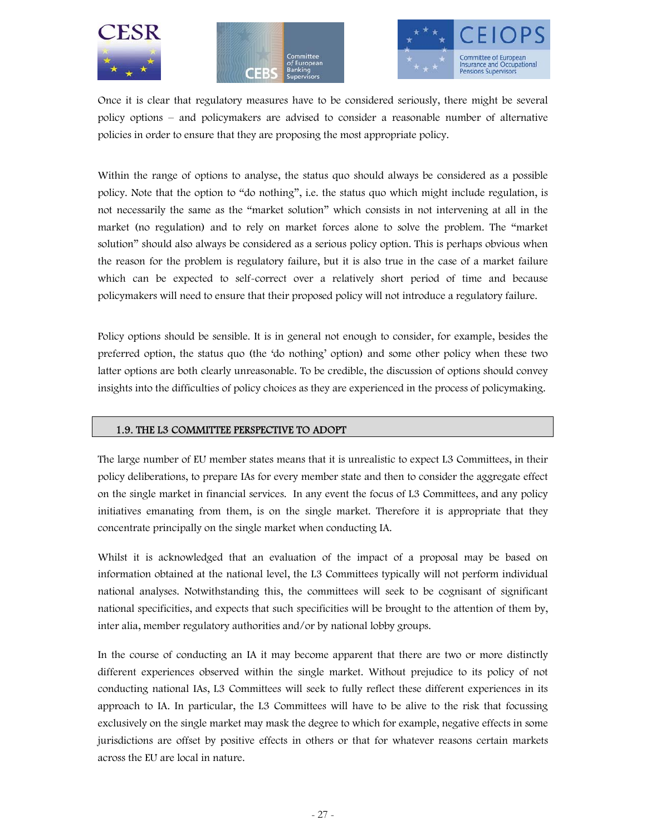





Once it is clear that regulatory measures have to be considered seriously, there might be several policy options – and policymakers are advised to consider a reasonable number of alternative policies in order to ensure that they are proposing the most appropriate policy.

Within the range of options to analyse, the status quo should always be considered as a possible policy. Note that the option to "do nothing", i.e. the status quo which might include regulation, is not necessarily the same as the "market solution" which consists in not intervening at all in the market (no regulation) and to rely on market forces alone to solve the problem. The "market solution" should also always be considered as a serious policy option. This is perhaps obvious when the reason for the problem is regulatory failure, but it is also true in the case of a market failure which can be expected to self-correct over a relatively short period of time and because policymakers will need to ensure that their proposed policy will not introduce a regulatory failure.

Policy options should be sensible. It is in general not enough to consider, for example, besides the preferred option, the status quo (the 'do nothing' option) and some other policy when these two latter options are both clearly unreasonable. To be credible, the discussion of options should convey insights into the difficulties of policy choices as they are experienced in the process of policymaking.

#### 1.9. THE L3 COMMITTEE PERSPECTIVE TO ADOPT

The large number of EU member states means that it is unrealistic to expect L3 Committees, in their policy deliberations, to prepare IAs for every member state and then to consider the aggregate effect on the single market in financial services. In any event the focus of L3 Committees, and any policy initiatives emanating from them, is on the single market. Therefore it is appropriate that they concentrate principally on the single market when conducting IA.

Whilst it is acknowledged that an evaluation of the impact of a proposal may be based on information obtained at the national level, the L3 Committees typically will not perform individual national analyses. Notwithstanding this, the committees will seek to be cognisant of significant national specificities, and expects that such specificities will be brought to the attention of them by, inter alia, member regulatory authorities and/or by national lobby groups.

In the course of conducting an IA it may become apparent that there are two or more distinctly different experiences observed within the single market. Without prejudice to its policy of not conducting national IAs, L3 Committees will seek to fully reflect these different experiences in its approach to IA. In particular, the L3 Committees will have to be alive to the risk that focussing exclusively on the single market may mask the degree to which for example, negative effects in some jurisdictions are offset by positive effects in others or that for whatever reasons certain markets across the EU are local in nature.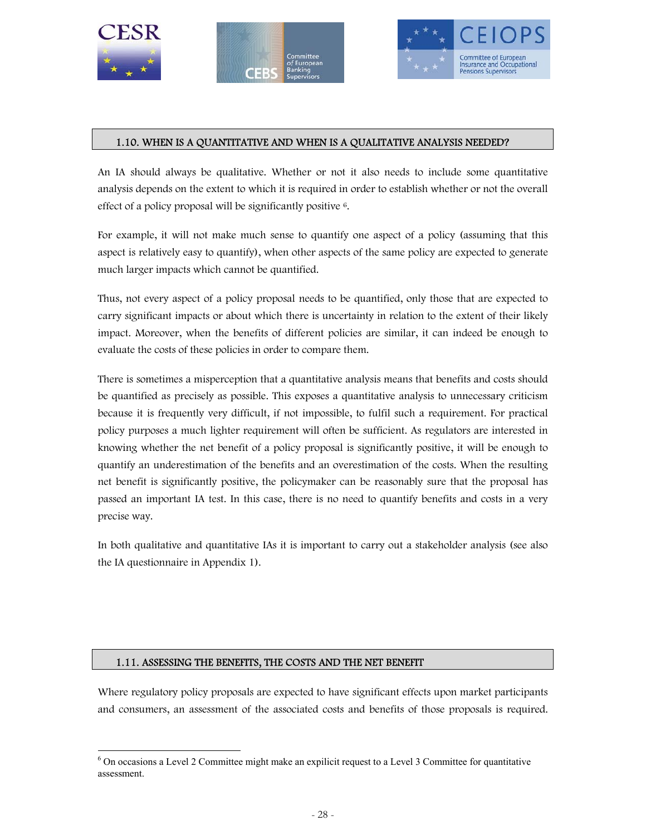

-





#### 1.10. WHEN IS A QUANTITATIVE AND WHEN IS A QUALITATIVE ANALYSIS NEEDED?

An IA should always be qualitative. Whether or not it also needs to include some quantitative analysis depends on the extent to which it is required in order to establish whether or not the overall effect of a policy proposal will be significantly positive 6.

For example, it will not make much sense to quantify one aspect of a policy (assuming that this aspect is relatively easy to quantify), when other aspects of the same policy are expected to generate much larger impacts which cannot be quantified.

Thus, not every aspect of a policy proposal needs to be quantified, only those that are expected to carry significant impacts or about which there is uncertainty in relation to the extent of their likely impact. Moreover, when the benefits of different policies are similar, it can indeed be enough to evaluate the costs of these policies in order to compare them.

There is sometimes a misperception that a quantitative analysis means that benefits and costs should be quantified as precisely as possible. This exposes a quantitative analysis to unnecessary criticism because it is frequently very difficult, if not impossible, to fulfil such a requirement. For practical policy purposes a much lighter requirement will often be sufficient. As regulators are interested in knowing whether the net benefit of a policy proposal is significantly positive, it will be enough to quantify an underestimation of the benefits and an overestimation of the costs. When the resulting net benefit is significantly positive, the policymaker can be reasonably sure that the proposal has passed an important IA test. In this case, there is no need to quantify benefits and costs in a very precise way.

In both qualitative and quantitative IAs it is important to carry out a stakeholder analysis (see also the IA questionnaire in Appendix 1).

#### 1.11. ASSESSING THE BENEFITS, THE COSTS AND THE NET BENEFIT

Where regulatory policy proposals are expected to have significant effects upon market participants and consumers, an assessment of the associated costs and benefits of those proposals is required.

<sup>&</sup>lt;sup>6</sup> On occasions a Level 2 Committee might make an expilicit request to a Level 3 Committee for quantitative assessment.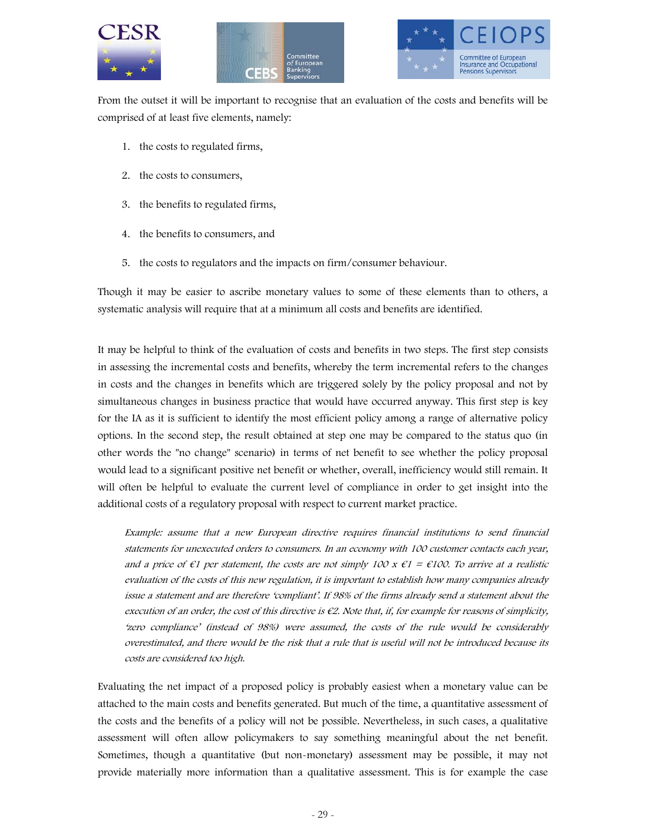





From the outset it will be important to recognise that an evaluation of the costs and benefits will be comprised of at least five elements, namely:

- 1. the costs to regulated firms,
- 2. the costs to consumers,
- 3. the benefits to regulated firms,
- 4. the benefits to consumers, and
- 5. the costs to regulators and the impacts on firm/consumer behaviour.

Though it may be easier to ascribe monetary values to some of these elements than to others, a systematic analysis will require that at a minimum all costs and benefits are identified.

It may be helpful to think of the evaluation of costs and benefits in two steps. The first step consists in assessing the incremental costs and benefits, whereby the term incremental refers to the changes in costs and the changes in benefits which are triggered solely by the policy proposal and not by simultaneous changes in business practice that would have occurred anyway. This first step is key for the IA as it is sufficient to identify the most efficient policy among a range of alternative policy options. In the second step, the result obtained at step one may be compared to the status quo (in other words the "no change" scenario) in terms of net benefit to see whether the policy proposal would lead to a significant positive net benefit or whether, overall, inefficiency would still remain. It will often be helpful to evaluate the current level of compliance in order to get insight into the additional costs of a regulatory proposal with respect to current market practice.

Example: assume that a new European directive requires financial institutions to send financial statements for unexecuted orders to consumers. In an economy with 100 customer contacts each year, and a price of  $\epsilon_1$  per statement, the costs are not simply 100 x  $\epsilon_1$  =  $\epsilon_1$ 00. To arrive at a realistic evaluation of the costs of this new regulation, it is important to establish how many companies already issue a statement and are therefore 'compliant'. If 98% of the firms already send a statement about the execution of an order, the cost of this directive is  $\epsilon$ 2. Note that, if, for example for reasons of simplicity, 'zero compliance' (instead of 98%) were assumed, the costs of the rule would be considerably overestimated, and there would be the risk that a rule that is useful will not be introduced because its costs are considered too high.

Evaluating the net impact of a proposed policy is probably easiest when a monetary value can be attached to the main costs and benefits generated. But much of the time, a quantitative assessment of the costs and the benefits of a policy will not be possible. Nevertheless, in such cases, a qualitative assessment will often allow policymakers to say something meaningful about the net benefit. Sometimes, though a quantitative (but non-monetary) assessment may be possible, it may not provide materially more information than a qualitative assessment. This is for example the case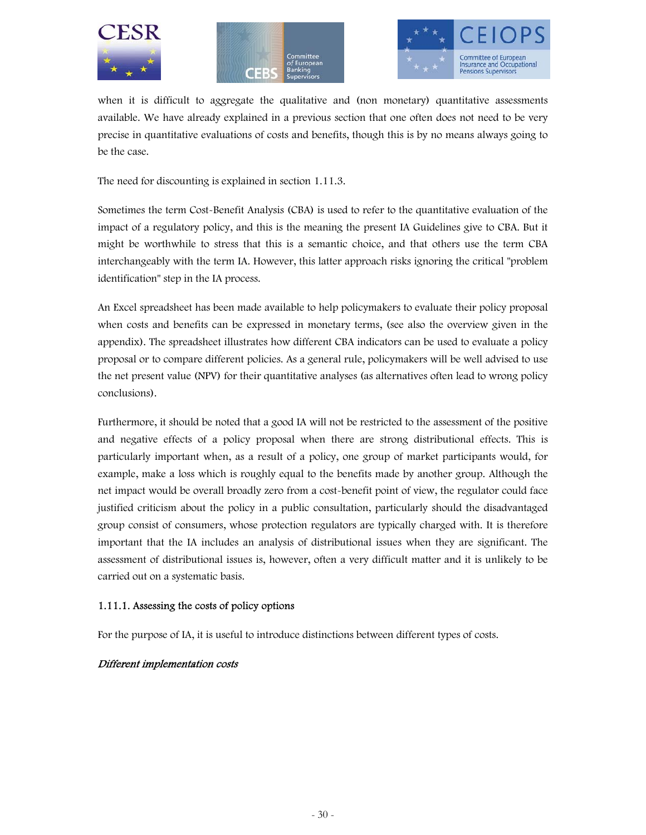





when it is difficult to aggregate the qualitative and (non monetary) quantitative assessments available. We have already explained in a previous section that one often does not need to be very precise in quantitative evaluations of costs and benefits, though this is by no means always going to be the case.

The need for discounting is explained in section 1.11.3.

Sometimes the term Cost-Benefit Analysis (CBA) is used to refer to the quantitative evaluation of the impact of a regulatory policy, and this is the meaning the present IA Guidelines give to CBA. But it might be worthwhile to stress that this is a semantic choice, and that others use the term CBA interchangeably with the term IA. However, this latter approach risks ignoring the critical "problem identification" step in the IA process.

An Excel spreadsheet has been made available to help policymakers to evaluate their policy proposal when costs and benefits can be expressed in monetary terms, (see also the overview given in the appendix). The spreadsheet illustrates how different CBA indicators can be used to evaluate a policy proposal or to compare different policies. As a general rule, policymakers will be well advised to use the net present value (NPV) for their quantitative analyses (as alternatives often lead to wrong policy conclusions).

Furthermore, it should be noted that a good IA will not be restricted to the assessment of the positive and negative effects of a policy proposal when there are strong distributional effects. This is particularly important when, as a result of a policy, one group of market participants would, for example, make a loss which is roughly equal to the benefits made by another group. Although the net impact would be overall broadly zero from a cost-benefit point of view, the regulator could face justified criticism about the policy in a public consultation, particularly should the disadvantaged group consist of consumers, whose protection regulators are typically charged with. It is therefore important that the IA includes an analysis of distributional issues when they are significant. The assessment of distributional issues is, however, often a very difficult matter and it is unlikely to be carried out on a systematic basis.

#### 1.11.1. Assessing the costs of policy options

For the purpose of IA, it is useful to introduce distinctions between different types of costs.

#### Different implementation costs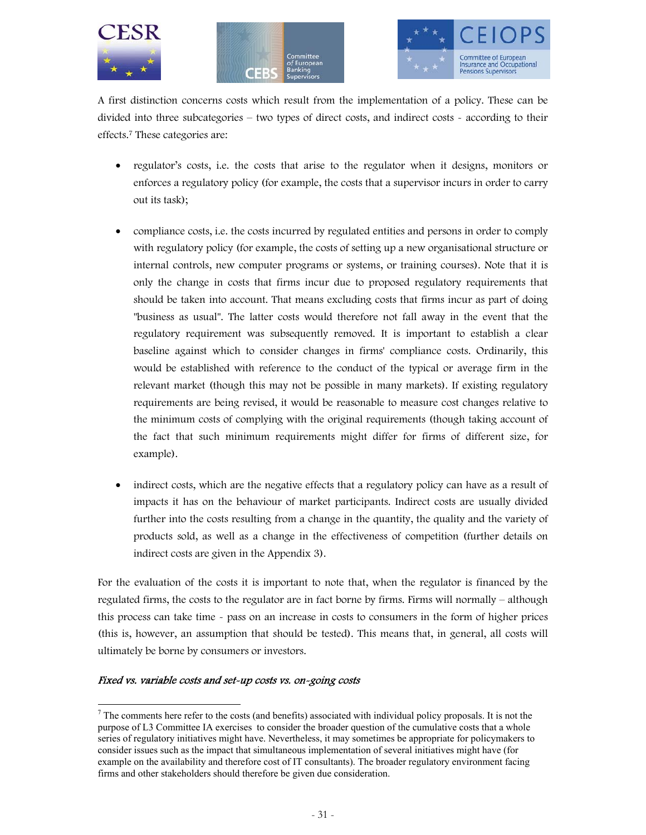





A first distinction concerns costs which result from the implementation of a policy. These can be divided into three subcategories – two types of direct costs, and indirect costs - according to their effects.7 These categories are:

- regulator's costs, i.e. the costs that arise to the regulator when it designs, monitors or enforces a regulatory policy (for example, the costs that a supervisor incurs in order to carry out its task);
- compliance costs, i.e. the costs incurred by regulated entities and persons in order to comply with regulatory policy (for example, the costs of setting up a new organisational structure or internal controls, new computer programs or systems, or training courses). Note that it is only the change in costs that firms incur due to proposed regulatory requirements that should be taken into account. That means excluding costs that firms incur as part of doing "business as usual". The latter costs would therefore not fall away in the event that the regulatory requirement was subsequently removed. It is important to establish a clear baseline against which to consider changes in firms' compliance costs. Ordinarily, this would be established with reference to the conduct of the typical or average firm in the relevant market (though this may not be possible in many markets). If existing regulatory requirements are being revised, it would be reasonable to measure cost changes relative to the minimum costs of complying with the original requirements (though taking account of the fact that such minimum requirements might differ for firms of different size, for example).
- indirect costs, which are the negative effects that a regulatory policy can have as a result of impacts it has on the behaviour of market participants. Indirect costs are usually divided further into the costs resulting from a change in the quantity, the quality and the variety of products sold, as well as a change in the effectiveness of competition (further details on indirect costs are given in the Appendix 3).

For the evaluation of the costs it is important to note that, when the regulator is financed by the regulated firms, the costs to the regulator are in fact borne by firms. Firms will normally – although this process can take time - pass on an increase in costs to consumers in the form of higher prices (this is, however, an assumption that should be tested). This means that, in general, all costs will ultimately be borne by consumers or investors.

#### Fixed vs. variable costs and set-up costs vs. on-going costs

 $\ddot{ }$  $<sup>7</sup>$  The comments here refer to the costs (and benefits) associated with individual policy proposals. It is not the</sup> purpose of L3 Committee IA exercises to consider the broader question of the cumulative costs that a whole series of regulatory initiatives might have. Nevertheless, it may sometimes be appropriate for policymakers to consider issues such as the impact that simultaneous implementation of several initiatives might have (for example on the availability and therefore cost of IT consultants). The broader regulatory environment facing firms and other stakeholders should therefore be given due consideration.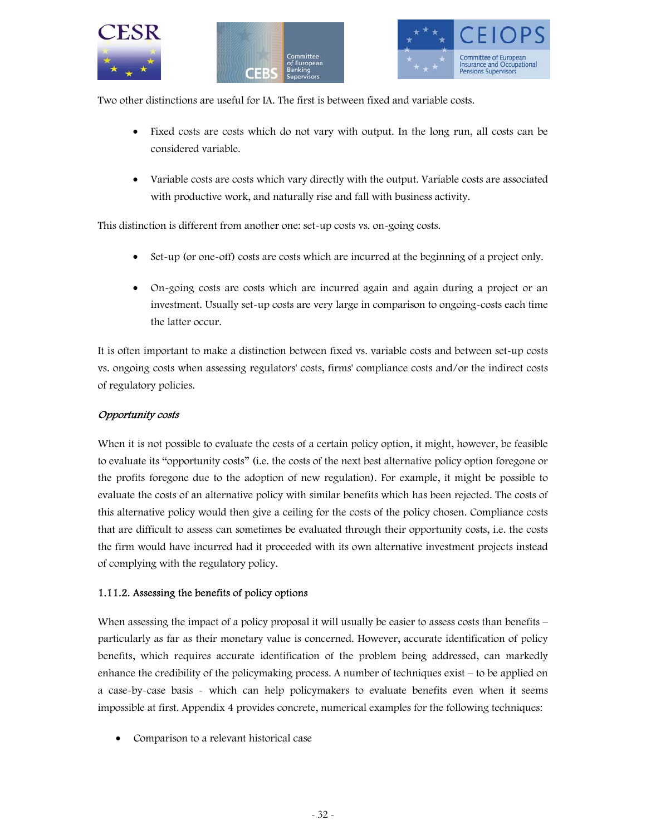





Two other distinctions are useful for IA. The first is between fixed and variable costs.

- Fixed costs are costs which do not vary with output. In the long run, all costs can be considered variable.
- Variable costs are costs which vary directly with the output. Variable costs are associated with productive work, and naturally rise and fall with business activity.

This distinction is different from another one: set-up costs vs. on-going costs.

- Set-up (or one-off) costs are costs which are incurred at the beginning of a project only.
- On-going costs are costs which are incurred again and again during a project or an investment. Usually set-up costs are very large in comparison to ongoing-costs each time the latter occur.

It is often important to make a distinction between fixed vs. variable costs and between set-up costs vs. ongoing costs when assessing regulators' costs, firms' compliance costs and/or the indirect costs of regulatory policies.

#### Opportunity costs

When it is not possible to evaluate the costs of a certain policy option, it might, however, be feasible to evaluate its "opportunity costs" (i.e. the costs of the next best alternative policy option foregone or the profits foregone due to the adoption of new regulation). For example, it might be possible to evaluate the costs of an alternative policy with similar benefits which has been rejected. The costs of this alternative policy would then give a ceiling for the costs of the policy chosen. Compliance costs that are difficult to assess can sometimes be evaluated through their opportunity costs, i.e. the costs the firm would have incurred had it proceeded with its own alternative investment projects instead of complying with the regulatory policy.

#### 1.11.2. Assessing the benefits of policy options

When assessing the impact of a policy proposal it will usually be easier to assess costs than benefits – particularly as far as their monetary value is concerned. However, accurate identification of policy benefits, which requires accurate identification of the problem being addressed, can markedly enhance the credibility of the policymaking process. A number of techniques exist – to be applied on a case-by-case basis - which can help policymakers to evaluate benefits even when it seems impossible at first. Appendix 4 provides concrete, numerical examples for the following techniques:

• Comparison to a relevant historical case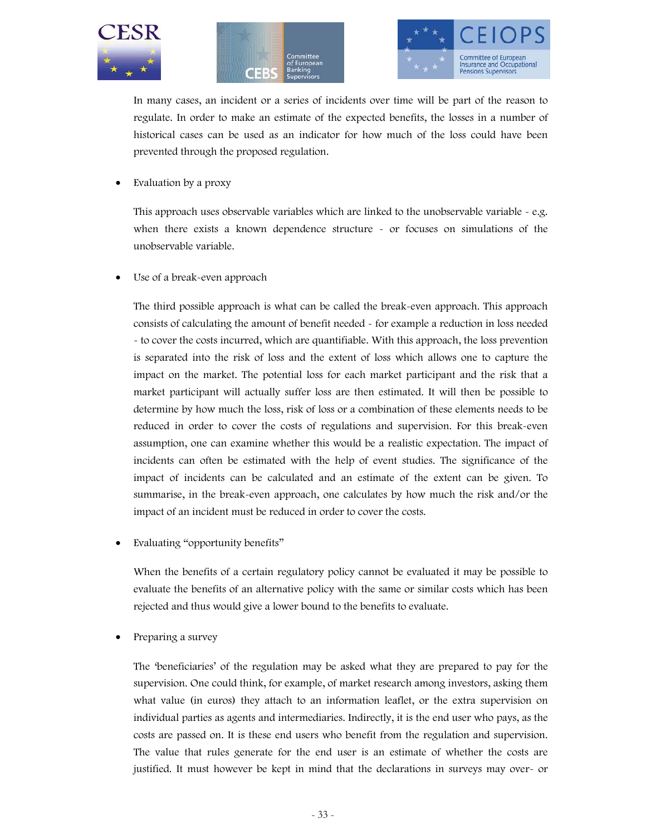





In many cases, an incident or a series of incidents over time will be part of the reason to regulate. In order to make an estimate of the expected benefits, the losses in a number of historical cases can be used as an indicator for how much of the loss could have been prevented through the proposed regulation.

• Evaluation by a proxy

This approach uses observable variables which are linked to the unobservable variable  $\sim$  e.g. when there exists a known dependence structure - or focuses on simulations of the unobservable variable.

Use of a break-even approach

The third possible approach is what can be called the break-even approach. This approach consists of calculating the amount of benefit needed - for example a reduction in loss needed - to cover the costs incurred, which are quantifiable. With this approach, the loss prevention is separated into the risk of loss and the extent of loss which allows one to capture the impact on the market. The potential loss for each market participant and the risk that a market participant will actually suffer loss are then estimated. It will then be possible to determine by how much the loss, risk of loss or a combination of these elements needs to be reduced in order to cover the costs of regulations and supervision. For this break-even assumption, one can examine whether this would be a realistic expectation. The impact of incidents can often be estimated with the help of event studies. The significance of the impact of incidents can be calculated and an estimate of the extent can be given. To summarise, in the break-even approach, one calculates by how much the risk and/or the impact of an incident must be reduced in order to cover the costs.

Evaluating "opportunity benefits"

When the benefits of a certain regulatory policy cannot be evaluated it may be possible to evaluate the benefits of an alternative policy with the same or similar costs which has been rejected and thus would give a lower bound to the benefits to evaluate.

Preparing a survey

The 'beneficiaries' of the regulation may be asked what they are prepared to pay for the supervision. One could think, for example, of market research among investors, asking them what value (in euros) they attach to an information leaflet, or the extra supervision on individual parties as agents and intermediaries. Indirectly, it is the end user who pays, as the costs are passed on. It is these end users who benefit from the regulation and supervision. The value that rules generate for the end user is an estimate of whether the costs are justified. It must however be kept in mind that the declarations in surveys may over- or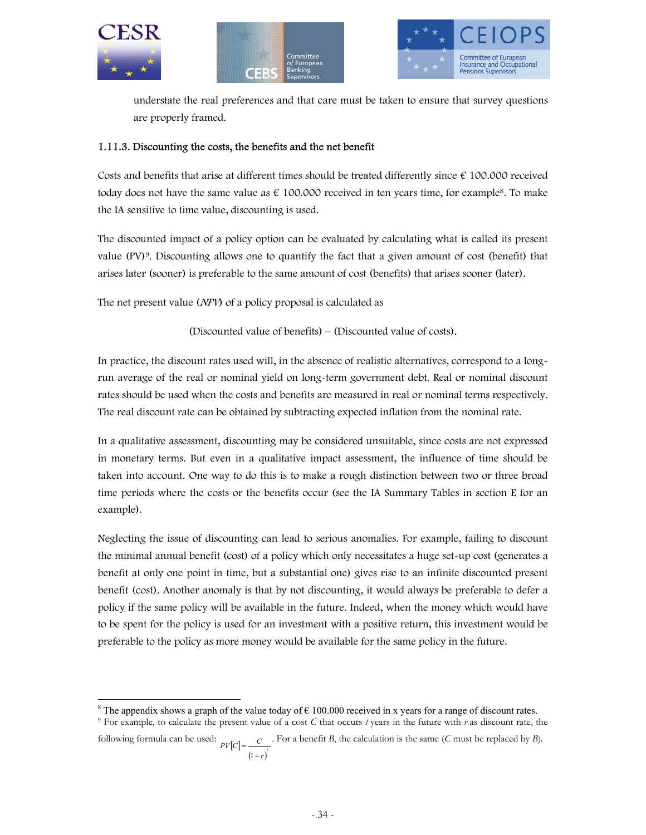

-





understate the real preferences and that care must be taken to ensure that survey questions are properly framed.

#### 1.11.3. Discounting the costs, the benefits and the net benefit

Costs and benefits that arise at different times should be treated differently since  $\epsilon$  100.000 received today does not have the same value as  $\epsilon$  100.000 received in ten years time, for example<sup>8</sup>. To make the IA sensitive to time value, discounting is used.

The discounted impact of a policy option can be evaluated by calculating what is called its present value (PV)9. Discounting allows one to quantify the fact that a given amount of cost (benefit) that arises later (sooner) is preferable to the same amount of cost (benefits) that arises sooner (later).

The net present value (NPV) of a policy proposal is calculated as

(Discounted value of benefits) – (Discounted value of costs).

In practice, the discount rates used will, in the absence of realistic alternatives, correspond to a longrun average of the real or nominal yield on long-term government debt. Real or nominal discount rates should be used when the costs and benefits are measured in real or nominal terms respectively. The real discount rate can be obtained by subtracting expected inflation from the nominal rate.

In a qualitative assessment, discounting may be considered unsuitable, since costs are not expressed in monetary terms. But even in a qualitative impact assessment, the influence of time should be taken into account. One way to do this is to make a rough distinction between two or three broad time periods where the costs or the benefits occur (see the IA Summary Tables in section E for an example).

Neglecting the issue of discounting can lead to serious anomalies. For example, failing to discount the minimal annual benefit (cost) of a policy which only necessitates a huge set-up cost (generates a benefit at only one point in time, but a substantial one) gives rise to an infinite discounted present benefit (cost). Another anomaly is that by not discounting, it would always be preferable to defer a policy if the same policy will be available in the future. Indeed, when the money which would have to be spent for the policy is used for an investment with a positive return, this investment would be preferable to the policy as more money would be available for the same policy in the future.

<sup>8</sup> The appendix shows a graph of the value today of  $\epsilon$  100.000 received in x years for a range of discount rates.

9 For example, to calculate the present value of a cost *C* that occurs *t* years in the future with *r* as discount rate, the

following formula can be used:  $PV[C]$  $(1+r)^t$  $PV[C] = \frac{C}{\sqrt{C}}$ + = 1 . For a benefit *B*, the calculation is the same (*C* must be replaced by *B*).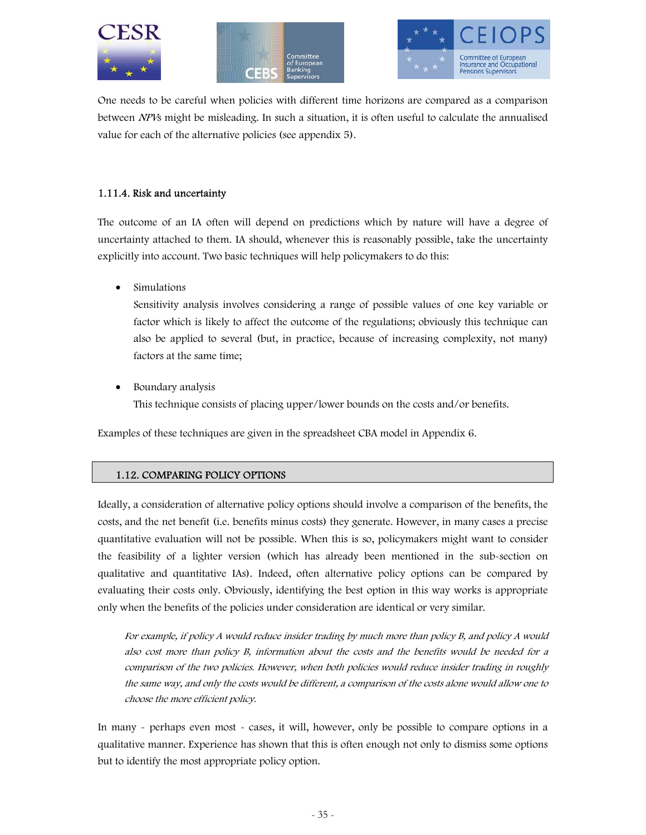





One needs to be careful when policies with different time horizons are compared as a comparison between NPVs might be misleading. In such a situation, it is often useful to calculate the annualised value for each of the alternative policies (see appendix 5).

#### 1.11.4. Risk and uncertainty

The outcome of an IA often will depend on predictions which by nature will have a degree of uncertainty attached to them. IA should, whenever this is reasonably possible, take the uncertainty explicitly into account. Two basic techniques will help policymakers to do this:

• Simulations

Sensitivity analysis involves considering a range of possible values of one key variable or factor which is likely to affect the outcome of the regulations; obviously this technique can also be applied to several (but, in practice, because of increasing complexity, not many) factors at the same time;

• Boundary analysis

This technique consists of placing upper/lower bounds on the costs and/or benefits.

Examples of these techniques are given in the spreadsheet CBA model in Appendix 6.

#### 1.12. COMPARING POLICY OPTIONS

Ideally, a consideration of alternative policy options should involve a comparison of the benefits, the costs, and the net benefit (i.e. benefits minus costs) they generate. However, in many cases a precise quantitative evaluation will not be possible. When this is so, policymakers might want to consider the feasibility of a lighter version (which has already been mentioned in the sub-section on qualitative and quantitative IAs). Indeed, often alternative policy options can be compared by evaluating their costs only. Obviously, identifying the best option in this way works is appropriate only when the benefits of the policies under consideration are identical or very similar.

For example, if policy A would reduce insider trading by much more than policy B, and policy A would also cost more than policy B, information about the costs and the benefits would be needed for a comparison of the two policies. However, when both policies would reduce insider trading in roughly the same way, and only the costs would be different, a comparison of the costs alone would allow one to choose the more efficient policy.

In many - perhaps even most - cases, it will, however, only be possible to compare options in a qualitative manner. Experience has shown that this is often enough not only to dismiss some options but to identify the most appropriate policy option.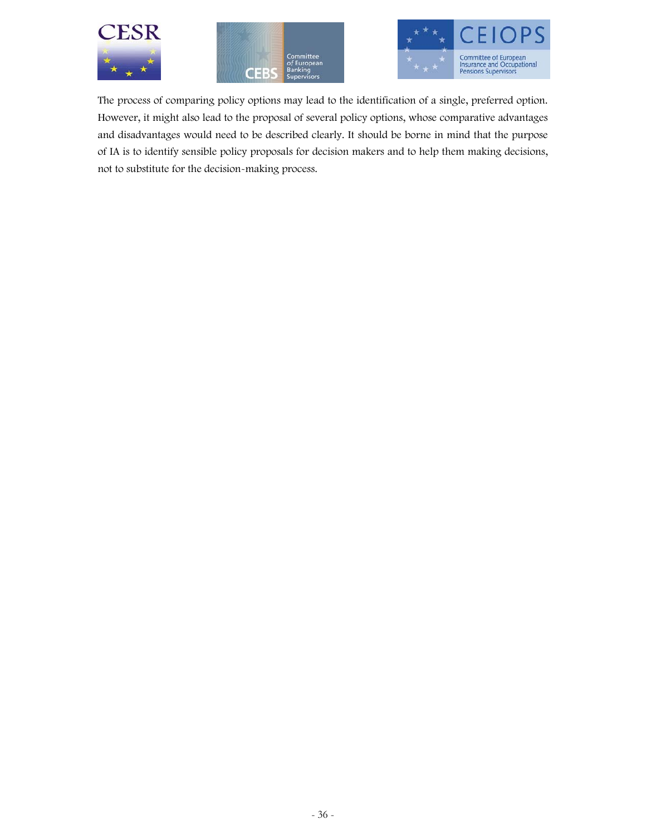





The process of comparing policy options may lead to the identification of a single, preferred option. However, it might also lead to the proposal of several policy options, whose comparative advantages and disadvantages would need to be described clearly. It should be borne in mind that the purpose of IA is to identify sensible policy proposals for decision makers and to help them making decisions, not to substitute for the decision-making process.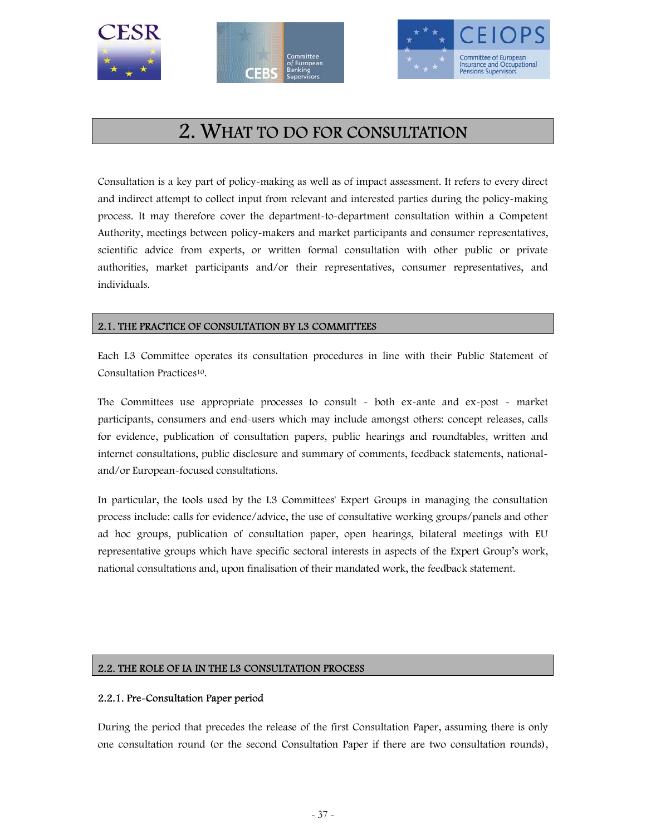





# 2. WHAT TO DO FOR CONSULTATION

Consultation is a key part of policy-making as well as of impact assessment. It refers to every direct and indirect attempt to collect input from relevant and interested parties during the policy-making process. It may therefore cover the department-to-department consultation within a Competent Authority, meetings between policy-makers and market participants and consumer representatives, scientific advice from experts, or written formal consultation with other public or private authorities, market participants and/or their representatives, consumer representatives, and individuals.

# 2.1. THE PRACTICE OF CONSULTATION BY L3 COMMITTEES

Each L3 Committee operates its consultation procedures in line with their Public Statement of Consultation Practices10.

The Committees use appropriate processes to consult - both ex-ante and ex-post - market participants, consumers and end-users which may include amongst others: concept releases, calls for evidence, publication of consultation papers, public hearings and roundtables, written and internet consultations, public disclosure and summary of comments, feedback statements, nationaland/or European-focused consultations.

In particular, the tools used by the L3 Committees' Expert Groups in managing the consultation process include: calls for evidence/advice, the use of consultative working groups/panels and other ad hoc groups, publication of consultation paper, open hearings, bilateral meetings with EU representative groups which have specific sectoral interests in aspects of the Expert Group's work, national consultations and, upon finalisation of their mandated work, the feedback statement.

# 2.2. THE ROLE OF IA IN THE L3 CONSULTATION PROCESS

# 2.2.1. Pre-Consultation Paper period

During the period that precedes the release of the first Consultation Paper, assuming there is only one consultation round (or the second Consultation Paper if there are two consultation rounds),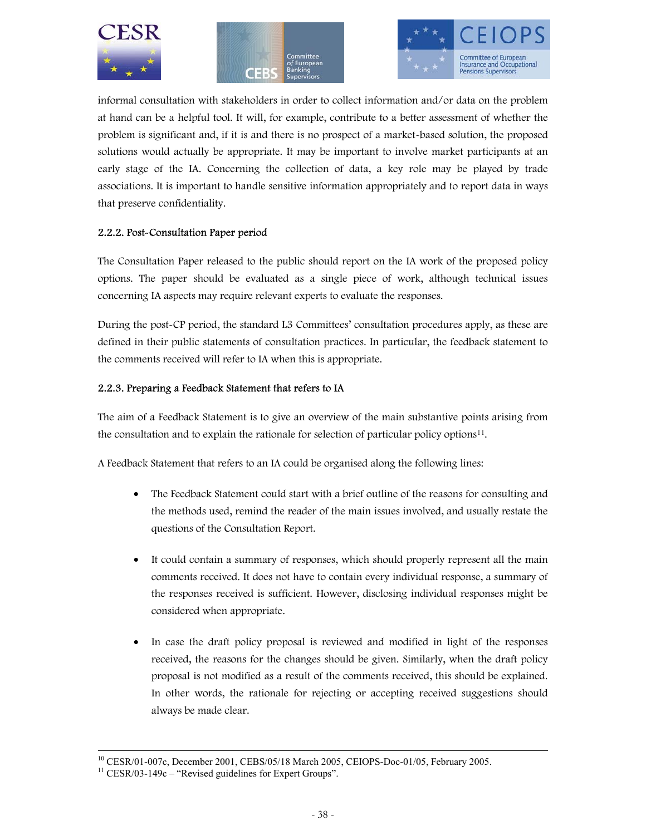





informal consultation with stakeholders in order to collect information and/or data on the problem at hand can be a helpful tool. It will, for example, contribute to a better assessment of whether the problem is significant and, if it is and there is no prospect of a market-based solution, the proposed solutions would actually be appropriate. It may be important to involve market participants at an early stage of the IA. Concerning the collection of data, a key role may be played by trade associations. It is important to handle sensitive information appropriately and to report data in ways that preserve confidentiality.

# 2.2.2. Post-Consultation Paper period

The Consultation Paper released to the public should report on the IA work of the proposed policy options. The paper should be evaluated as a single piece of work, although technical issues concerning IA aspects may require relevant experts to evaluate the responses.

During the post-CP period, the standard L3 Committees' consultation procedures apply, as these are defined in their public statements of consultation practices. In particular, the feedback statement to the comments received will refer to IA when this is appropriate.

# 2.2.3. Preparing a Feedback Statement that refers to IA

The aim of a Feedback Statement is to give an overview of the main substantive points arising from the consultation and to explain the rationale for selection of particular policy options11.

A Feedback Statement that refers to an IA could be organised along the following lines:

- The Feedback Statement could start with a brief outline of the reasons for consulting and the methods used, remind the reader of the main issues involved, and usually restate the questions of the Consultation Report.
- It could contain a summary of responses, which should properly represent all the main comments received. It does not have to contain every individual response, a summary of the responses received is sufficient. However, disclosing individual responses might be considered when appropriate.
- In case the draft policy proposal is reviewed and modified in light of the responses received, the reasons for the changes should be given. Similarly, when the draft policy proposal is not modified as a result of the comments received, this should be explained. In other words, the rationale for rejecting or accepting received suggestions should always be made clear.

10 CESR/01-007c, December 2001, CEBS/05/18 March 2005, CEIOPS-Doc-01/05, February 2005.

 $11$  CESR/03-149c – "Revised guidelines for Expert Groups".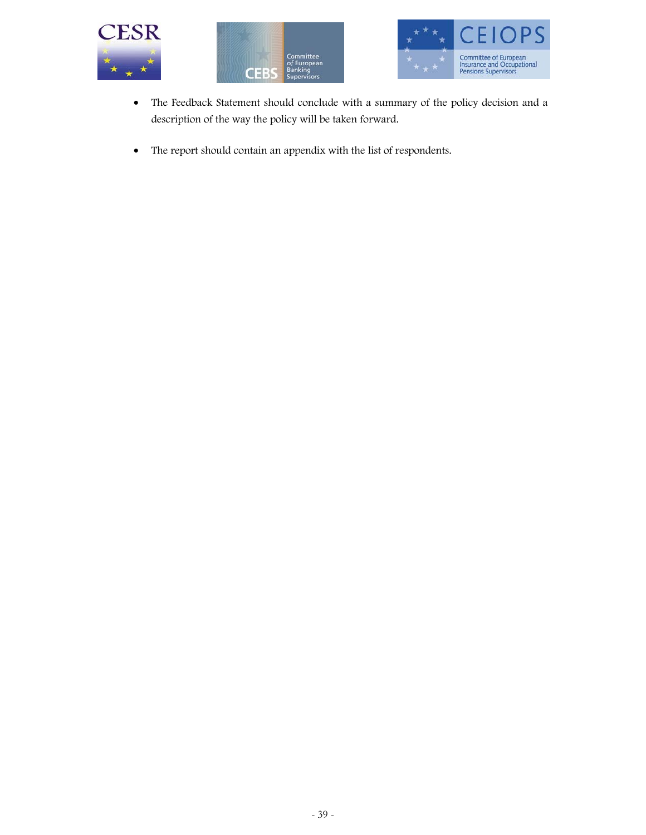





- The Feedback Statement should conclude with a summary of the policy decision and a description of the way the policy will be taken forward.
- The report should contain an appendix with the list of respondents.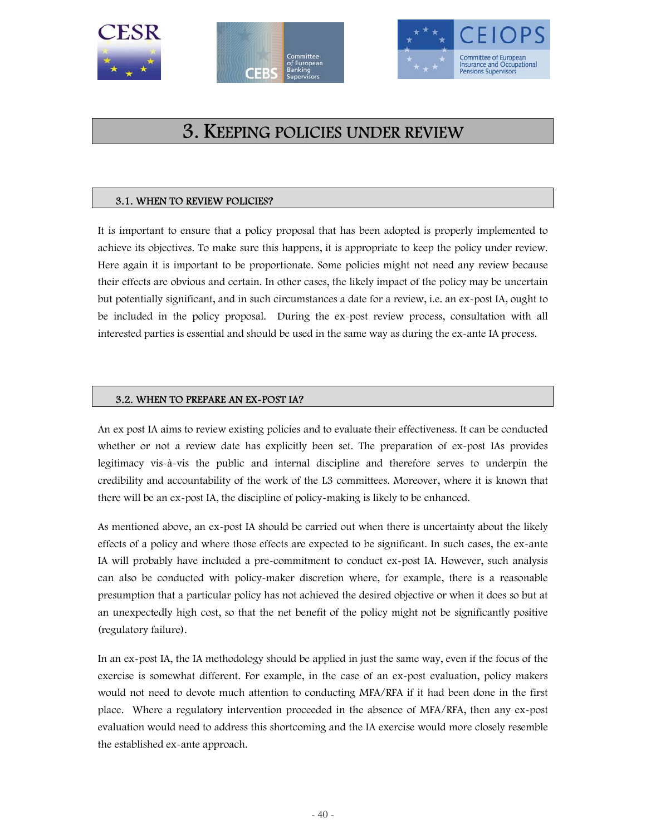





# 3. KEEPING POLICIES UNDER REVIEW

# 3.1. WHEN TO REVIEW POLICIES?

It is important to ensure that a policy proposal that has been adopted is properly implemented to achieve its objectives. To make sure this happens, it is appropriate to keep the policy under review. Here again it is important to be proportionate. Some policies might not need any review because their effects are obvious and certain. In other cases, the likely impact of the policy may be uncertain but potentially significant, and in such circumstances a date for a review, i.e. an ex-post IA, ought to be included in the policy proposal. During the ex-post review process, consultation with all interested parties is essential and should be used in the same way as during the ex-ante IA process.

# 3.2. WHEN TO PREPARE AN EX-POST IA?

An ex post IA aims to review existing policies and to evaluate their effectiveness. It can be conducted whether or not a review date has explicitly been set. The preparation of ex-post IAs provides legitimacy vis-à-vis the public and internal discipline and therefore serves to underpin the credibility and accountability of the work of the L3 committees. Moreover, where it is known that there will be an ex-post IA, the discipline of policy-making is likely to be enhanced.

As mentioned above, an ex-post IA should be carried out when there is uncertainty about the likely effects of a policy and where those effects are expected to be significant. In such cases, the ex-ante IA will probably have included a pre-commitment to conduct ex-post IA. However, such analysis can also be conducted with policy-maker discretion where, for example, there is a reasonable presumption that a particular policy has not achieved the desired objective or when it does so but at an unexpectedly high cost, so that the net benefit of the policy might not be significantly positive (regulatory failure).

In an ex-post IA, the IA methodology should be applied in just the same way, even if the focus of the exercise is somewhat different. For example, in the case of an ex-post evaluation, policy makers would not need to devote much attention to conducting MFA/RFA if it had been done in the first place. Where a regulatory intervention proceeded in the absence of MFA/RFA, then any ex-post evaluation would need to address this shortcoming and the IA exercise would more closely resemble the established ex-ante approach.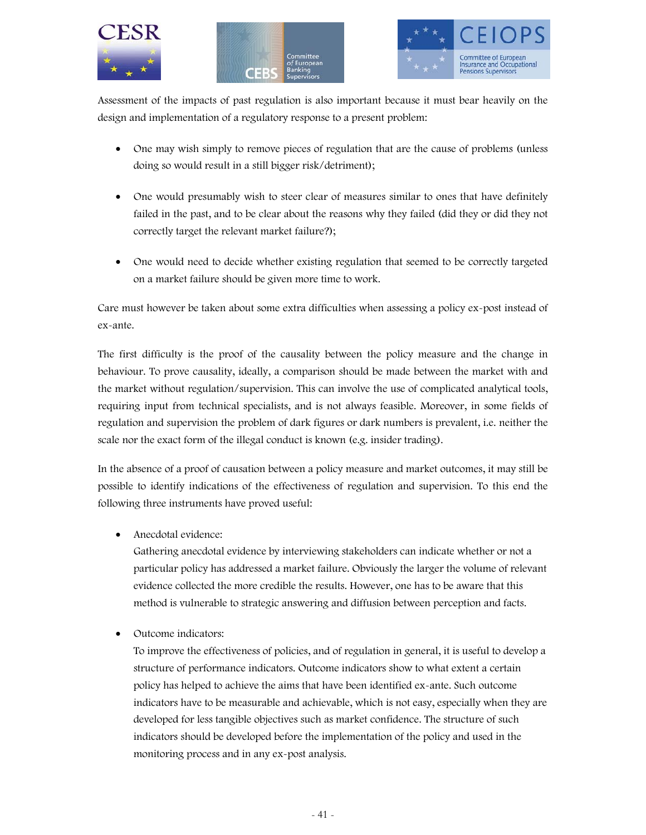





Assessment of the impacts of past regulation is also important because it must bear heavily on the design and implementation of a regulatory response to a present problem:

- One may wish simply to remove pieces of regulation that are the cause of problems (unless doing so would result in a still bigger risk/detriment);
- One would presumably wish to steer clear of measures similar to ones that have definitely failed in the past, and to be clear about the reasons why they failed (did they or did they not correctly target the relevant market failure?);
- One would need to decide whether existing regulation that seemed to be correctly targeted on a market failure should be given more time to work.

Care must however be taken about some extra difficulties when assessing a policy ex-post instead of ex-ante.

The first difficulty is the proof of the causality between the policy measure and the change in behaviour. To prove causality, ideally, a comparison should be made between the market with and the market without regulation/supervision. This can involve the use of complicated analytical tools, requiring input from technical specialists, and is not always feasible. Moreover, in some fields of regulation and supervision the problem of dark figures or dark numbers is prevalent, i.e. neither the scale nor the exact form of the illegal conduct is known (e.g. insider trading).

In the absence of a proof of causation between a policy measure and market outcomes, it may still be possible to identify indications of the effectiveness of regulation and supervision. To this end the following three instruments have proved useful:

• Anecdotal evidence:

Gathering anecdotal evidence by interviewing stakeholders can indicate whether or not a particular policy has addressed a market failure. Obviously the larger the volume of relevant evidence collected the more credible the results. However, one has to be aware that this method is vulnerable to strategic answering and diffusion between perception and facts.

• Outcome indicators:

To improve the effectiveness of policies, and of regulation in general, it is useful to develop a structure of performance indicators. Outcome indicators show to what extent a certain policy has helped to achieve the aims that have been identified ex-ante. Such outcome indicators have to be measurable and achievable, which is not easy, especially when they are developed for less tangible objectives such as market confidence. The structure of such indicators should be developed before the implementation of the policy and used in the monitoring process and in any ex-post analysis.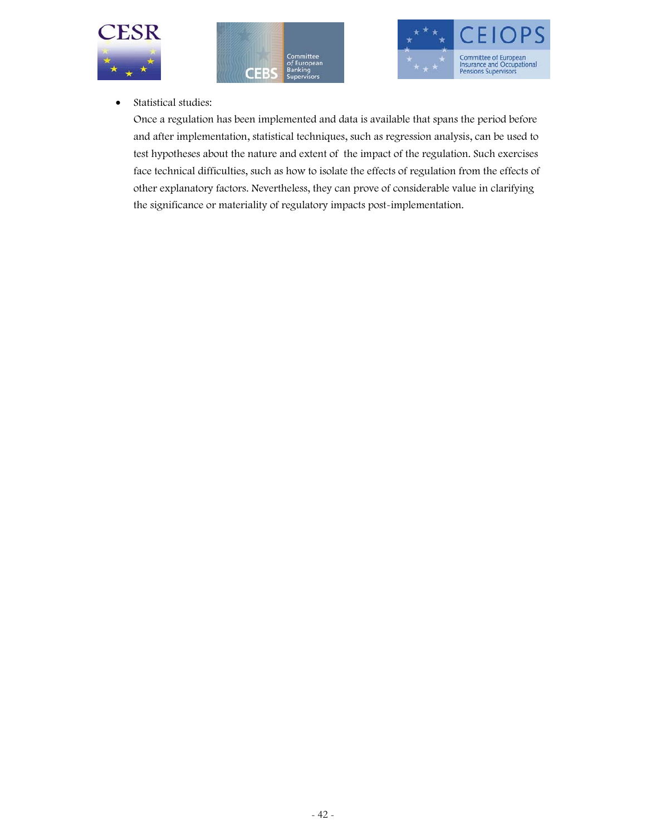





• Statistical studies:

Once a regulation has been implemented and data is available that spans the period before and after implementation, statistical techniques, such as regression analysis, can be used to test hypotheses about the nature and extent of the impact of the regulation. Such exercises face technical difficulties, such as how to isolate the effects of regulation from the effects of other explanatory factors. Nevertheless, they can prove of considerable value in clarifying the significance or materiality of regulatory impacts post-implementation.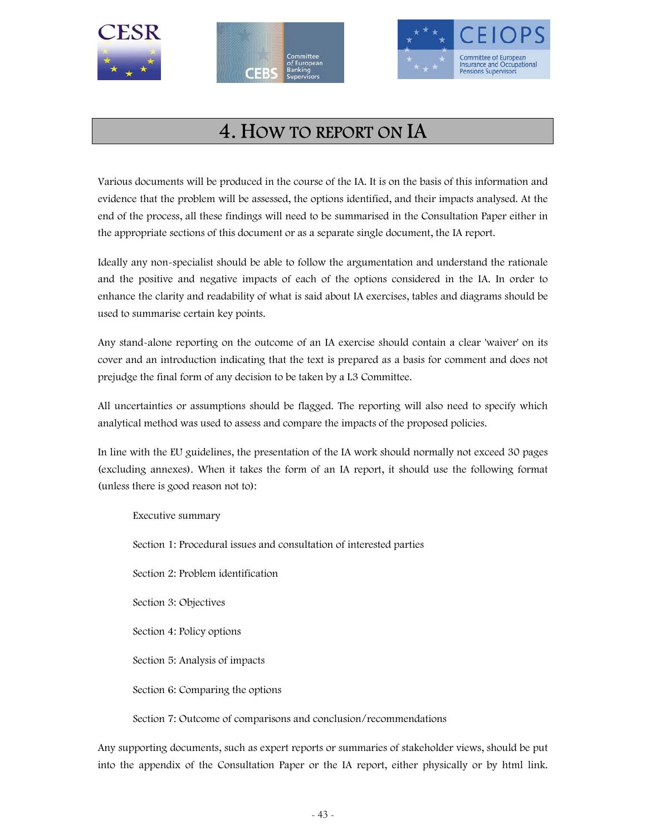





# 4. HOW TO REPORT ON IA

Various documents will be produced in the course of the IA. It is on the basis of this information and evidence that the problem will be assessed, the options identified, and their impacts analysed. At the end of the process, all these findings will need to be summarised in the Consultation Paper either in the appropriate sections of this document or as a separate single document, the IA report.

Ideally any non-specialist should be able to follow the argumentation and understand the rationale and the positive and negative impacts of each of the options considered in the IA. In order to enhance the clarity and readability of what is said about IA exercises, tables and diagrams should be used to summarise certain key points.

Any stand-alone reporting on the outcome of an IA exercise should contain a clear 'waiver' on its cover and an introduction indicating that the text is prepared as a basis for comment and does not prejudge the final form of any decision to be taken by a L3 Committee.

All uncertainties or assumptions should be flagged. The reporting will also need to specify which analytical method was used to assess and compare the impacts of the proposed policies.

In line with the EU guidelines, the presentation of the IA work should normally not exceed 30 pages (excluding annexes). When it takes the form of an IA report, it should use the following format (unless there is good reason not to):

Executive summary Section 1: Procedural issues and consultation of interested parties Section 2: Problem identification Section 3: Objectives Section 4: Policy options Section 5: Analysis of impacts Section 6: Comparing the options

Section 7: Outcome of comparisons and conclusion/recommendations

Any supporting documents, such as expert reports or summaries of stakeholder views, should be put into the appendix of the Consultation Paper or the IA report, either physically or by html link.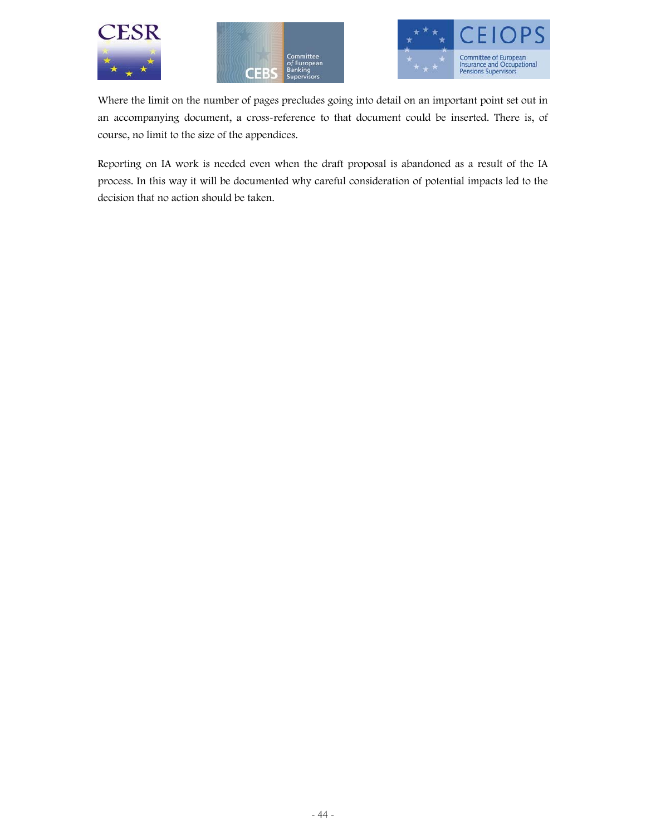





Where the limit on the number of pages precludes going into detail on an important point set out in an accompanying document, a cross-reference to that document could be inserted. There is, of course, no limit to the size of the appendices.

Reporting on IA work is needed even when the draft proposal is abandoned as a result of the IA process. In this way it will be documented why careful consideration of potential impacts led to the decision that no action should be taken.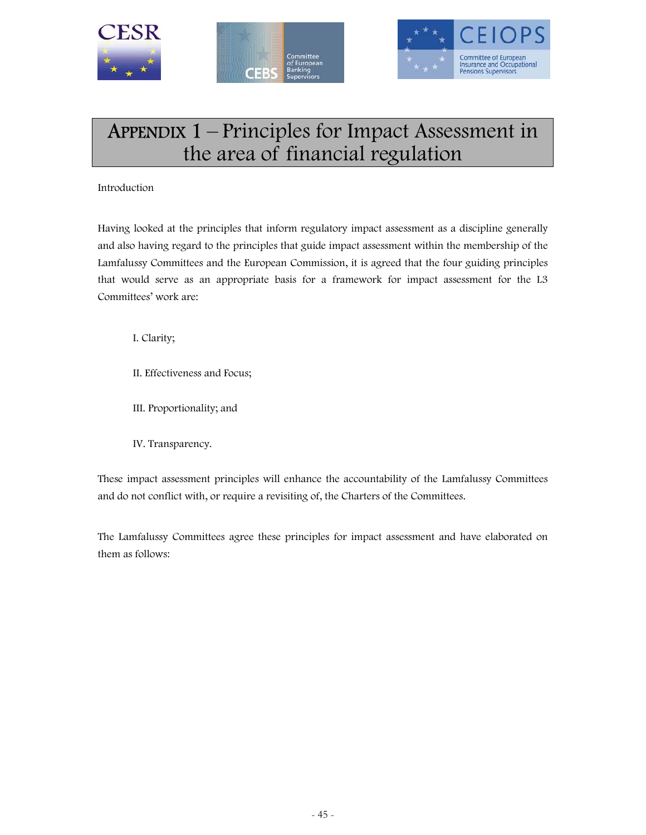





# APPENDIX 1 – Principles for Impact Assessment in the area of financial regulation

Introduction

Having looked at the principles that inform regulatory impact assessment as a discipline generally and also having regard to the principles that guide impact assessment within the membership of the Lamfalussy Committees and the European Commission, it is agreed that the four guiding principles that would serve as an appropriate basis for a framework for impact assessment for the L3 Committees' work are:

I. Clarity;

- II. Effectiveness and Focus;
- III. Proportionality; and
- IV. Transparency.

These impact assessment principles will enhance the accountability of the Lamfalussy Committees and do not conflict with, or require a revisiting of, the Charters of the Committees.

The Lamfalussy Committees agree these principles for impact assessment and have elaborated on them as follows: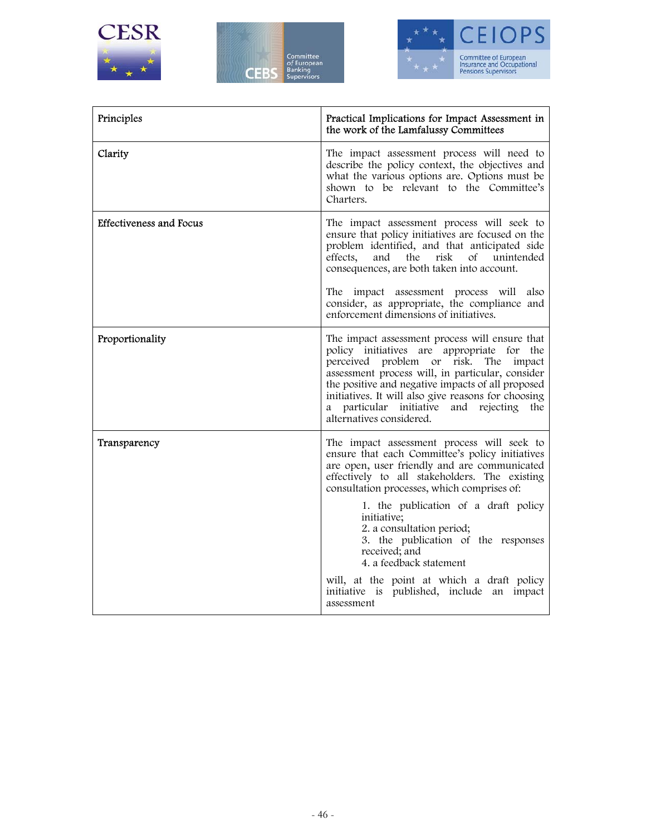





| Principles                     | Practical Implications for Impact Assessment in<br>the work of the Lamfalussy Committees                                                                                                                                                                                                                                                                                                                                                                                                                                       |
|--------------------------------|--------------------------------------------------------------------------------------------------------------------------------------------------------------------------------------------------------------------------------------------------------------------------------------------------------------------------------------------------------------------------------------------------------------------------------------------------------------------------------------------------------------------------------|
| Clarity                        | The impact assessment process will need to<br>describe the policy context, the objectives and<br>what the various options are. Options must be<br>shown to be relevant to the Committee's<br>Charters.                                                                                                                                                                                                                                                                                                                         |
| <b>Effectiveness and Focus</b> | The impact assessment process will seek to<br>ensure that policy initiatives are focused on the<br>problem identified, and that anticipated side<br>risk<br>effects,<br>and<br>$\circ$ f<br>unintended<br>the<br>consequences, are both taken into account.<br>The impact assessment process will<br>also<br>consider, as appropriate, the compliance and<br>enforcement dimensions of initiatives.                                                                                                                            |
| Proportionality                | The impact assessment process will ensure that<br>policy initiatives are appropriate for the<br>perceived problem or risk.<br>The<br>impact<br>assessment process will, in particular, consider<br>the positive and negative impacts of all proposed<br>initiatives. It will also give reasons for choosing<br>particular initiative<br>and<br>rejecting<br>the<br>a<br>alternatives considered.                                                                                                                               |
| Transparency                   | The impact assessment process will seek to<br>ensure that each Committee's policy initiatives<br>are open, user friendly and are communicated<br>effectively to all stakeholders. The existing<br>consultation processes, which comprises of:<br>1. the publication of a draft policy<br>initiative;<br>2. a consultation period;<br>3. the publication of the responses<br>received; and<br>4. a feedback statement<br>will, at the point at which a draft policy<br>initiative is published, include an impact<br>assessment |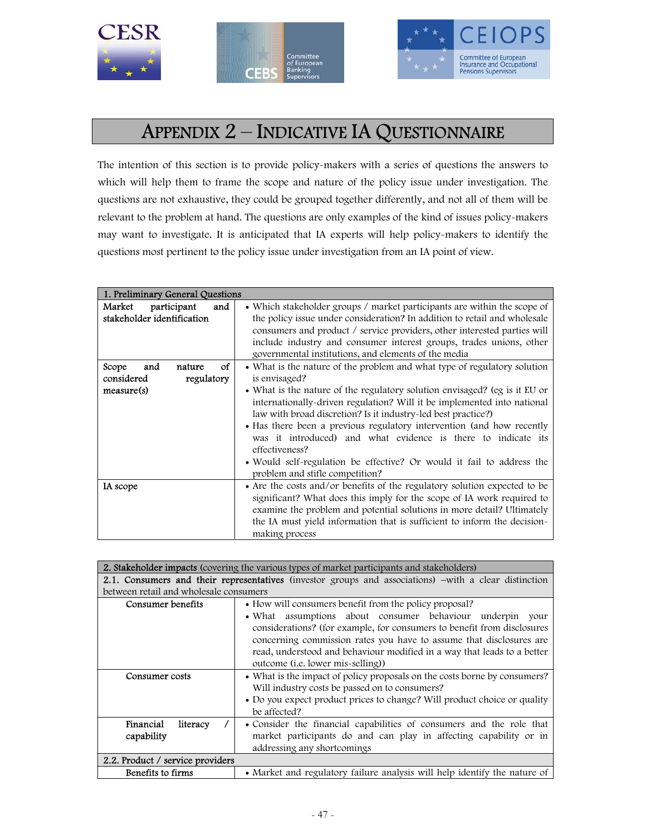





# APPENDIX 2 – INDICATIVE IA QUESTIONNAIRE

The intention of this section is to provide policy-makers with a series of questions the answers to which will help them to frame the scope and nature of the policy issue under investigation. The questions are not exhaustive, they could be grouped together differently, and not all of them will be relevant to the problem at hand. The questions are only examples of the kind of issues policy-makers may want to investigate. It is anticipated that IA experts will help policy-makers to identify the questions most pertinent to the policy issue under investigation from an IA point of view.

| 1. Preliminary General Questions                                       |                                                                                                                                                                                                                                                                                                                                                                                                                                                                                                                                                                                             |
|------------------------------------------------------------------------|---------------------------------------------------------------------------------------------------------------------------------------------------------------------------------------------------------------------------------------------------------------------------------------------------------------------------------------------------------------------------------------------------------------------------------------------------------------------------------------------------------------------------------------------------------------------------------------------|
| participant<br>Market<br>and<br>stakeholder identification             | • Which stakeholder groups / market participants are within the scope of<br>the policy issue under consideration? In addition to retail and wholesale<br>consumers and product / service providers, other interested parties will<br>include industry and consumer interest groups, trades unions, other<br>governmental institutions, and elements of the media                                                                                                                                                                                                                            |
| οf<br>Scope<br>and<br>nature<br>considered<br>regulatory<br>measure(s) | • What is the nature of the problem and what type of regulatory solution<br>is envisaged?<br>• What is the nature of the regulatory solution envisaged? (eg is it EU or<br>internationally-driven regulation? Will it be implemented into national<br>law with broad discretion? Is it industry-led best practice?)<br>• Has there been a previous regulatory intervention (and how recently<br>was it introduced) and what evidence is there to indicate its<br>effectiveness?<br>• Would self-regulation be effective? Or would it fail to address the<br>problem and stifle competition? |
| IA scope                                                               | • Are the costs and/or benefits of the regulatory solution expected to be<br>significant? What does this imply for the scope of IA work required to<br>examine the problem and potential solutions in more detail? Ultimately<br>the IA must yield information that is sufficient to inform the decision-<br>making process                                                                                                                                                                                                                                                                 |

|                                                                             | 2. Stakeholder impacts (covering the various types of market participants and stakeholders)           |  |  |
|-----------------------------------------------------------------------------|-------------------------------------------------------------------------------------------------------|--|--|
|                                                                             | 2.1. Consumers and their representatives (investor groups and associations) –with a clear distinction |  |  |
| between retail and wholesale consumers                                      |                                                                                                       |  |  |
| Consumer benefits<br>• How will consumers benefit from the policy proposal? |                                                                                                       |  |  |
|                                                                             | • What assumptions about consumer behaviour underpin<br>your                                          |  |  |
|                                                                             | considerations? (for example, for consumers to benefit from disclosures                               |  |  |
|                                                                             | concerning commission rates you have to assume that disclosures are                                   |  |  |
|                                                                             | read, understood and behaviour modified in a way that leads to a better                               |  |  |
|                                                                             | outcome (i.e. lower mis-selling))                                                                     |  |  |
| Consumer costs                                                              | • What is the impact of policy proposals on the costs borne by consumers?                             |  |  |
|                                                                             | Will industry costs be passed on to consumers?                                                        |  |  |
|                                                                             | • Do you expect product prices to change? Will product choice or quality                              |  |  |
|                                                                             | be affected?                                                                                          |  |  |
| Financial<br>literacy                                                       | • Consider the financial capabilities of consumers and the role that                                  |  |  |
| capability                                                                  | market participants do and can play in affecting capability or in                                     |  |  |
|                                                                             | addressing any shortcomings                                                                           |  |  |
| 2.2. Product / service providers                                            |                                                                                                       |  |  |
| Benefits to firms                                                           | • Market and regulatory failure analysis will help identify the nature of                             |  |  |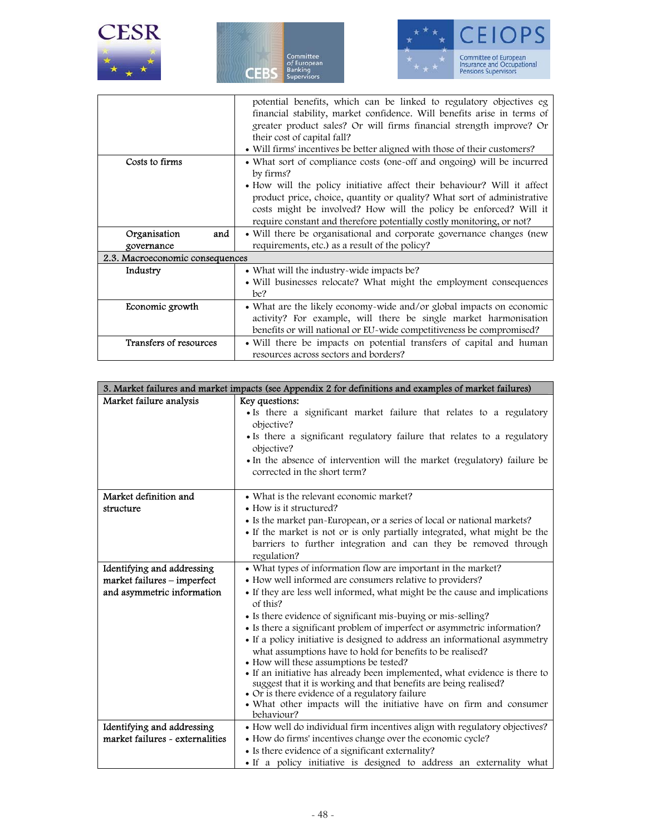

|                                 | potential benefits, which can be linked to regulatory objectives eg       |  |  |
|---------------------------------|---------------------------------------------------------------------------|--|--|
|                                 | financial stability, market confidence. Will benefits arise in terms of   |  |  |
|                                 | greater product sales? Or will firms financial strength improve? Or       |  |  |
|                                 | their cost of capital fall?                                               |  |  |
|                                 | • Will firms' incentives be better aligned with those of their customers? |  |  |
| Costs to firms                  | • What sort of compliance costs (one-off and ongoing) will be incurred    |  |  |
|                                 | by firms?                                                                 |  |  |
|                                 | • How will the policy initiative affect their behaviour? Will it affect   |  |  |
|                                 | product price, choice, quantity or quality? What sort of administrative   |  |  |
|                                 | costs might be involved? How will the policy be enforced? Will it         |  |  |
|                                 | require constant and therefore potentially costly monitoring, or not?     |  |  |
| Organisation<br>and             | • Will there be organisational and corporate governance changes (new      |  |  |
| governance                      | requirements, etc.) as a result of the policy?                            |  |  |
| 2.3. Macroeconomic consequences |                                                                           |  |  |
| Industry                        | • What will the industry-wide impacts be?                                 |  |  |
|                                 | • Will businesses relocate? What might the employment consequences        |  |  |
|                                 | be?                                                                       |  |  |
| Economic growth                 | • What are the likely economy-wide and/or global impacts on economic      |  |  |
|                                 | activity? For example, will there be single market harmonisation          |  |  |
|                                 | benefits or will national or EU-wide competitiveness be compromised?      |  |  |
| Transfers of resources          | • Will there be impacts on potential transfers of capital and human       |  |  |
|                                 | resources across sectors and borders?                                     |  |  |

| 3. Market failures and market impacts (see Appendix 2 for definitions and examples of market failures) |                                                                                        |  |  |  |
|--------------------------------------------------------------------------------------------------------|----------------------------------------------------------------------------------------|--|--|--|
| Market failure analysis                                                                                | Key questions:                                                                         |  |  |  |
|                                                                                                        | • Is there a significant market failure that relates to a regulatory                   |  |  |  |
|                                                                                                        | objective?                                                                             |  |  |  |
|                                                                                                        | • Is there a significant regulatory failure that relates to a regulatory               |  |  |  |
|                                                                                                        | objective?                                                                             |  |  |  |
|                                                                                                        | • In the absence of intervention will the market (regulatory) failure be               |  |  |  |
|                                                                                                        | corrected in the short term?                                                           |  |  |  |
|                                                                                                        |                                                                                        |  |  |  |
| Market definition and                                                                                  | • What is the relevant economic market?                                                |  |  |  |
| structure                                                                                              | • How is it structured?                                                                |  |  |  |
|                                                                                                        | • Is the market pan-European, or a series of local or national markets?                |  |  |  |
|                                                                                                        | • If the market is not or is only partially integrated, what might be the              |  |  |  |
|                                                                                                        | barriers to further integration and can they be removed through                        |  |  |  |
|                                                                                                        | regulation?                                                                            |  |  |  |
| Identifying and addressing                                                                             | • What types of information flow are important in the market?                          |  |  |  |
| market failures - imperfect                                                                            | • How well informed are consumers relative to providers?                               |  |  |  |
| and asymmetric information                                                                             | • If they are less well informed, what might be the cause and implications<br>of this? |  |  |  |
|                                                                                                        | • Is there evidence of significant mis-buying or mis-selling?                          |  |  |  |
|                                                                                                        | • Is there a significant problem of imperfect or asymmetric information?               |  |  |  |
|                                                                                                        | • If a policy initiative is designed to address an informational asymmetry             |  |  |  |
|                                                                                                        | what assumptions have to hold for benefits to be realised?                             |  |  |  |
|                                                                                                        | • How will these assumptions be tested?                                                |  |  |  |
|                                                                                                        | • If an initiative has already been implemented, what evidence is there to             |  |  |  |
|                                                                                                        | suggest that it is working and that benefits are being realised?                       |  |  |  |
|                                                                                                        | • Or is there evidence of a regulatory failure                                         |  |  |  |
|                                                                                                        | • What other impacts will the initiative have on firm and consumer<br>behaviour?       |  |  |  |
| Identifying and addressing                                                                             | • How well do individual firm incentives align with regulatory objectives?             |  |  |  |
| market failures - externalities                                                                        | • How do firms' incentives change over the economic cycle?                             |  |  |  |
|                                                                                                        | • Is there evidence of a significant externality?                                      |  |  |  |
|                                                                                                        | • If a policy initiative is designed to address an externality what                    |  |  |  |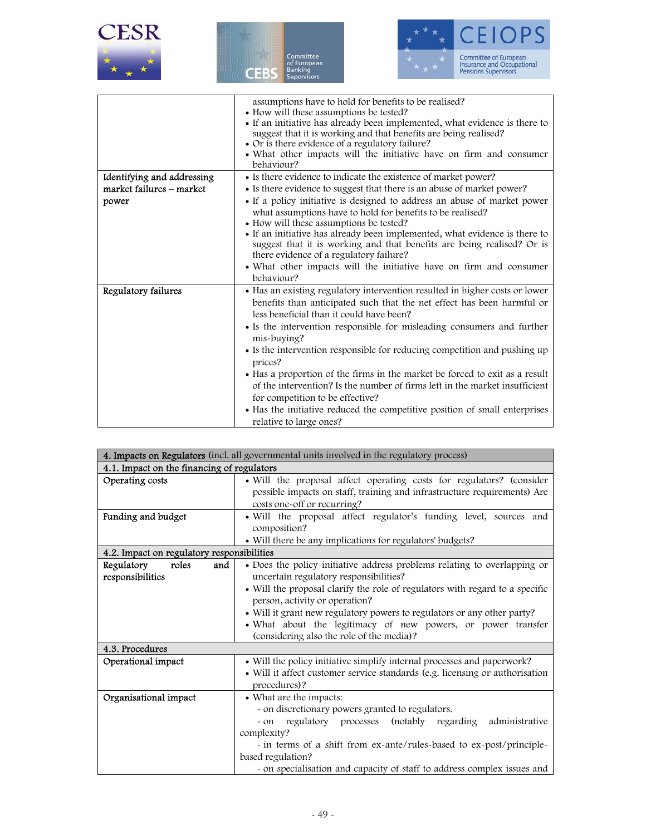|  | ESR |  |  |
|--|-----|--|--|
|  |     |  |  |





|                            | assumptions have to hold for benefits to be realised?                            |  |  |
|----------------------------|----------------------------------------------------------------------------------|--|--|
|                            | • How will these assumptions be tested?                                          |  |  |
|                            | • If an initiative has already been implemented, what evidence is there to       |  |  |
|                            | suggest that it is working and that benefits are being realised?                 |  |  |
|                            | • Or is there evidence of a regulatory failure?                                  |  |  |
|                            | • What other impacts will the initiative have on firm and consumer<br>behaviour? |  |  |
|                            |                                                                                  |  |  |
| Identifying and addressing | • Is there evidence to indicate the existence of market power?                   |  |  |
| market failures - market   | • Is there evidence to suggest that there is an abuse of market power?           |  |  |
| power                      | • If a policy initiative is designed to address an abuse of market power         |  |  |
|                            | what assumptions have to hold for benefits to be realised?                       |  |  |
|                            | • How will these assumptions be tested?                                          |  |  |
|                            | • If an initiative has already been implemented, what evidence is there to       |  |  |
|                            | suggest that it is working and that benefits are being realised? Or is           |  |  |
|                            | there evidence of a regulatory failure?                                          |  |  |
|                            | • What other impacts will the initiative have on firm and consumer               |  |  |
|                            | behaviour?                                                                       |  |  |
| Regulatory failures        | • Has an existing regulatory intervention resulted in higher costs or lower      |  |  |
|                            | benefits than anticipated such that the net effect has been harmful or           |  |  |
|                            | less beneficial than it could have been?                                         |  |  |
|                            | • Is the intervention responsible for misleading consumers and further           |  |  |
|                            | mis-buying?                                                                      |  |  |
|                            | • Is the intervention responsible for reducing competition and pushing up        |  |  |
|                            | prices?                                                                          |  |  |
|                            | • Has a proportion of the firms in the market be forced to exit as a result      |  |  |
|                            | of the intervention? Is the number of firms left in the market insufficient      |  |  |
|                            | for competition to be effective?                                                 |  |  |
|                            | • Has the initiative reduced the competitive position of small enterprises       |  |  |
|                            | relative to large ones?                                                          |  |  |

|                                                                                         | 4. Impacts on Regulators (incl. all governmental units involved in the regulatory process)                                                                                                                                                                                                                                                                                                                                                                                                                                                                                              |  |  |
|-----------------------------------------------------------------------------------------|-----------------------------------------------------------------------------------------------------------------------------------------------------------------------------------------------------------------------------------------------------------------------------------------------------------------------------------------------------------------------------------------------------------------------------------------------------------------------------------------------------------------------------------------------------------------------------------------|--|--|
| 4.1. Impact on the financing of regulators                                              |                                                                                                                                                                                                                                                                                                                                                                                                                                                                                                                                                                                         |  |  |
| Operating costs                                                                         | · Will the proposal affect operating costs for regulators? (consider<br>possible impacts on staff, training and infrastructure requirements) Are<br>costs one-off or recurring?                                                                                                                                                                                                                                                                                                                                                                                                         |  |  |
| Funding and budget                                                                      | · Will the proposal affect regulator's funding level, sources and<br>composition?<br>• Will there be any implications for regulators' budgets?                                                                                                                                                                                                                                                                                                                                                                                                                                          |  |  |
| 4.2. Impact on regulatory responsibilities                                              |                                                                                                                                                                                                                                                                                                                                                                                                                                                                                                                                                                                         |  |  |
| Regulatory<br>roles<br>and<br>responsibilities<br>4.3. Procedures<br>Operational impact | • Does the policy initiative address problems relating to overlapping or<br>uncertain regulatory responsibilities?<br>• Will the proposal clarify the role of regulators with regard to a specific<br>person, activity or operation?<br>• Will it grant new regulatory powers to regulators or any other party?<br>· What about the legitimacy of new powers, or power transfer<br>(considering also the role of the media)?<br>• Will the policy initiative simplify internal processes and paperwork?<br>· Will it affect customer service standards (e.g. licensing or authorisation |  |  |
|                                                                                         | procedures)?                                                                                                                                                                                                                                                                                                                                                                                                                                                                                                                                                                            |  |  |
| Organisational impact                                                                   | • What are the impacts:<br>- on discretionary powers granted to regulators.<br>- on regulatory processes (notably regarding<br>administrative<br>complexity?<br>- in terms of a shift from ex-ante/rules-based to ex-post/principle-<br>based regulation?<br>- on specialisation and capacity of staff to address complex issues and                                                                                                                                                                                                                                                    |  |  |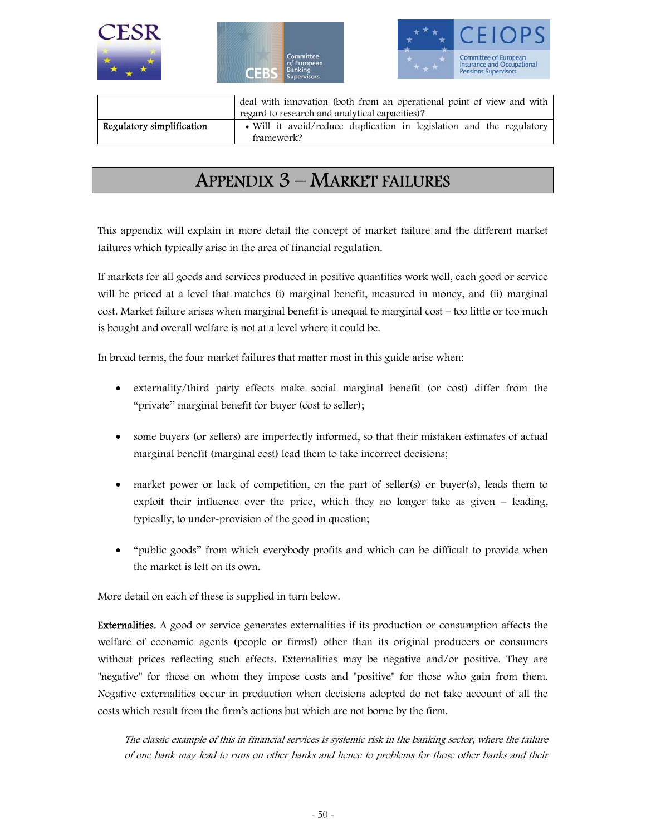

|                           | deal with innovation (both from an operational point of view and with              |  |  |
|---------------------------|------------------------------------------------------------------------------------|--|--|
|                           | regard to research and analytical capacities)?                                     |  |  |
| Regulatory simplification | • Will it avoid/reduce duplication in legislation and the regulatory<br>framework? |  |  |

# APPENDIX 3 – MARKET FAILURES

This appendix will explain in more detail the concept of market failure and the different market failures which typically arise in the area of financial regulation.

If markets for all goods and services produced in positive quantities work well, each good or service will be priced at a level that matches (i) marginal benefit, measured in money, and (ii) marginal cost. Market failure arises when marginal benefit is unequal to marginal cost – too little or too much is bought and overall welfare is not at a level where it could be.

In broad terms, the four market failures that matter most in this guide arise when:

- externality/third party effects make social marginal benefit (or cost) differ from the "private" marginal benefit for buyer (cost to seller);
- some buyers (or sellers) are imperfectly informed, so that their mistaken estimates of actual marginal benefit (marginal cost) lead them to take incorrect decisions;
- market power or lack of competition, on the part of seller(s) or buyer(s), leads them to exploit their influence over the price, which they no longer take as given – leading, typically, to under-provision of the good in question;
- "public goods" from which everybody profits and which can be difficult to provide when the market is left on its own.

More detail on each of these is supplied in turn below.

Externalities. A good or service generates externalities if its production or consumption affects the welfare of economic agents (people or firms!) other than its original producers or consumers without prices reflecting such effects. Externalities may be negative and/or positive. They are "negative" for those on whom they impose costs and "positive" for those who gain from them. Negative externalities occur in production when decisions adopted do not take account of all the costs which result from the firm's actions but which are not borne by the firm.

The classic example of this in financial services is systemic risk in the banking sector, where the failure of one bank may lead to runs on other banks and hence to problems for those other banks and their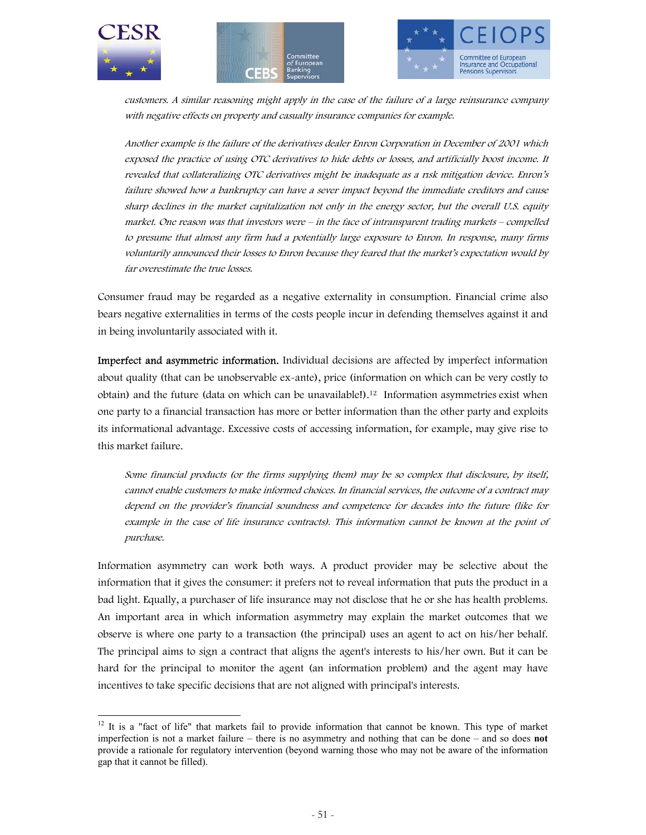





customers. A similar reasoning might apply in the case of the failure of a large reinsurance company with negative effects on property and casualty insurance companies for example.

Another example is the failure of the derivatives dealer Enron Corporation in December of 2001 which exposed the practice of using OTC derivatives to hide debts or losses, and artificially boost income. It revealed that collateralizing OTC derivatives might be inadequate as a rısk mitigation device. Enron's failure showed how a bankruptcy can have a sever impact beyond the immediate creditors and cause sharp declines in the market capitalization not only in the energy sector, but the overall U.S. equity market. One reason was that investors were – in the face of intransparent trading markets – compelled to presume that almost any firm had a potentially large exposure to Enron. In response, many firms voluntarily announced their losses to Enron because they feared that the market's expectation would by far overestimate the true losses.

Consumer fraud may be regarded as a negative externality in consumption. Financial crime also bears negative externalities in terms of the costs people incur in defending themselves against it and in being involuntarily associated with it.

Imperfect and asymmetric information. Individual decisions are affected by imperfect information about quality (that can be unobservable ex-ante), price (information on which can be very costly to obtain) and the future (data on which can be unavailable!).12 Information asymmetries exist when one party to a financial transaction has more or better information than the other party and exploits its informational advantage. Excessive costs of accessing information, for example, may give rise to this market failure.

Some financial products (or the firms supplying them) may be so complex that disclosure, by itself, cannot enable customers to make informed choices. In financial services, the outcome of a contract may depend on the provider's financial soundness and competence for decades into the future (like for example in the case of life insurance contracts). This information cannot be known at the point of purchase.

Information asymmetry can work both ways. A product provider may be selective about the information that it gives the consumer: it prefers not to reveal information that puts the product in a bad light. Equally, a purchaser of life insurance may not disclose that he or she has health problems. An important area in which information asymmetry may explain the market outcomes that we observe is where one party to a transaction (the principal) uses an agent to act on his/her behalf. The principal aims to sign a contract that aligns the agent's interests to his/her own. But it can be hard for the principal to monitor the agent (an information problem) and the agent may have incentives to take specific decisions that are not aligned with principal's interests.

 $12$  It is a "fact of life" that markets fail to provide information that cannot be known. This type of market imperfection is not a market failure – there is no asymmetry and nothing that can be done – and so does **not**  provide a rationale for regulatory intervention (beyond warning those who may not be aware of the information gap that it cannot be filled).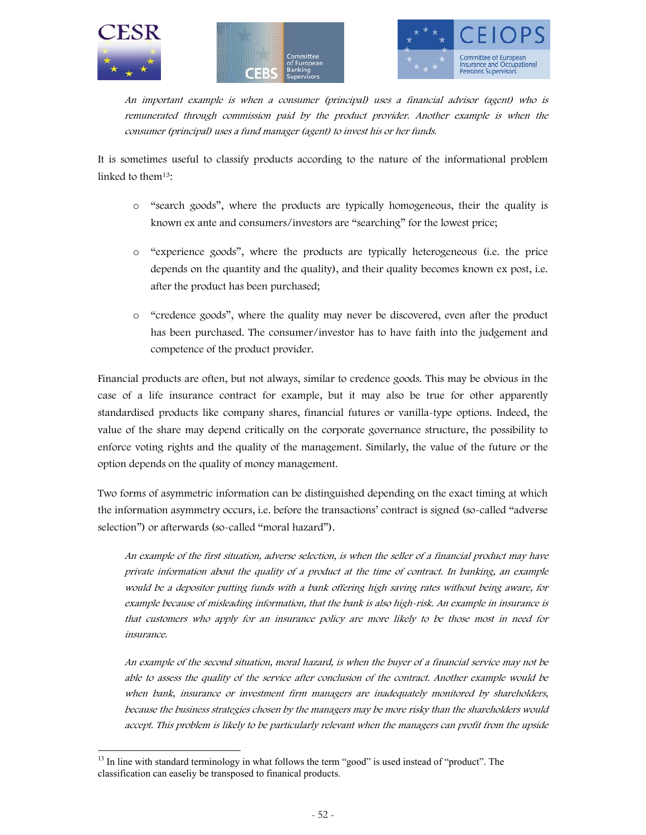





An important example is when a consumer (principal) uses a financial advisor (agent) who is remunerated through commission paid by the product provider. Another example is when the consumer (principal) uses a fund manager (agent) to invest his or her funds.

It is sometimes useful to classify products according to the nature of the informational problem linked to them13:

- o "search goods", where the products are typically homogeneous, their the quality is known ex ante and consumers/investors are "searching" for the lowest price;
- o "experience goods", where the products are typically heterogeneous (i.e. the price depends on the quantity and the quality), and their quality becomes known ex post, i.e. after the product has been purchased;
- o "credence goods", where the quality may never be discovered, even after the product has been purchased. The consumer/investor has to have faith into the judgement and competence of the product provider.

Financial products are often, but not always, similar to credence goods. This may be obvious in the case of a life insurance contract for example, but it may also be true for other apparently standardised products like company shares, financial futures or vanilla-type options. Indeed, the value of the share may depend critically on the corporate governance structure, the possibility to enforce voting rights and the quality of the management. Similarly, the value of the future or the option depends on the quality of money management.

Two forms of asymmetric information can be distinguished depending on the exact timing at which the information asymmetry occurs, i.e. before the transactions' contract is signed (so-called "adverse selection") or afterwards (so-called "moral hazard").

An example of the first situation, adverse selection, is when the seller of a financial product may have private information about the quality of a product at the time of contract. In banking, an example would be a depositor putting funds with a bank offering high saving rates without being aware, for example because of misleading information, that the bank is also high-risk. An example in insurance is that customers who apply for an insurance policy are more likely to be those most in need for insurance.

An example of the second situation, moral hazard, is when the buyer of a financial service may not be able to assess the quality of the service after conclusion of the contract. Another example would be when bank, insurance or investment firm managers are inadequately monitored by shareholders, because the business strategies chosen by the managers may be more risky than the shareholders would accept. This problem is likely to be particularly relevant when the managers can profit from the upside

<sup>&</sup>lt;sup>13</sup> In line with standard terminology in what follows the term "good" is used instead of "product". The classification can easeliy be transposed to finanical products.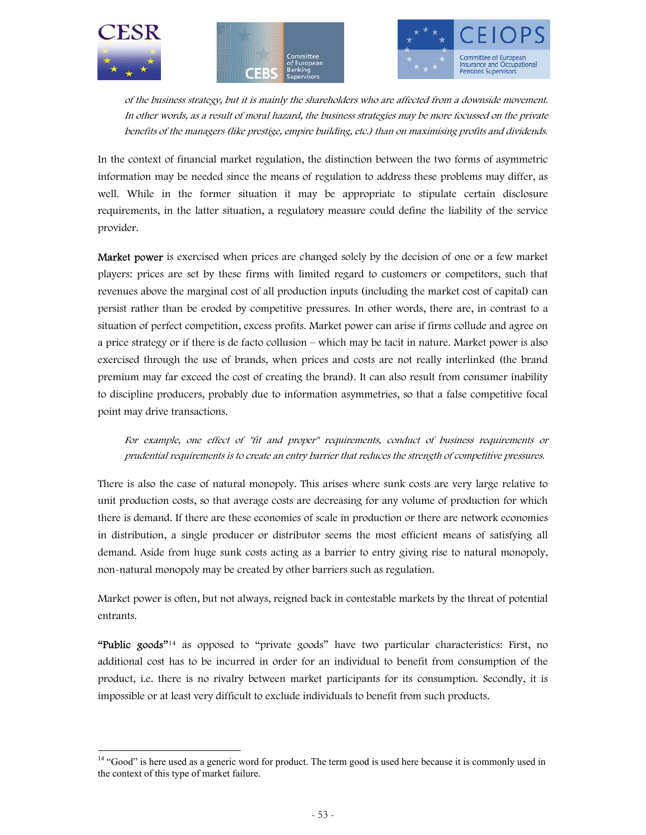





of the business strategy, but it is mainly the shareholders who are affected from a downside movement. In other words, as a result of moral hazard, the business strategies may be more focussed on the private benefits of the managers (like prestige, empire building, etc.) than on maximising profits and dividends.

In the context of financial market regulation, the distinction between the two forms of asymmetric information may be needed since the means of regulation to address these problems may differ, as well. While in the former situation it may be appropriate to stipulate certain disclosure requirements, in the latter situation, a regulatory measure could define the liability of the service provider.

Market power is exercised when prices are changed solely by the decision of one or a few market players: prices are set by these firms with limited regard to customers or competitors, such that revenues above the marginal cost of all production inputs (including the market cost of capital) can persist rather than be eroded by competitive pressures. In other words, there are, in contrast to a situation of perfect competition, excess profits. Market power can arise if firms collude and agree on a price strategy or if there is de facto collusion – which may be tacit in nature. Market power is also exercised through the use of brands, when prices and costs are not really interlinked (the brand premium may far exceed the cost of creating the brand). It can also result from consumer inability to discipline producers, probably due to information asymmetries, so that a false competitive focal point may drive transactions.

For example, one effect of "fit and proper" requirements, conduct of business requirements or prudential requirements is to create an entry barrier that reduces the strength of competitive pressures.

There is also the case of natural monopoly. This arises where sunk costs are very large relative to unit production costs, so that average costs are decreasing for any volume of production for which there is demand. If there are these economies of scale in production or there are network economies in distribution, a single producer or distributor seems the most efficient means of satisfying all demand. Aside from huge sunk costs acting as a barrier to entry giving rise to natural monopoly, non-natural monopoly may be created by other barriers such as regulation.

Market power is often, but not always, reigned back in contestable markets by the threat of potential entrants.

"Public goods"<sup>14</sup> as opposed to "private goods" have two particular characteristics: First, no additional cost has to be incurred in order for an individual to benefit from consumption of the product, i.e. there is no rivalry between market participants for its consumption. Secondly, it is impossible or at least very difficult to exclude individuals to benefit from such products.

<sup>&</sup>lt;sup>14</sup> "Good" is here used as a generic word for product. The term good is used here because it is commonly used in the context of this type of market failure.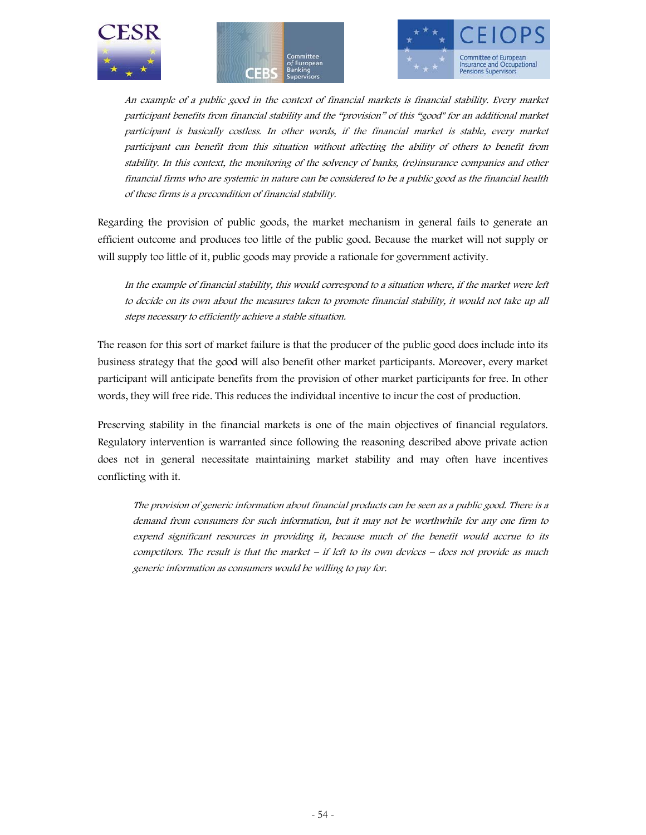





An example of a public good in the context of financial markets is financial stability. Every market participant benefits from financial stability and the "provision" of this "good" for an additional market participant is basically costless. In other words, if the financial market is stable, every market participant can benefit from this situation without affecting the ability of others to benefit from stability. In this context, the monitoring of the solvency of banks, (re)insurance companies and other financial firms who are systemic in nature can be considered to be a public good as the financial health of these firms is a precondition of financial stability.

Regarding the provision of public goods, the market mechanism in general fails to generate an efficient outcome and produces too little of the public good. Because the market will not supply or will supply too little of it, public goods may provide a rationale for government activity.

In the example of financial stability, this would correspond to a situation where, if the market were left to decide on its own about the measures taken to promote financial stability, it would not take up all steps necessary to efficiently achieve a stable situation.

The reason for this sort of market failure is that the producer of the public good does include into its business strategy that the good will also benefit other market participants. Moreover, every market participant will anticipate benefits from the provision of other market participants for free. In other words, they will free ride. This reduces the individual incentive to incur the cost of production.

Preserving stability in the financial markets is one of the main objectives of financial regulators. Regulatory intervention is warranted since following the reasoning described above private action does not in general necessitate maintaining market stability and may often have incentives conflicting with it.

The provision of generic information about financial products can be seen as a public good. There is a demand from consumers for such information, but it may not be worthwhile for any one firm to expend significant resources in providing it, because much of the benefit would accrue to its competitors. The result is that the market – if left to its own devices – does not provide as much generic information as consumers would be willing to pay for.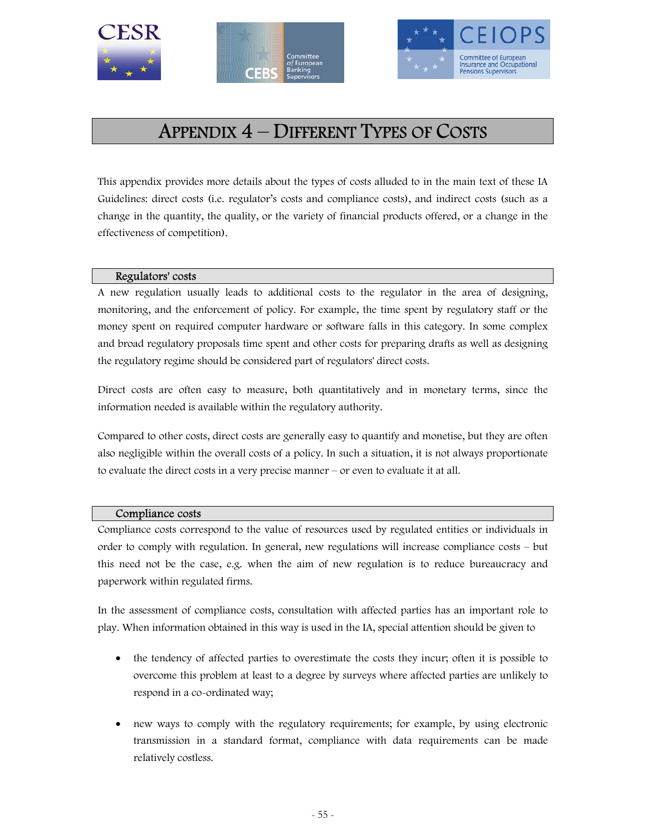





# APPENDIX 4 – DIFFERENT TYPES OF COSTS

This appendix provides more details about the types of costs alluded to in the main text of these IA Guidelines: direct costs (i.e. regulator's costs and compliance costs), and indirect costs (such as a change in the quantity, the quality, or the variety of financial products offered, or a change in the effectiveness of competition).

### Regulators' costs

A new regulation usually leads to additional costs to the regulator in the area of designing, monitoring, and the enforcement of policy. For example, the time spent by regulatory staff or the money spent on required computer hardware or software falls in this category. In some complex and broad regulatory proposals time spent and other costs for preparing drafts as well as designing the regulatory regime should be considered part of regulators' direct costs.

Direct costs are often easy to measure, both quantitatively and in monetary terms, since the information needed is available within the regulatory authority.

Compared to other costs, direct costs are generally easy to quantify and monetise, but they are often also negligible within the overall costs of a policy. In such a situation, it is not always proportionate to evaluate the direct costs in a very precise manner – or even to evaluate it at all.

#### Compliance costs

Compliance costs correspond to the value of resources used by regulated entities or individuals in order to comply with regulation. In general, new regulations will increase compliance costs – but this need not be the case, e.g. when the aim of new regulation is to reduce bureaucracy and paperwork within regulated firms.

In the assessment of compliance costs, consultation with affected parties has an important role to play. When information obtained in this way is used in the IA, special attention should be given to

- the tendency of affected parties to overestimate the costs they incur; often it is possible to overcome this problem at least to a degree by surveys where affected parties are unlikely to respond in a co-ordinated way;
- new ways to comply with the regulatory requirements; for example, by using electronic transmission in a standard format, compliance with data requirements can be made relatively costless.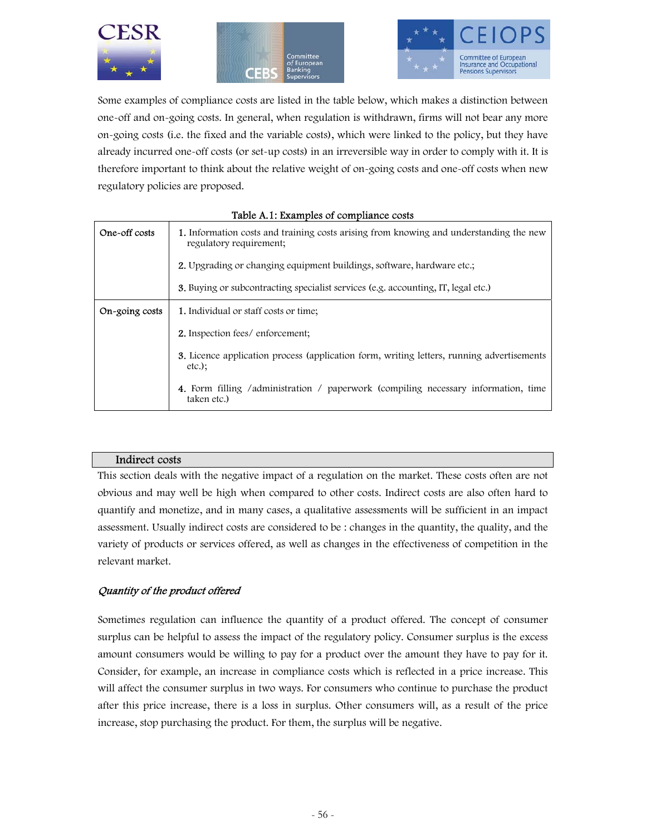





Some examples of compliance costs are listed in the table below, which makes a distinction between one-off and on-going costs. In general, when regulation is withdrawn, firms will not bear any more on-going costs (i.e. the fixed and the variable costs), which were linked to the policy, but they have already incurred one-off costs (or set-up costs) in an irreversible way in order to comply with it. It is therefore important to think about the relative weight of on-going costs and one-off costs when new regulatory policies are proposed.

|                | Tuple In I, Examples of complaince costs                                                                          |
|----------------|-------------------------------------------------------------------------------------------------------------------|
| One-off costs  | 1. Information costs and training costs arising from knowing and understanding the new<br>regulatory requirement; |
|                | <b>2.</b> Upgrading or changing equipment buildings, software, hardware etc.;                                     |
|                | <b>3.</b> Buying or subcontracting specialist services (e.g. accounting, IT, legal etc.)                          |
| On-going costs | <b>1.</b> Individual or staff costs or time;                                                                      |
|                | <b>2.</b> Inspection fees/enforcement;                                                                            |
|                | <b>3.</b> Licence application process (application form, writing letters, running advertisements<br>$etc.$ :      |
|                | <b>4.</b> Form filling /administration / paperwork (compiling necessary information, time<br>taken etc.)          |

### Table A.1: Examples of compliance costs

#### Indirect costs

This section deals with the negative impact of a regulation on the market. These costs often are not obvious and may well be high when compared to other costs. Indirect costs are also often hard to quantify and monetize, and in many cases, a qualitative assessments will be sufficient in an impact assessment. Usually indirect costs are considered to be : changes in the quantity, the quality, and the variety of products or services offered, as well as changes in the effectiveness of competition in the relevant market.

# Quantity of the product offered

Sometimes regulation can influence the quantity of a product offered. The concept of consumer surplus can be helpful to assess the impact of the regulatory policy. Consumer surplus is the excess amount consumers would be willing to pay for a product over the amount they have to pay for it. Consider, for example, an increase in compliance costs which is reflected in a price increase. This will affect the consumer surplus in two ways. For consumers who continue to purchase the product after this price increase, there is a loss in surplus. Other consumers will, as a result of the price increase, stop purchasing the product. For them, the surplus will be negative.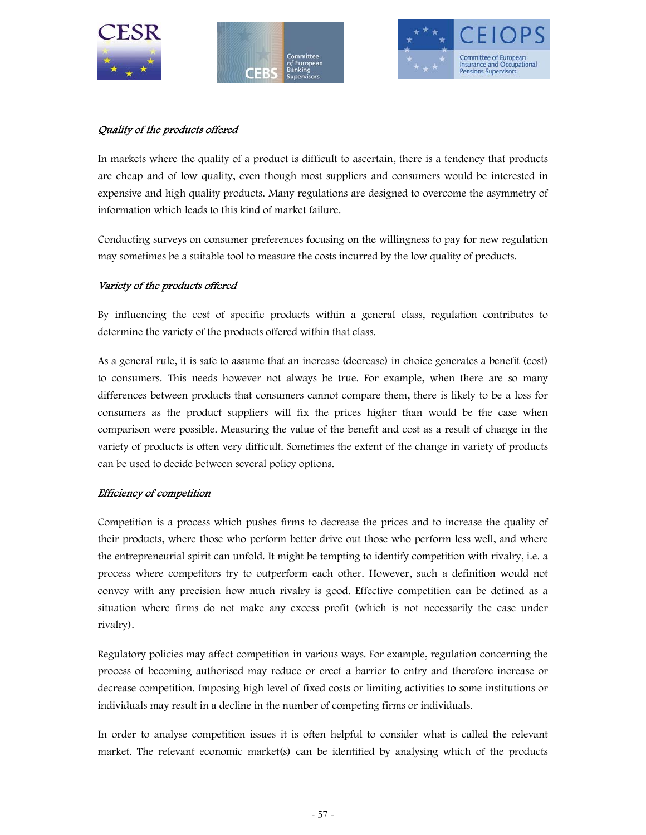





# Quality of the products offered

In markets where the quality of a product is difficult to ascertain, there is a tendency that products are cheap and of low quality, even though most suppliers and consumers would be interested in expensive and high quality products. Many regulations are designed to overcome the asymmetry of information which leads to this kind of market failure.

Conducting surveys on consumer preferences focusing on the willingness to pay for new regulation may sometimes be a suitable tool to measure the costs incurred by the low quality of products.

# Variety of the products offered

By influencing the cost of specific products within a general class, regulation contributes to determine the variety of the products offered within that class.

As a general rule, it is safe to assume that an increase (decrease) in choice generates a benefit (cost) to consumers. This needs however not always be true. For example, when there are so many differences between products that consumers cannot compare them, there is likely to be a loss for consumers as the product suppliers will fix the prices higher than would be the case when comparison were possible. Measuring the value of the benefit and cost as a result of change in the variety of products is often very difficult. Sometimes the extent of the change in variety of products can be used to decide between several policy options.

# Efficiency of competition

Competition is a process which pushes firms to decrease the prices and to increase the quality of their products, where those who perform better drive out those who perform less well, and where the entrepreneurial spirit can unfold. It might be tempting to identify competition with rivalry, i.e. a process where competitors try to outperform each other. However, such a definition would not convey with any precision how much rivalry is good. Effective competition can be defined as a situation where firms do not make any excess profit (which is not necessarily the case under rivalry).

Regulatory policies may affect competition in various ways. For example, regulation concerning the process of becoming authorised may reduce or erect a barrier to entry and therefore increase or decrease competition. Imposing high level of fixed costs or limiting activities to some institutions or individuals may result in a decline in the number of competing firms or individuals.

In order to analyse competition issues it is often helpful to consider what is called the relevant market. The relevant economic market(s) can be identified by analysing which of the products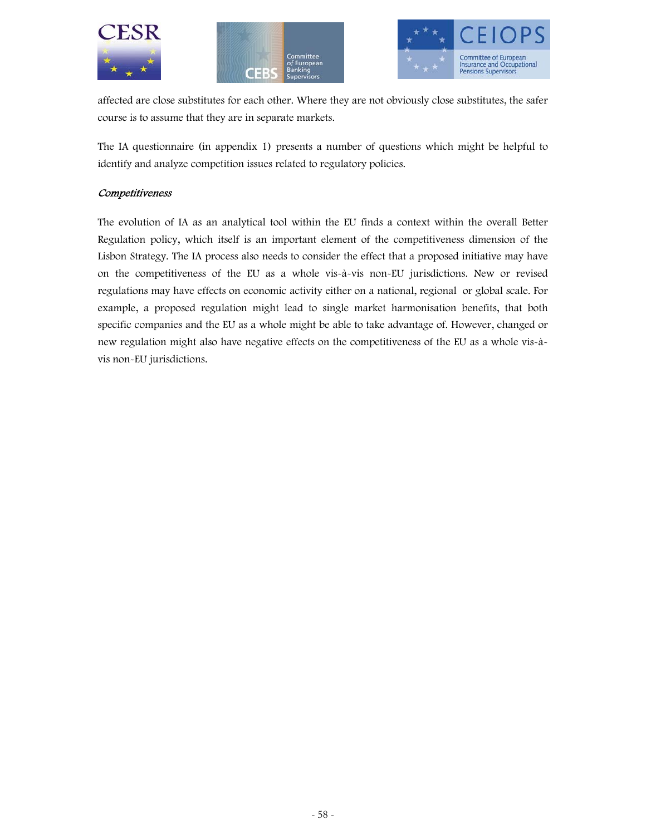





affected are close substitutes for each other. Where they are not obviously close substitutes, the safer course is to assume that they are in separate markets.

The IA questionnaire (in appendix 1) presents a number of questions which might be helpful to identify and analyze competition issues related to regulatory policies.

# **Competitiveness**

The evolution of IA as an analytical tool within the EU finds a context within the overall Better Regulation policy, which itself is an important element of the competitiveness dimension of the Lisbon Strategy. The IA process also needs to consider the effect that a proposed initiative may have on the competitiveness of the EU as a whole vis-à-vis non-EU jurisdictions. New or revised regulations may have effects on economic activity either on a national, regional or global scale. For example, a proposed regulation might lead to single market harmonisation benefits, that both specific companies and the EU as a whole might be able to take advantage of. However, changed or new regulation might also have negative effects on the competitiveness of the EU as a whole vis-àvis non-EU jurisdictions.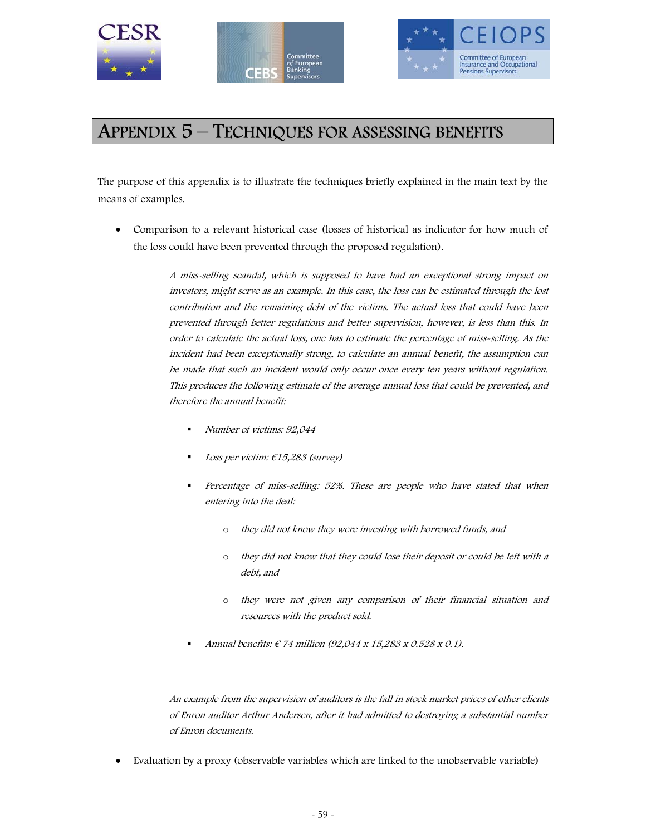





# APPENDIX 5 – TECHNIQUES FOR ASSESSING BENEFITS

The purpose of this appendix is to illustrate the techniques briefly explained in the main text by the means of examples.

• Comparison to a relevant historical case (losses of historical as indicator for how much of the loss could have been prevented through the proposed regulation).

> A miss-selling scandal, which is supposed to have had an exceptional strong impact on investors, might serve as an example. In this case, the loss can be estimated through the lost contribution and the remaining debt of the victims. The actual loss that could have been prevented through better regulations and better supervision, however, is less than this. In order to calculate the actual loss, one has to estimate the percentage of miss-selling. As the incident had been exceptionally strong, to calculate an annual benefit, the assumption can be made that such an incident would only occur once every ten years without regulation. This produces the following estimate of the average annual loss that could be prevented, and therefore the annual benefit:

- Number of victims: 92,044
- Loss per victim: €15,283 (survey)
- Percentage of miss-selling: 52%. These are people who have stated that when entering into the deal:
	- o they did not know they were investing with borrowed funds, and
	- o they did not know that they could lose their deposit or could be left with a debt, and
	- o they were not given any comparison of their financial situation and resources with the product sold.
- Annual benefits: € 74 million (92,044 x 15,283 x 0.528 x 0.1).

An example from the supervision of auditors is the fall in stock market prices of other clients of Enron auditor Arthur Andersen, after it had admitted to destroying a substantial number of Enron documents.

• Evaluation by a proxy (observable variables which are linked to the unobservable variable)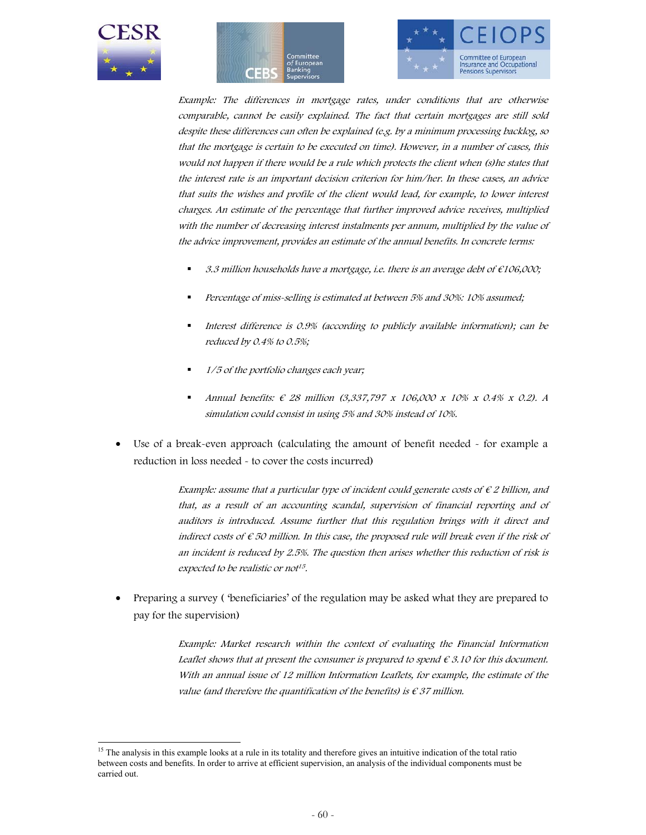





Example: The differences in mortgage rates, under conditions that are otherwise comparable, cannot be easily explained. The fact that certain mortgages are still sold despite these differences can often be explained (e.g. by a minimum processing backlog, so that the mortgage is certain to be executed on time). However, in a number of cases, this would not happen if there would be a rule which protects the client when (s)he states that the interest rate is an important decision criterion for him/her. In these cases, an advice that suits the wishes and profile of the client would lead, for example, to lower interest charges. An estimate of the percentage that further improved advice receives, multiplied with the number of decreasing interest instalments per annum, multiplied by the value of the advice improvement, provides an estimate of the annual benefits. In concrete terms:

- 3.3 million households have a mortgage, i.e. there is an average debt of  $\epsilon$ 106,000;
- Percentage of miss-selling is estimated at between 5% and 30%: 10% assumed;
- Interest difference is 0.9% (according to publicly available information); can be reduced by 0.4% to 0.5%;
- 1/5 of the portfolio changes each year;
- Annual benefits: € 28 million (3,337,797 x 106,000 x 10% x 0.4% x 0.2). A simulation could consist in using 5% and 30% instead of 10%.
- Use of a break-even approach (calculating the amount of benefit needed for example a reduction in loss needed - to cover the costs incurred)

Example: assume that a particular type of incident could generate costs of  $\epsilon$  2 billion, and that, as a result of an accounting scandal, supervision of financial reporting and of auditors is introduced. Assume further that this regulation brings with it direct and indirect costs of  $\epsilon$  50 million. In this case, the proposed rule will break even if the risk of an incident is reduced by 2.5%. The question then arises whether this reduction of risk is expected to be realistic or not<sup>15</sup>.

• Preparing a survey ( 'beneficiaries' of the regulation may be asked what they are prepared to pay for the supervision)

> Example: Market research within the context of evaluating the Financial Information Leaflet shows that at present the consumer is prepared to spend  $\epsilon$  3.10 for this document. With an annual issue of 12 million Information Leaflets, for example, the estimate of the value (and therefore the quantification of the benefits) is  $\epsilon$  37 million.

<sup>&</sup>lt;sup>15</sup> The analysis in this example looks at a rule in its totality and therefore gives an intuitive indication of the total ratio between costs and benefits. In order to arrive at efficient supervision, an analysis of the individual components must be carried out.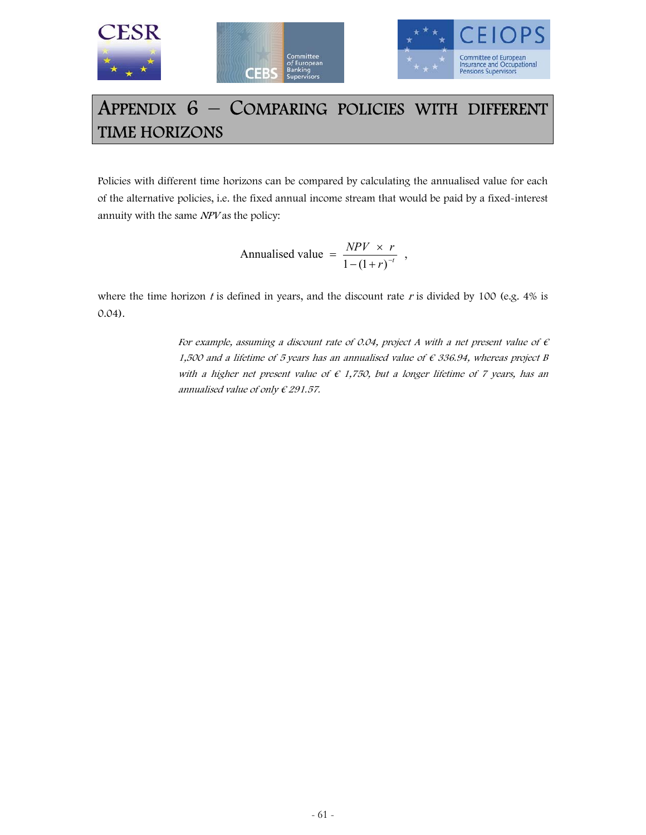



# APPENDIX 6 – COMPARING POLICIES WITH DIFFERENT TIME HORIZONS

Policies with different time horizons can be compared by calculating the annualised value for each of the alternative policies, i.e. the fixed annual income stream that would be paid by a fixed-interest annuity with the same NPV as the policy:

> $r$  $r$ <sup> $-t$ </sup>  $NPV \times r$ Annualised value =  $\frac{NPV \times r}{1 - (1 + r)^{-t}}$ ,

where the time horizon  $t$  is defined in years, and the discount rate  $r$  is divided by 100 (e.g. 4% is 0.04).

> For example, assuming a discount rate of 0.04, project A with a net present value of  $\epsilon$ 1,500 and a lifetime of 5 years has an annualised value of  $\epsilon$  336.94, whereas project B with a higher net present value of  $\epsilon$  1,750, but a longer lifetime of 7 years, has an annualised value of only  $\epsilon$  291.57.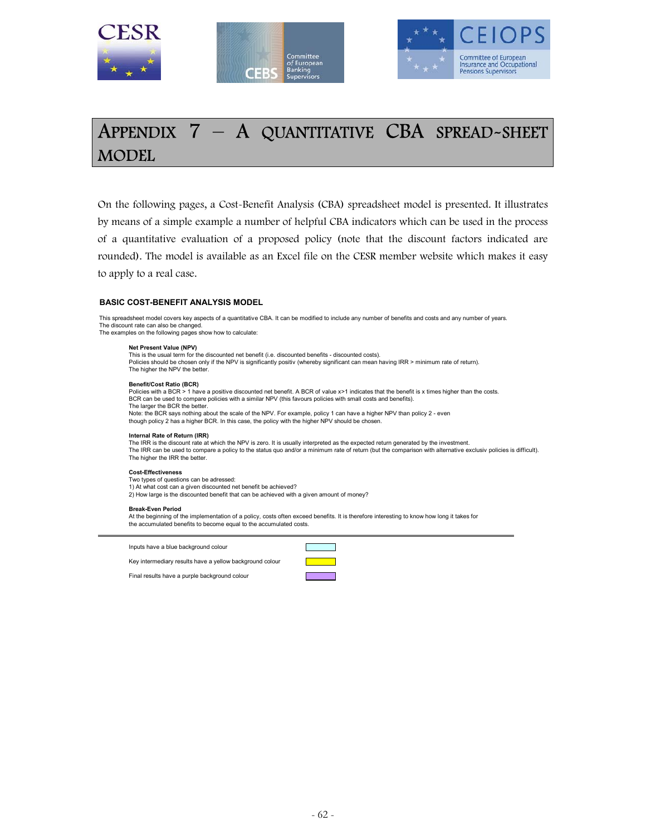





# APPENDIX 7 – A QUANTITATIVE CBA SPREAD-SHEET MODEL

On the following pages, a Cost-Benefit Analysis (CBA) spreadsheet model is presented. It illustrates by means of a simple example a number of helpful CBA indicators which can be used in the process of a quantitative evaluation of a proposed policy (note that the discount factors indicated are rounded). The model is available as an Excel file on the CESR member website which makes it easy to apply to a real case.

#### **BASIC COST-BENEFIT ANALYSIS MODEL**

This spreadsheet model covers key aspects of a quantitative CBA. It can be modified to include any number of benefits and costs and any number of years. The discount rate can also be changed. The examples on the following pages show how to calculate:

#### **Net Present Value (NPV)**

This is the usual term for the discounted net benefit (i.e. discounted benefits - discounted costs). Policies should be chosen only if the NPV is significantly positiv (whereby significant can mean having IRR > minimum rate of return). The higher the NPV the better.

#### **Benefit/Cost Ratio (BCR)**

Policies with a BCR > 1 have a positive discounted net benefit. A BCR of value x>1 indicates that the benefit is x times higher than the costs. BCR can be used to compare policies with a similar NPV (this favours policies with small costs and benefits). The larger the BCR the better.

Note: the BCR says nothing about the scale of the NPV. For example, policy 1 can have a higher NPV than policy 2 - even<br>though policy 2 has a higher BCR. In this case, the policy with the higher NPV should be chosen.

#### **Internal Rate of Return (IRR)**

The IRR is the discount rate at which the NPV is zero. It is usually interpreted as the expected return generated by the investment. The IRR can be used to compare a policy to the status quo and/or a minimum rate of return (but the comparison with alternative exclusiv policies is difficult). The higher the IRR the better.

#### **Cost-Effectiveness**

Two types of questions can be adressed: 1) At what cost can a given discounted net benefit be achieved? 2) How large is the discounted benefit that can be achieved with a given amount of money?

#### **Break-Even Period**

At the beginning of the implementation of a policy, costs often exceed benefits. It is therefore interesting to know how long it takes for the accumulated benefits to become equal to the accumulated costs.

Inputs have a blue background colour



Key intermediary results have a yellow background colour

Final results have a purple background colour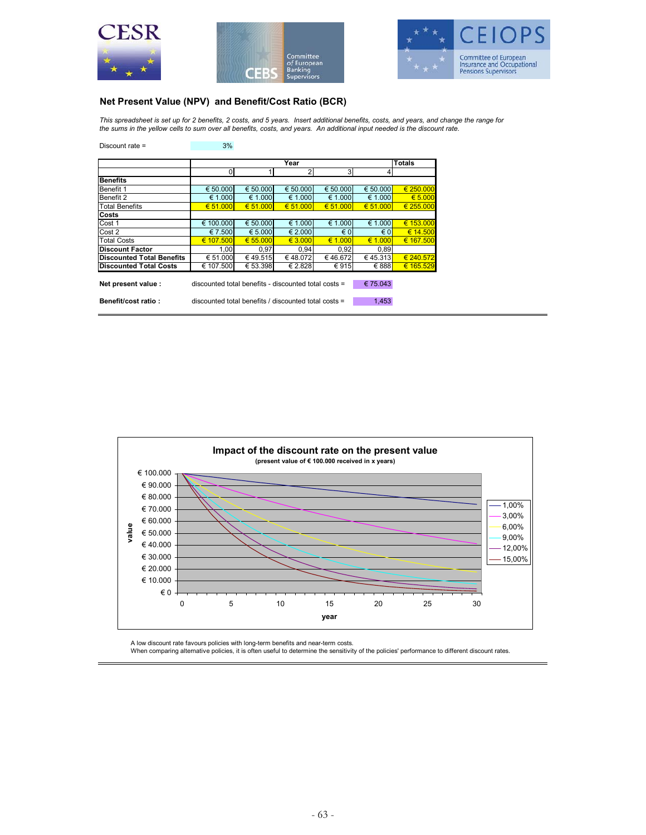





## **Net Present Value (NPV) and Benefit/Cost Ratio (BCR)**

*This spreadsheet is set up for 2 benefits, 2 costs, and 5 years. Insert additional benefits, costs, and years, and change the range for the sums in the yellow cells to sum over all benefits, costs, and years. An additional input needed is the discount rate.*

| Discount rate $=$                | 3%                                                            |          |          |                |              |               |  |
|----------------------------------|---------------------------------------------------------------|----------|----------|----------------|--------------|---------------|--|
|                                  |                                                               |          |          |                |              |               |  |
|                                  |                                                               |          | Year     |                |              | <b>Totals</b> |  |
|                                  | 0                                                             |          | 2        | 3 <sup>l</sup> |              |               |  |
| <b>Benefits</b>                  |                                                               |          |          |                |              |               |  |
| Benefit 1                        | € 50.000                                                      | € 50.000 | € 50,000 | € 50.000       | € 50.000     | € 250,000     |  |
| Benefit 2                        | € 1.000                                                       | € 1.000  | € 1.000  | € 1.000        | € 1.000      | € 5.000       |  |
| <b>Total Benefits</b>            | € 51.000                                                      | € 51.000 | € 51,000 | € 51,000       | € 51,000     | € 255,000     |  |
| Costs                            |                                                               |          |          |                |              |               |  |
| Cost 1                           | € 100.000                                                     | € 50.000 | € 1.000  | € 1.000        | € 1.000      | € 153.000     |  |
| Cost 2                           | € 7.500                                                       | € 5.000  | € 2.000  | $\epsilon$ 0   | $\epsilon$ 0 | € 14.500      |  |
| <b>Total Costs</b>               | € 107.500                                                     | € 55,000 | € 3.000  | € 1.000        | € 1.000      | € 167.500     |  |
| <b>Discount Factor</b>           | 1.00                                                          | 0.97     | 0.94     | 0.92           | 0.89         |               |  |
| <b>Discounted Total Benefits</b> | € 51.000                                                      | €49.515  | €48.072  | €46.672        | € 45.313     | € 240.572     |  |
| <b>Discounted Total Costs</b>    | € 107.500                                                     | € 53.398 | € 2.828  | € 915          | € 888        | € 165.529     |  |
|                                  |                                                               |          |          |                |              |               |  |
| Net present value:               | discounted total benefits - discounted total costs =          |          |          |                | €75.043      |               |  |
|                                  |                                                               |          |          |                |              |               |  |
| Benefit/cost ratio:              | 1,453<br>discounted total benefits / discounted total costs = |          |          |                |              |               |  |
|                                  |                                                               |          |          |                |              |               |  |



A low discount rate favours policies with long-term benefits and near-term costs.<br>When comparing alternative policies, it is often useful to determine the sensitivity of the policies' performance to different discount rate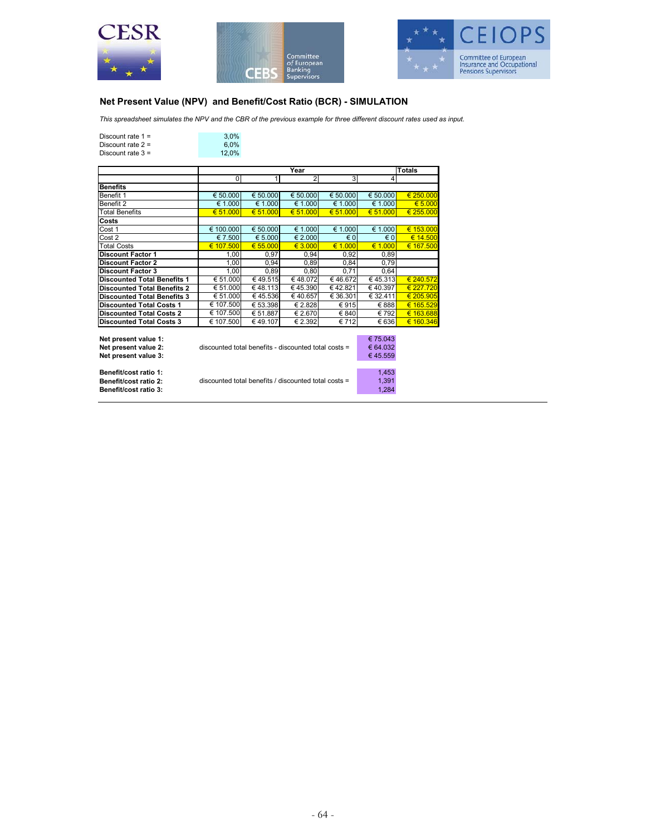





## **Net Present Value (NPV) and Benefit/Cost Ratio (BCR) - SIMULATION**

*This spreadsheet simulates the NPV and the CBR of the previous example for three different discount rates used as input.*

| Discount rate $1 =$ | 3.0%  |
|---------------------|-------|
| Discount rate $2 =$ | 6.0%  |
| Discount rate $3 =$ | 12.0% |
|                     |       |

|                                    |                                                      |          |          | <b>Totals</b> |          |                  |
|------------------------------------|------------------------------------------------------|----------|----------|---------------|----------|------------------|
|                                    | $\mathbf 0$                                          |          | 2        | 3             | 4        |                  |
| <b>Benefits</b>                    |                                                      |          |          |               |          |                  |
| Benefit 1                          | € 50.000                                             | € 50,000 | € 50,000 | € 50,000      | € 50.000 | € 250.000        |
| Benefit 2                          | € 1.000                                              | € 1.000  | € 1.000  | € 1.000       | € 1.000  | $\epsilon$ 5.000 |
| <b>Total Benefits</b>              | € 51.000                                             | 651,000  | € 51,000 | € 51,000      | € 51.000 | € 255,000        |
| Costs                              |                                                      |          |          |               |          |                  |
| Cost 1                             | € 100.000                                            | € 50.000 | € 1.000  | € 1.000       | € 1.000  | € 153.000        |
| Cost 2                             | € 7.500                                              | € 5.000  | € 2.000  | $\epsilon$ 0  | € 0      | € 14.500         |
| <b>Total Costs</b>                 | € 107.500                                            | € 55,000 | € 3.000  | € 1.000       | € 1.000  | € 167.500        |
| <b>Discount Factor 1</b>           | 1,00                                                 | 0,97     | 0,94     | 0,92          | 0,89     |                  |
| <b>Discount Factor 2</b>           | 1.00                                                 | 0.94     | 0.89     | 0,84          | 0,79     |                  |
| <b>Discount Factor 3</b>           | 1,00                                                 | 0,89     | 0,80     | 0,71          | 0,64     |                  |
| <b>Discounted Total Benefits 1</b> | € 51.000                                             | €49.515  | €48.072  | €46.672       | € 45.313 | € 240.572        |
| <b>Discounted Total Benefits 2</b> | € 51.000                                             | €48.113  | €45.390  | €42.821       | € 40.397 | € 227.720        |
| <b>Discounted Total Benefits 3</b> | € 51.000                                             | €45.536  | €40.657  | € 36.301      | € 32.411 | € 205.905        |
| <b>Discounted Total Costs 1</b>    | € 107.500                                            | € 53.398 | € 2.828  | €915          | € 888    | € 165.529        |
| <b>Discounted Total Costs 2</b>    | € 107.500                                            | € 51.887 | € 2.670  | € 840         | € 792    | € 163.688        |
| <b>Discounted Total Costs 3</b>    | € 107.500                                            | €49.107  | € 2.392  | € 712         | € 636    | € 160.346        |
|                                    |                                                      |          |          |               |          |                  |
| Net present value 1:               |                                                      |          |          |               | € 75.043 |                  |
| Net present value 2:               | discounted total benefits - discounted total costs = | € 64.032 |          |               |          |                  |

Net present value 3:<br>Net present value 3:<br>∈ 45.559

| Benefit/cost ratio 1: | 1.453                                                         |
|-----------------------|---------------------------------------------------------------|
| Benefit/cost ratio 2: | discounted total benefits / discounted total costs =<br>1.391 |
| Benefit/cost ratio 3: | 1.284                                                         |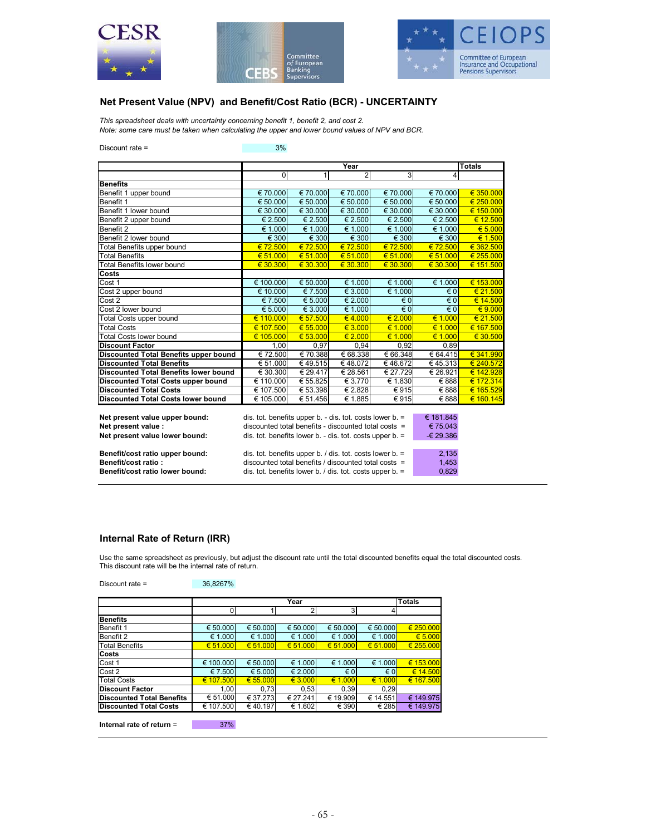





# **Net Present Value (NPV) and Benefit/Cost Ratio (BCR) - UNCERTAINTY**

*This spreadsheet deals with uncertainty concerning benefit 1, benefit 2, and cost 2. Note: some care must be taken when calculating the upper and lower bound values of NPV and BCR.*

Discount rate = 3%

|                                              |                                                               | <b>Totals</b>  |                |                             |                         |                             |
|----------------------------------------------|---------------------------------------------------------------|----------------|----------------|-----------------------------|-------------------------|-----------------------------|
|                                              | $\overline{0}$                                                | 1              | $\overline{2}$ | 3                           | 4                       |                             |
| <b>Benefits</b>                              |                                                               |                |                |                             |                         |                             |
| Benefit 1 upper bound                        | € 70.000                                                      | € 70.000       | € 70.000       | € 70.000                    | € 70.000                | € 350,000                   |
| Benefit 1                                    | € 50.000                                                      | € 50.000       | € 50.000       | € 50.000                    | € 50.000                | € 250.000                   |
| Benefit 1 lower bound                        | € 30.000                                                      | € 30.000       | € 30,000       | € 30,000                    | € 30.000                | € 150.000                   |
| Benefit 2 upper bound                        | € 2.500                                                       | € 2.500        | € 2.500        | € 2.500                     | € 2.500                 | € 12.500                    |
| Benefit 2                                    | € 1.000                                                       | € 1.000        | € 1.000        | € 1.000                     | € 1.000                 | € 5.000                     |
| Benefit 2 lower bound                        | € 300                                                         | $\epsilon$ 300 | € 300          | € 300                       | € 300                   | € 1.500                     |
| <b>Total Benefits upper bound</b>            | €72.500                                                       | € 72.500       | € 72.500       | €72.500                     | € 72.500                | € 362.500                   |
| <b>Total Benefits</b>                        | € 51.000                                                      | € 51.000       | € 51.000       | € 51.000                    | € 51.000                | € 255.000                   |
| <b>Total Benefits lower bound</b>            | € 30.300                                                      | € 30.300       | € 30.300       | € 30.300                    | € 30.300                | € 151.500                   |
| Costs                                        |                                                               |                |                |                             |                         |                             |
| Cost 1                                       | € 100.000                                                     | € 50.000       | € 1.000        | € 1.000                     | € 1.000                 | € 153.000                   |
| Cost 2 upper bound                           | € 10.000                                                      | € 7.500        | € 3.000        | € 1.000                     | $\epsilon$ 0            | € 21.500                    |
| Cost 2                                       | € 7.500                                                       | € 5.000        | € 2.000        | € 0                         | $\epsilon$ 0            | € 14.500                    |
| Cost 2 lower bound                           | € 5.000                                                       | € 3.000        | € 1.000        | $\epsilon$ <sub>0</sub>     | $\epsilon$ <sub>0</sub> | $\overline{\epsilon}$ 9.000 |
| <b>Total Costs upper bound</b>               | € 110.000                                                     | € 57.500       | €4.000         | € 2.000                     | € 1.000                 | € 21.500                    |
| <b>Total Costs</b>                           | € 107.500                                                     | € 55.000       | € 3.000        | € 1.000                     | € 1.000                 | € 167.500                   |
| <b>Total Costs lower bound</b>               | € 105.000                                                     | € 53.000       | € 2.000        | € 1.000                     | € 1.000                 | € 30.500                    |
| <b>Discount Factor</b>                       | 1.00                                                          | 0.97           | 0.94           | 0.92                        | 0.89                    |                             |
| Discounted Total Benefits upper bound        | € 72.500                                                      | € 70.388       | € 68.338       | € 66.348                    | € 64.415                | € 341.990                   |
| <b>Discounted Total Benefits</b>             | € 51.000                                                      | €49.515        | €48.072        | €46.672                     | €45.313                 | € 240.572                   |
| <b>Discounted Total Benefits lower bound</b> | € 30.300                                                      | € 29.417       | € 28.561       | € 27.729                    | € 26.921                | € 142.928                   |
| Discounted Total Costs upper bound           | € 110.000                                                     | € 55.825       | € 3.770        | $\overline{\epsilon}$ 1.830 | € 888                   | € 172.314                   |
| <b>Discounted Total Costs</b>                | $\overline{\epsilon}$ 107.500                                 | € 53.398       | € 2.828        | € 915                       | € 888                   | € 165.529                   |
| <b>Discounted Total Costs lower bound</b>    | € 105.000                                                     | € 51.456       | € 1.885        | $\overline{\epsilon}$ 915   | € 888                   | € 160.145                   |
|                                              |                                                               |                |                |                             |                         |                             |
| Net present value upper bound:               | dis. tot. benefits upper $b. -$ dis. tot. costs lower $b. =$  | € 181.845      |                |                             |                         |                             |
| Net present value :                          | discounted total benefits - discounted total costs $=$        |                |                |                             | € 75.043                |                             |
| Net present value lower bound:               | dis. tot. benefits lower b. - dis. tot. costs upper b. $=$    |                |                |                             | -€ 29.386               |                             |
|                                              |                                                               |                |                |                             |                         |                             |
| Benefit/cost ratio upper bound:              | dis. tot. benefits upper b. / dis. tot. costs lower b. =      |                |                |                             | 2,135                   |                             |
| Benefit/cost ratio:                          | discounted total benefits / discounted total costs $=$        |                |                |                             | 1,453<br>0,829          |                             |
| Benefit/cost ratio lower bound:              | dis. tot. benefits lower b. $\ell$ dis. tot. costs upper b. = |                |                |                             |                         |                             |

#### **Internal Rate of Return (IRR)**

Discount rate = 36,8267%

Use the same spreadsheet as previously, but adjust the discount rate until the total discounted benefits equal the total discounted costs. This discount rate will be the internal rate of return.

|                                  |           | <b>Totals</b> |          |              |              |           |
|----------------------------------|-----------|---------------|----------|--------------|--------------|-----------|
|                                  | 0         |               |          | 3            |              |           |
| <b>Benefits</b>                  |           |               |          |              |              |           |
| Benefit 1                        | € 50.000  | € 50.000      | € 50.000 | € 50.000     | € 50.000     | € 250.000 |
| Benefit 2                        | € 1.000   | € 1.000       | € 1.000  | € 1.000      | € 1.000      | € 5.000   |
| <b>Total Benefits</b>            | € 51.000  | € 51.000      | € 51.000 | € 51.000     | € 51.000     | € 255.000 |
| Costs                            |           |               |          |              |              |           |
| Cost 1                           | € 100.000 | € 50.000      | € 1.000  | € 1.000      | € 1.000      | € 153.000 |
| Cost 2                           | € 7.500   | € 5.000       | € 2.000  | $\epsilon$ 0 | $\epsilon$ 0 | € 14.500  |
| <b>Total Costs</b>               | € 107.500 | € 55.000      | € 3.000  | € 1.000      | € 1.000      | € 167.500 |
| <b>Discount Factor</b>           | 1.00      | 0,73          | 0,53     | 0.39         | 0.29         |           |
| <b>Discounted Total Benefits</b> | € 51.000  | € 37.273      | € 27.241 | € 19.909     | € 14.551     | € 149.975 |
| <b>Discounted Total Costs</b>    | € 107.500 | €40.197       | € 1.602  | € 390        | € 285        | € 149.975 |

**Internal rate of return** = 37%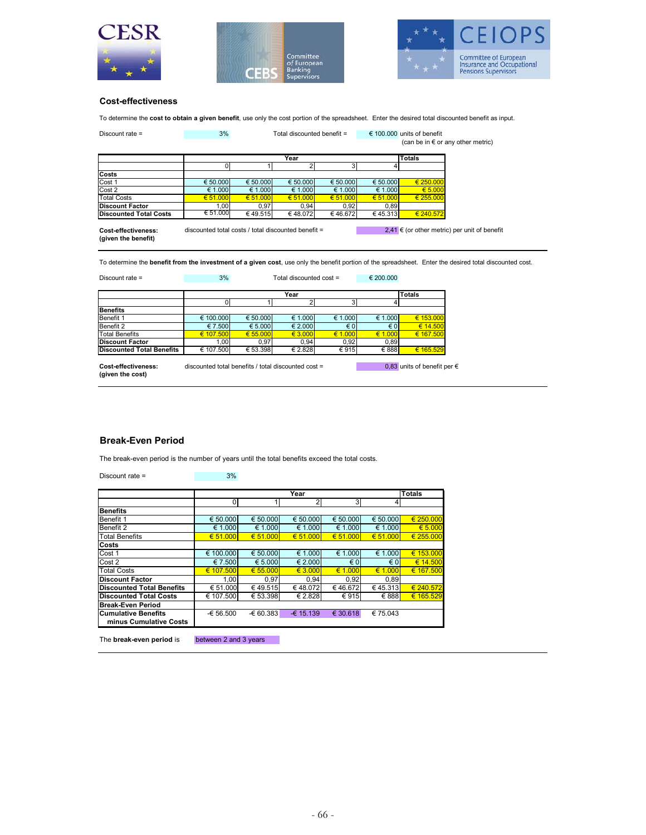





#### **Cost-effectiveness**

To determine the **cost to obtain a given benefit**, use only the cost portion of the spreadsheet. Enter the desired total discounted benefit as input.

| Discount rate $=$                          | 3%                                                  | Total discounted benefit = |              |              | € 100.000 units of benefit<br>(can be in $\epsilon$ or any other metric) |               |                                              |
|--------------------------------------------|-----------------------------------------------------|----------------------------|--------------|--------------|--------------------------------------------------------------------------|---------------|----------------------------------------------|
|                                            |                                                     |                            | Totals       |              |                                                                          |               |                                              |
|                                            |                                                     |                            |              | 31           |                                                                          |               |                                              |
| Costs                                      |                                                     |                            |              |              |                                                                          |               |                                              |
| Cost 1                                     | € 50,000                                            | € 50,000                   | € 50.000     | € 50,000     | € 50.000                                                                 | $\in 250,000$ |                                              |
| Cost 2                                     | € 1.000                                             | € 1.000                    | € 1.000      | € 1.000      | € 1.000                                                                  | € 5.000       |                                              |
| <b>Total Costs</b>                         | € 51,000                                            | € 51,000                   | $\in 51,000$ | $\in 51,000$ | € 51,000                                                                 | € 255,000     |                                              |
| <b>Discount Factor</b>                     | 1,00                                                | 0.97                       | 0,94         | 0,92         | 0,89                                                                     |               |                                              |
| <b>Discounted Total Costs</b>              | € 51.000                                            | €49.515                    | €48.072      | €46.672      | € 45.313                                                                 | € 240.572     |                                              |
| Cost-effectiveness:<br>(given the benefit) | discounted total costs / total discounted benefit = |                            |              |              |                                                                          |               | 2,41 € (or other metric) per unit of benefit |

To determine the **benefit from the investment of a given cost**, use only the benefit portion of the spreadsheet. Enter the desired total discounted cost.

|                                  |           |          | <b>Totals</b>    |              |              |           |
|----------------------------------|-----------|----------|------------------|--------------|--------------|-----------|
|                                  |           |          |                  |              |              |           |
| <b>Benefits</b>                  |           |          |                  |              |              |           |
| Benefit 1                        | € 100,000 | € 50,000 | € 1.000          | € 1.000      | € 1.000      | € 153.000 |
| Benefit 2                        | € 7.500   | € 5.000  | $\epsilon$ 2.000 | $\epsilon$ 0 | $\epsilon$ 0 | € 14.500  |
| <b>Total Benefits</b>            | € 107.500 | € 55,000 | € 3.000          | € 1.000      | € 1.000      | € 167.500 |
| <b>Discount Factor</b>           | 1,00      | 0.97     | 0.94             | 0,92         | 0,89         |           |
| <b>Discounted Total Benefits</b> | € 107.500 | € 53.398 | € 2.828          | €915         | € 888        | € 165.529 |

**(given the cost)**

## **Break-Even Period**

The break-even period is the number of years until the total benefits exceed the total costs.

| Discount rate $=$                                    | 3%         |                   |                |                |              |               |
|------------------------------------------------------|------------|-------------------|----------------|----------------|--------------|---------------|
|                                                      |            |                   |                |                |              |               |
|                                                      |            |                   | Year           |                |              | <b>Totals</b> |
|                                                      | 0          |                   | $\overline{2}$ | 3 <sup>l</sup> | 4            |               |
| <b>Benefits</b>                                      |            |                   |                |                |              |               |
| Benefit 1                                            | € 50.000   | € 50.000          | € 50.000       | € 50,000       | € 50,000     | € 250,000     |
| Benefit 2                                            | € 1.000    | € 1.000           | € 1.000        | € 1.000        | € 1.000      | € 5.000       |
| <b>Total Benefits</b>                                | € 51.000   | $\epsilon$ 51.000 | € 51.000       | € 51,000       | € 51.000     | € 255.000     |
| Costs                                                |            |                   |                |                |              |               |
| Cost 1                                               | € 100.000  | € 50.000          | € 1.000        | € 1.000        | € 1.000      | € 153,000     |
| Cost 2                                               | € 7.500    | € 5.000           | € 2.000        | $\epsilon$ 0   | $\epsilon$ 0 | € 14.500      |
| <b>Total Costs</b>                                   | € 107.500  | € 55,000          | € 3.000        | € 1.000        | € 1.000      | € 167.500     |
| <b>Discount Factor</b>                               | 1.00       | 0,97              | 0.94           | 0.92           | 0,89         |               |
| <b>Discounted Total Benefits</b>                     | € 51.000   | €49.515           | €48.072        | €46.672        | €45.313      | € 240.572     |
| <b>Discounted Total Costs</b>                        | € 107.500  | € 53.398          | € 2.828        | €915           | € 888        | € 165.529     |
| <b>Break-Even Period</b>                             |            |                   |                |                |              |               |
| <b>Cumulative Benefits</b><br>minus Cumulative Costs | $-656.500$ | $-60.383$         | $-6$ 15.139    | € 30.618       | € 75.043     |               |
|                                                      |            |                   |                |                |              |               |

The **break-even period** is between 2 and 3 years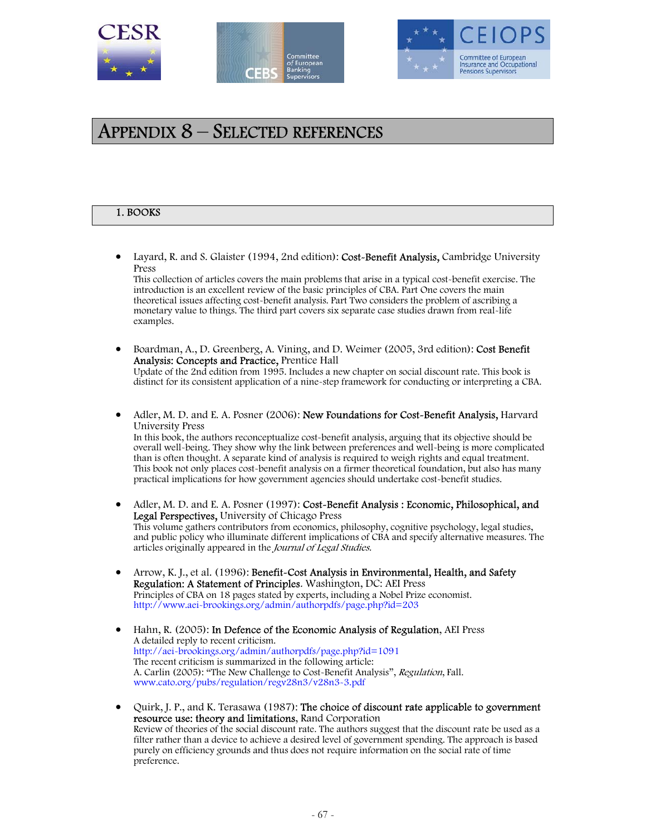





# APPENDIX 8 – SELECTED REFERENCES

### 1. BOOKS

• Layard, R. and S. Glaister (1994, 2nd edition): Cost-Benefit Analysis, Cambridge University Press

This collection of articles covers the main problems that arise in a typical cost-benefit exercise. The introduction is an excellent review of the basic principles of CBA. Part One covers the main theoretical issues affecting cost-benefit analysis. Part Two considers the problem of ascribing a monetary value to things. The third part covers six separate case studies drawn from real-life examples.

- Boardman, A., D. Greenberg, A. Vining, and D. Weimer (2005, 3rd edition): Cost Benefit Analysis: Concepts and Practice, Prentice Hall Update of the 2nd edition from 1995. Includes a new chapter on social discount rate. This book is distinct for its consistent application of a nine-step framework for conducting or interpreting a CBA.
- Adler, M. D. and E. A. Posner (2006): New Foundations for Cost-Benefit Analysis, Harvard University Press In this book, the authors reconceptualize cost-benefit analysis, arguing that its objective should be overall well-being. They show why the link between preferences and well-being is more complicated than is often thought. A separate kind of analysis is required to weigh rights and equal treatment. This book not only places cost-benefit analysis on a firmer theoretical foundation, but also has many practical implications for how government agencies should undertake cost-benefit studies.
- Adler, M. D. and E. A. Posner (1997): Cost-Benefit Analysis : Economic, Philosophical, and Legal Perspectives, University of Chicago Press This volume gathers contributors from economics, philosophy, cognitive psychology, legal studies, and public policy who illuminate different implications of CBA and specify alternative measures. The articles originally appeared in the Journal of Legal Studies.
- Arrow, K. J., et al. (1996): Benefit-Cost Analysis in Environmental, Health, and Safety Regulation: A Statement of Principles. Washington, DC: AEI Press Principles of CBA on 18 pages stated by experts, including a Nobel Prize economist. http://www.aei-brookings.org/admin/authorpdfs/page.php?id=203
- Hahn, R. (2005): In Defence of the Economic Analysis of Regulation, AEI Press A detailed reply to recent criticism. http://aei-brookings.org/admin/authorpdfs/page.php?id=1091 The recent criticism is summarized in the following article: A. Carlin (2005): "The New Challenge to Cost-Benefit Analysis", Regulation, Fall. www.cato.org/pubs/regulation/regv28n3/v28n3-3.pdf
- Quirk, J. P., and K. Terasawa (1987): The choice of discount rate applicable to government resource use: theory and limitations, Rand Corporation Review of theories of the social discount rate. The authors suggest that the discount rate be used as a filter rather than a device to achieve a desired level of government spending. The approach is based purely on efficiency grounds and thus does not require information on the social rate of time preference.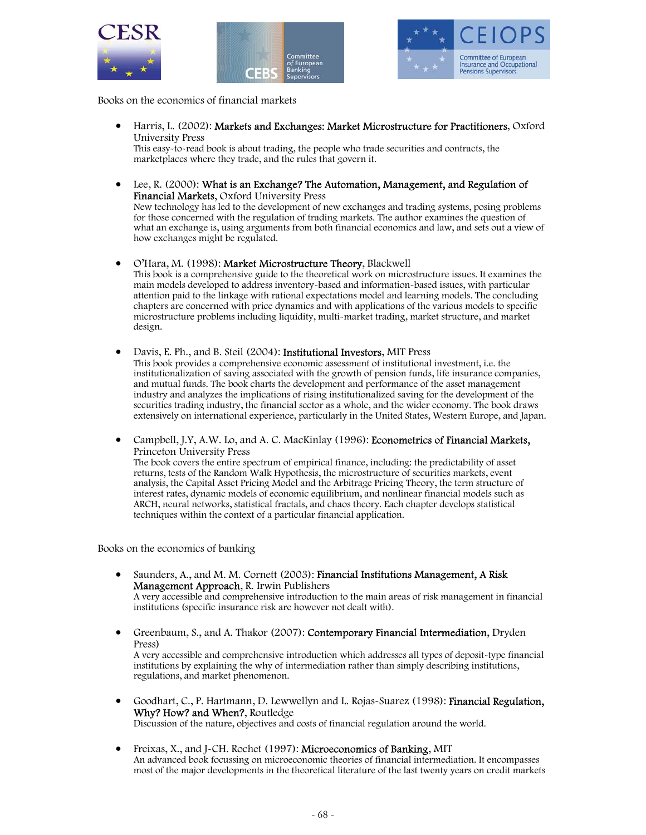





Books on the economics of financial markets

• Harris, L. (2002): Markets and Exchanges: Market Microstructure for Practitioners, Oxford University Press

This easy-to-read book is about trading, the people who trade securities and contracts, the marketplaces where they trade, and the rules that govern it.

• Lee, R. (2000): What is an Exchange? The Automation, Management, and Regulation of Financial Markets, Oxford University Press

New technology has led to the development of new exchanges and trading systems, posing problems for those concerned with the regulation of trading markets. The author examines the question of what an exchange is, using arguments from both financial economics and law, and sets out a view of how exchanges might be regulated.

• O'Hara, M. (1998): Market Microstructure Theory, Blackwell This book is a comprehensive guide to the theoretical work on microstructure issues. It examines the main models developed to address inventory-based and information-based issues, with particular attention paid to the linkage with rational expectations model and learning models. The concluding chapters are concerned with price dynamics and with applications of the various models to specific microstructure problems including liquidity, multi-market trading, market structure, and market design.

- Davis, E. Ph., and B. Steil (2004): Institutional Investors, MIT Press This book provides a comprehensive economic assessment of institutional investment, i.e. the institutionalization of saving associated with the growth of pension funds, life insurance companies, and mutual funds. The book charts the development and performance of the asset management industry and analyzes the implications of rising institutionalized saving for the development of the securities trading industry, the financial sector as a whole, and the wider economy. The book draws extensively on international experience, particularly in the United States, Western Europe, and Japan.
- Campbell, J.Y, A.W. Lo, and A. C. MacKinlay (1996): Econometrics of Financial Markets, Princeton University Press

The book covers the entire spectrum of empirical finance, including: the predictability of asset returns, tests of the Random Walk Hypothesis, the microstructure of securities markets, event analysis, the Capital Asset Pricing Model and the Arbitrage Pricing Theory, the term structure of interest rates, dynamic models of economic equilibrium, and nonlinear financial models such as ARCH, neural networks, statistical fractals, and chaos theory. Each chapter develops statistical techniques within the context of a particular financial application.

Books on the economics of banking

- Saunders, A., and M. M. Cornett (2003): Financial Institutions Management, A Risk Management Approach, R. Irwin Publishers A very accessible and comprehensive introduction to the main areas of risk management in financial institutions (specific insurance risk are however not dealt with).
- Greenbaum, S., and A. Thakor (2007): **Contemporary Financial Intermediation**, Dryden Press)

A very accessible and comprehensive introduction which addresses all types of deposit-type financial institutions by explaining the why of intermediation rather than simply describing institutions, regulations, and market phenomenon.

- Goodhart, C., P. Hartmann, D. Lewwellyn and L. Rojas-Suarez (1998): Financial Regulation, Why? How? and When?, Routledge Discussion of the nature, objectives and costs of financial regulation around the world.
- Freixas, X., and J-CH. Rochet (1997): Microeconomics of Banking, MIT An advanced book focussing on microeconomic theories of financial intermediation. It encompasses most of the major developments in the theoretical literature of the last twenty years on credit markets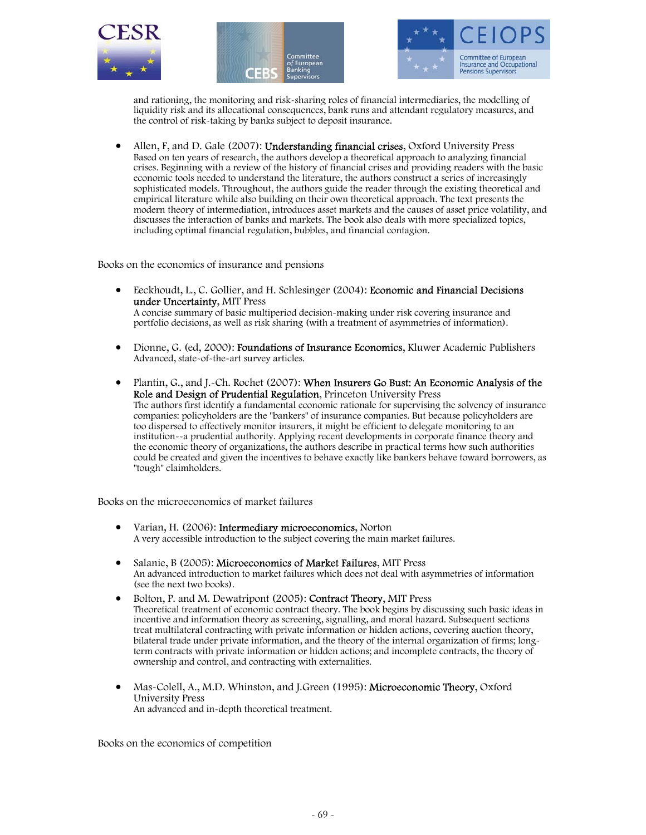





and rationing, the monitoring and risk-sharing roles of financial intermediaries, the modelling of liquidity risk and its allocational consequences, bank runs and attendant regulatory measures, and the control of risk-taking by banks subject to deposit insurance.

• Allen, F, and D. Gale (2007): **Understanding financial crises**, Oxford University Press Based on ten years of research, the authors develop a theoretical approach to analyzing financial crises. Beginning with a review of the history of financial crises and providing readers with the basic economic tools needed to understand the literature, the authors construct a series of increasingly sophisticated models. Throughout, the authors guide the reader through the existing theoretical and empirical literature while also building on their own theoretical approach. The text presents the modern theory of intermediation, introduces asset markets and the causes of asset price volatility, and discusses the interaction of banks and markets. The book also deals with more specialized topics, including optimal financial regulation, bubbles, and financial contagion.

Books on the economics of insurance and pensions

- Eeckhoudt, L., C. Gollier, and H. Schlesinger (2004): Economic and Financial Decisions under Uncertainty, MIT Press A concise summary of basic multiperiod decision-making under risk covering insurance and portfolio decisions, as well as risk sharing (with a treatment of asymmetries of information).
- Dionne, G. (ed, 2000): **Foundations of Insurance Economics**, Kluwer Academic Publishers Advanced, state-of-the-art survey articles.
- Plantin, G., and J.-Ch. Rochet (2007): When Insurers Go Bust: An Economic Analysis of the Role and Design of Prudential Regulation, Princeton University Press The authors first identify a fundamental economic rationale for supervising the solvency of insurance companies: policyholders are the "bankers" of insurance companies. But because policyholders are too dispersed to effectively monitor insurers, it might be efficient to delegate monitoring to an institution--a prudential authority. Applying recent developments in corporate finance theory and the economic theory of organizations, the authors describe in practical terms how such authorities could be created and given the incentives to behave exactly like bankers behave toward borrowers, as "tough" claimholders.

Books on the microeconomics of market failures

- Varian, H. (2006): Intermediary microeconomics, Norton A very accessible introduction to the subject covering the main market failures.
- Salanie, B (2005): Microeconomics of Market Failures, MIT Press An advanced introduction to market failures which does not deal with asymmetries of information (see the next two books).
- Bolton, P. and M. Dewatripont (2005): Contract Theory, MIT Press Theoretical treatment of economic contract theory. The book begins by discussing such basic ideas in incentive and information theory as screening, signalling, and moral hazard. Subsequent sections treat multilateral contracting with private information or hidden actions, covering auction theory, bilateral trade under private information, and the theory of the internal organization of firms; longterm contracts with private information or hidden actions; and incomplete contracts, the theory of ownership and control, and contracting with externalities.
- Mas-Colell, A., M.D. Whinston, and J.Green (1995): Microeconomic Theory, Oxford University Press An advanced and in-depth theoretical treatment.

Books on the economics of competition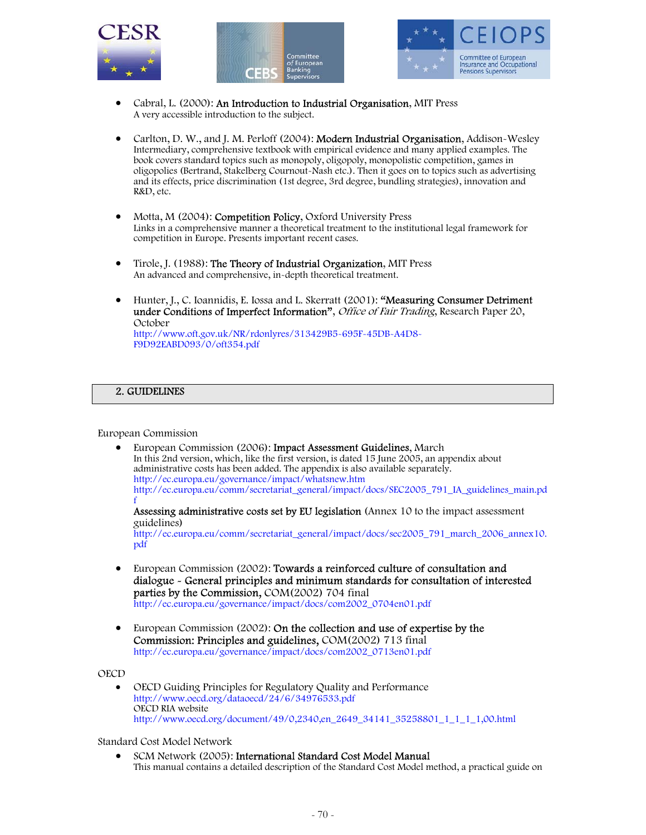





- Cabral, L. (2000): An Introduction to Industrial Organisation, MIT Press A very accessible introduction to the subject.
- Carlton, D. W., and J. M. Perloff (2004): Modern Industrial Organisation, Addison-Wesley Intermediary, comprehensive textbook with empirical evidence and many applied examples. The book covers standard topics such as monopoly, oligopoly, monopolistic competition, games in oligopolies (Bertrand, Stakelberg Cournout-Nash etc.). Then it goes on to topics such as advertising and its effects, price discrimination (1st degree, 3rd degree, bundling strategies), innovation and R&D, etc.
- Motta, M (2004): **Competition Policy**, Oxford University Press Links in a comprehensive manner a theoretical treatment to the institutional legal framework for competition in Europe. Presents important recent cases.
- Tirole, J. (1988): The Theory of Industrial Organization, MIT Press An advanced and comprehensive, in-depth theoretical treatment.
- Hunter, J., C. Ioannidis, E. Iossa and L. Skerratt (2001): "Measuring Consumer Detriment under Conditions of Imperfect Information", Office of Fair Trading, Research Paper 20, October

http://www.oft.gov.uk/NR/rdonlyres/313429B5-695F-45DB-A4D8- F9D92EABD093/0/oft354.pdf

### 2. GUIDELINES

European Commission

• European Commission (2006): Impact Assessment Guidelines, March In this 2nd version, which, like the first version, is dated 15 June 2005, an appendix about administrative costs has been added. The appendix is also available separately. http://ec.europa.eu/governance/impact/whatsnew.htm http://ec.europa.eu/comm/secretariat\_general/impact/docs/SEC2005\_791\_IA\_guidelines\_main.pd f Assessing administrative costs set by EU legislation (Annex 10 to the impact assessment

guidelines) http://ec.europa.eu/comm/secretariat\_general/impact/docs/sec2005\_791\_march\_2006\_annex10. pdf

- European Commission (2002): Towards a reinforced culture of consultation and dialogue - General principles and minimum standards for consultation of interested parties by the Commission, COM(2002) 704 final http://ec.europa.eu/governance/impact/docs/com2002\_0704en01.pdf
- European Commission (2002): On the collection and use of expertise by the Commission: Principles and guidelines, COM(2002) 713 final http://ec.europa.eu/governance/impact/docs/com2002\_0713en01.pdf

OECD

• OECD Guiding Principles for Regulatory Quality and Performance http://www.oecd.org/dataoecd/24/6/34976533.pdf OECD RIA website http://www.oecd.org/document/49/0,2340,en\_2649\_34141\_35258801\_1\_1\_1\_1,00.html

Standard Cost Model Network

• SCM Network (2005): International Standard Cost Model Manual This manual contains a detailed description of the Standard Cost Model method, a practical guide on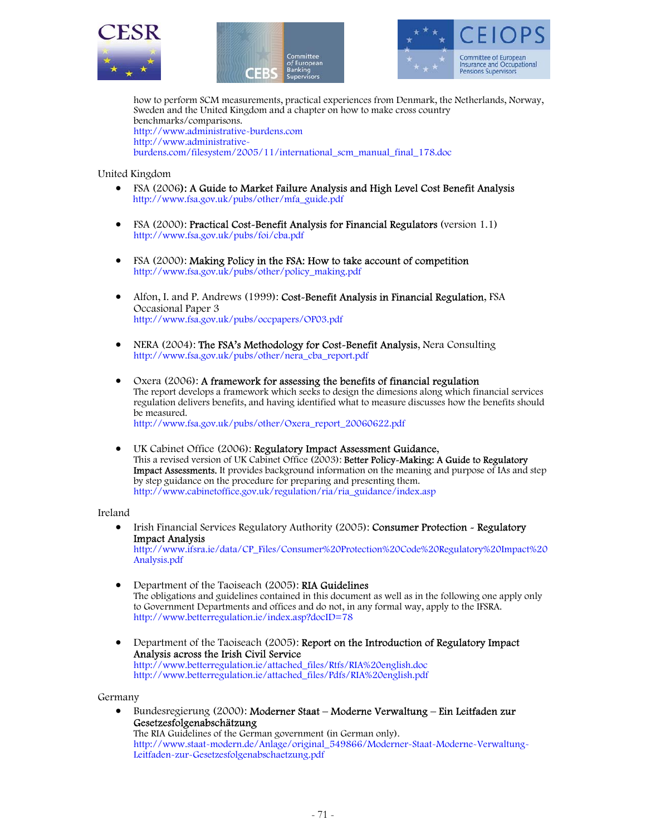





how to perform SCM measurements, practical experiences from Denmark, the Netherlands, Norway, Sweden and the United Kingdom and a chapter on how to make cross country benchmarks/comparisons. http://www.administrative-burdens.com http://www.administrativeburdens.com/filesystem/2005/11/international\_scm\_manual\_final\_178.doc

United Kingdom

- FSA (2006): A Guide to Market Failure Analysis and High Level Cost Benefit Analysis http://www.fsa.gov.uk/pubs/other/mfa\_guide.pdf
- FSA (2000): Practical Cost-Benefit Analysis for Financial Regulators (version 1.1) http://www.fsa.gov.uk/pubs/foi/cba.pdf
- FSA (2000): Making Policy in the FSA: How to take account of competition http://www.fsa.gov.uk/pubs/other/policy\_making.pdf
- Alfon, I. and P. Andrews (1999): Cost-Benefit Analysis in Financial Regulation, FSA Occasional Paper 3 http://www.fsa.gov.uk/pubs/occpapers/OP03.pdf
- NERA (2004): The FSA's Methodology for Cost-Benefit Analysis, Nera Consulting http://www.fsa.gov.uk/pubs/other/nera\_cba\_report.pdf
- Oxera (2006): A framework for assessing the benefits of financial regulation The report develops a framework which seeks to design the dimesions along which financial services regulation delivers benefits, and having identified what to measure discusses how the benefits should be measured. http://www.fsa.gov.uk/pubs/other/Oxera\_report\_20060622.pdf
- UK Cabinet Office (2006): Regulatory Impact Assessment Guidance, This a revised version of UK Cabinet Office (2003): Better Policy-Making: A Guide to Regulatory Impact Assessments. It provides background information on the meaning and purpose of IAs and step by step guidance on the procedure for preparing and presenting them. http://www.cabinetoffice.gov.uk/regulation/ria/ria\_guidance/index.asp

Ireland

- Irish Financial Services Regulatory Authority (2005): Consumer Protection Regulatory Impact Analysis http://www.ifsra.ie/data/CP\_Files/Consumer%20Protection%20Code%20Regulatory%20Impact%20 Analysis.pdf
- Department of the Taoiseach (2005): RIA Guidelines The obligations and guidelines contained in this document as well as in the following one apply only to Government Departments and offices and do not, in any formal way, apply to the IFSRA. http://www.betterregulation.ie/index.asp?docID=78
- Department of the Taoiseach (2005): Report on the Introduction of Regulatory Impact Analysis across the Irish Civil Service http://www.betterregulation.ie/attached\_files/Rtfs/RIA%20english.doc http://www.betterregulation.ie/attached\_files/Pdfs/RIA%20english.pdf

Germany

• Bundesregierung (2000): Moderner Staat – Moderne Verwaltung – Ein Leitfaden zur Gesetzesfolgenabschätzung The RIA Guidelines of the German government (in German only). http://www.staat-modern.de/Anlage/original\_549866/Moderner-Staat-Moderne-Verwaltung-Leitfaden-zur-Gesetzesfolgenabschaetzung.pdf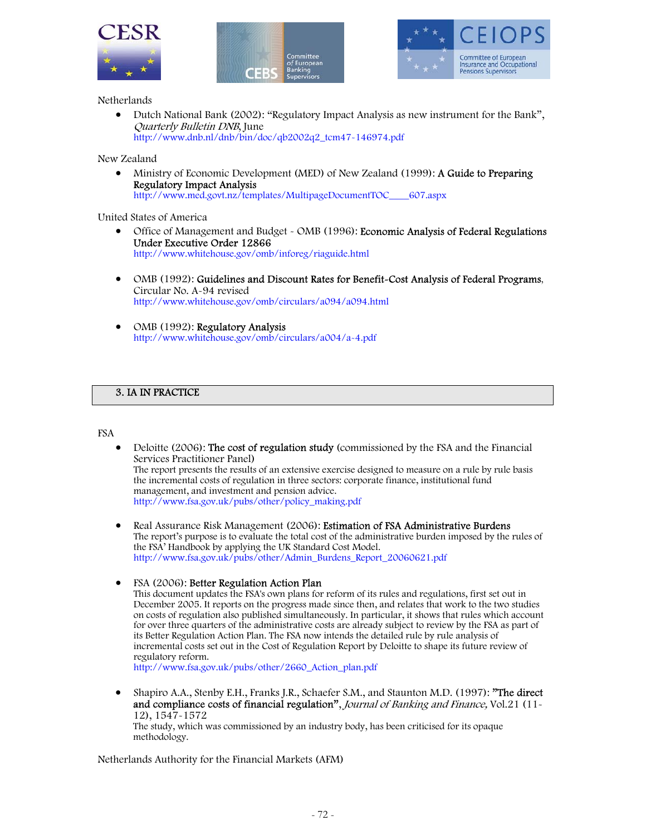





### Netherlands

• Dutch National Bank (2002): "Regulatory Impact Analysis as new instrument for the Bank", Quarterly Bulletin DNB, June http://www.dnb.nl/dnb/bin/doc/qb2002q2\_tcm47-146974.pdf

### New Zealand

• Ministry of Economic Development (MED) of New Zealand (1999): A Guide to Preparing Regulatory Impact Analysis http://www.med.govt.nz/templates/MultipageDocumentTOC\_\_\_\_607.aspx

### United States of America

- Office of Management and Budget OMB (1996): Economic Analysis of Federal Regulations Under Executive Order 12866 http://www.whitehouse.gov/omb/inforeg/riaguide.html
- OMB (1992): Guidelines and Discount Rates for Benefit-Cost Analysis of Federal Programs, Circular No. A-94 revised http://www.whitehouse.gov/omb/circulars/a094/a094.html
- OMB (1992): Regulatory Analysis http://www.whitehouse.gov/omb/circulars/a004/a-4.pdf

### 3. IA IN PRACTICE

#### FSA

- Deloitte (2006): The cost of regulation study (commissioned by the FSA and the Financial Services Practitioner Panel) The report presents the results of an extensive exercise designed to measure on a rule by rule basis the incremental costs of regulation in three sectors: corporate finance, institutional fund management, and investment and pension advice. http://www.fsa.gov.uk/pubs/other/policy\_making.pdf
- Real Assurance Risk Management (2006): **Estimation of FSA Administrative Burdens** The report's purpose is to evaluate the total cost of the administrative burden imposed by the rules of the FSA' Handbook by applying the UK Standard Cost Model. http://www.fsa.gov.uk/pubs/other/Admin\_Burdens\_Report\_20060621.pdf

### • FSA (2006): Better Regulation Action Plan

This document updates the FSA's own plans for reform of its rules and regulations, first set out in December 2005. It reports on the progress made since then, and relates that work to the two studies on costs of regulation also published simultaneously. In particular, it shows that rules which account for over three quarters of the administrative costs are already subject to review by the FSA as part of its Better Regulation Action Plan. The FSA now intends the detailed rule by rule analysis of incremental costs set out in the Cost of Regulation Report by Deloitte to shape its future review of regulatory reform.

http://www.fsa.gov.uk/pubs/other/2660\_Action\_plan.pdf

• Shapiro A.A., Stenby E.H., Franks J.R., Schaefer S.M., and Staunton M.D. (1997): **"The direct** and compliance costs of financial regulation", Journal of Banking and Finance, Vol.21 (11-12), 1547-1572

The study, which was commissioned by an industry body, has been criticised for its opaque methodology.

Netherlands Authority for the Financial Markets (AFM)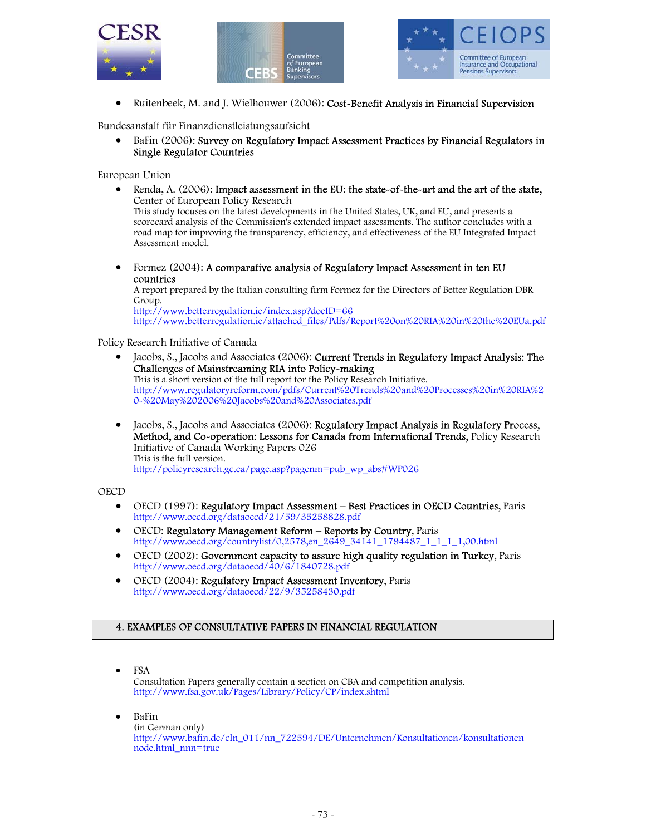





• Ruitenbeek, M. and J. Wielhouwer (2006): Cost-Benefit Analysis in Financial Supervision

Bundesanstalt für Finanzdienstleistungsaufsicht

• BaFin (2006): Survey on Regulatory Impact Assessment Practices by Financial Regulators in Single Regulator Countries

European Union

• Renda, A. (2006): Impact assessment in the EU: the state-of-the-art and the art of the state, Center of European Policy Research

This study focuses on the latest developments in the United States, UK, and EU, and presents a scorecard analysis of the Commission's extended impact assessments. The author concludes with a road map for improving the transparency, efficiency, and effectiveness of the EU Integrated Impact Assessment model.

• Formez (2004): A comparative analysis of Regulatory Impact Assessment in ten EU countries

A report prepared by the Italian consulting firm Formez for the Directors of Better Regulation DBR Group.

http://www.betterregulation.ie/index.asp?docID=66 http://www.betterregulation.ie/attached\_files/Pdfs/Report%20on%20RIA%20in%20the%20EUa.pdf

## Policy Research Initiative of Canada

- Jacobs, S., Jacobs and Associates (2006): Current Trends in Regulatory Impact Analysis: The Challenges of Mainstreaming RIA into Policy-making This is a short version of the full report for the Policy Research Initiative. http://www.regulatoryreform.com/pdfs/Current%20Trends%20and%20Processes%20in%20RIA%2 0-%20May%202006%20Jacobs%20and%20Associates.pdf
- Jacobs, S., Jacobs and Associates (2006): Regulatory Impact Analysis in Regulatory Process, Method, and Co-operation: Lessons for Canada from International Trends, Policy Research Initiative of Canada Working Papers 026 This is the full version. http://policyresearch.gc.ca/page.asp?pagenm=pub\_wp\_abs#WP026

## **OECD**

- OECD (1997): Regulatory Impact Assessment Best Practices in OECD Countries, Paris http://www.oecd.org/dataoecd/21/59/35258828.pdf
- OECD: Regulatory Management Reform Reports by Country, Paris http://www.oecd.org/countrylist/0,2578,en\_2649\_34141\_1794487\_1\_1\_1\_1,00.html
- OECD (2002): Government capacity to assure high quality regulation in Turkey, Paris http://www.oecd.org/dataoecd/40/6/1840728.pdf
- OECD (2004): Regulatory Impact Assessment Inventory, Paris http://www.oecd.org/dataoecd/22/9/35258430.pdf

## 4. EXAMPLES OF CONSULTATIVE PAPERS IN FINANCIAL REGULATION

- FSA Consultation Papers generally contain a section on CBA and competition analysis. http://www.fsa.gov.uk/Pages/Library/Policy/CP/index.shtml
- BaFin (in German only) http://www.bafin.de/cln\_011/nn\_722594/DE/Unternehmen/Konsultationen/konsultationen node.html\_nnn=true